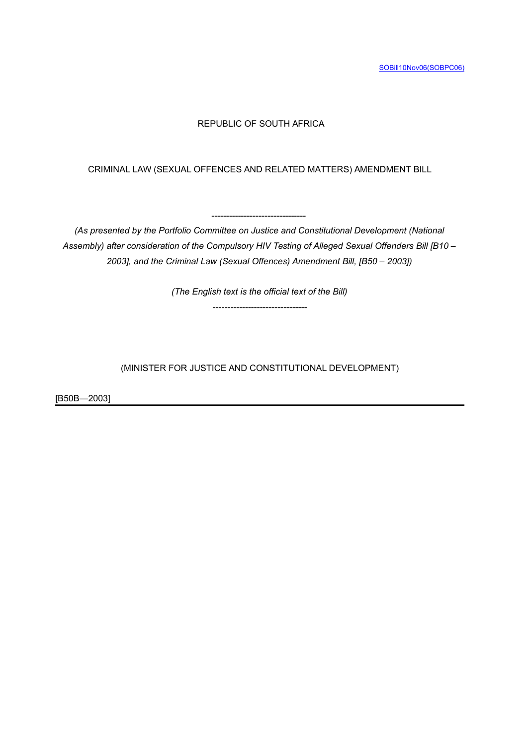# REPUBLIC OF SOUTH AFRICA

CRIMINAL LAW (SEXUAL OFFENCES AND RELATED MATTERS) AMENDMENT BILL

*(As presented by the Portfolio Committee on Justice and Constitutional Development (National Assembly) after consideration of the Compulsory HIV Testing of Alleged Sexual Offenders Bill [B10 – 2003], and the Criminal Law (Sexual Offences) Amendment Bill, [B50 – 2003])*

 $-$ 

*(The English text is the official text of the Bill)*

--------------------------------

(MINISTER FOR JUSTICE AND CONSTITUTIONAL DEVELOPMENT)

[B50B―2003]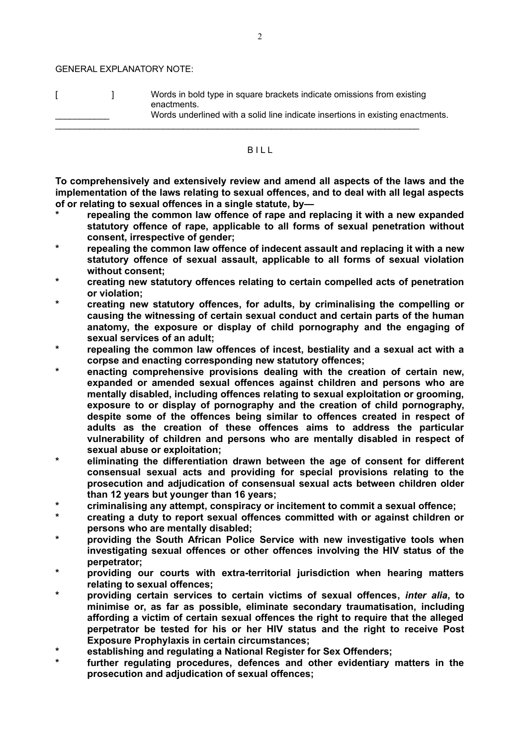GENERAL EXPLANATORY NOTE:

[ ] Words in bold type in square brackets indicate omissions from existing enactments. Words underlined with a solid line indicate insertions in existing enactments.  $\_$  ,  $\_$  ,  $\_$  ,  $\_$  ,  $\_$  ,  $\_$  ,  $\_$  ,  $\_$  ,  $\_$  ,  $\_$  ,  $\_$  ,  $\_$  ,  $\_$  ,  $\_$  ,  $\_$  ,  $\_$  ,  $\_$  ,  $\_$  ,  $\_$  ,  $\_$  ,  $\_$  ,  $\_$  ,  $\_$  ,  $\_$  ,  $\_$  ,  $\_$  ,  $\_$  ,  $\_$  ,  $\_$  ,  $\_$  ,  $\_$  ,  $\_$  ,  $\_$  ,  $\_$  ,  $\_$  ,  $\_$  ,  $\_$  ,

#### **BILL**

**To comprehensively and extensively review and amend all aspects of the laws and the implementation of the laws relating to sexual offences, and to deal with all legal aspects of or relating to sexual offences in a single statute, by—**

- **\* repealing the common law offence of rape and replacing it with a new expanded statutory offence of rape, applicable to all forms of sexual penetration without consent, irrespective of gender;**
- **\* repealing the common law offence of indecent assault and replacing it with a new statutory offence of sexual assault, applicable to all forms of sexual violation without consent;**
- **\* creating new statutory offences relating to certain compelled acts of penetration or violation;**
- **\* creating new statutory offences, for adults, by criminalising the compelling or causing the witnessing of certain sexual conduct and certain parts of the human anatomy, the exposure or display of child pornography and the engaging of sexual services of an adult;**
- **\* repealing the common law offences of incest, bestiality and a sexual act with a corpse and enacting corresponding new statutory offences;**
- **\* enacting comprehensive provisions dealing with the creation of certain new, expanded or amended sexual offences against children and persons who are mentally disabled, including offences relating to sexual exploitation or grooming, exposure to or display of pornography and the creation of child pornography, despite some of the offences being similar to offences created in respect of adults as the creation of these offences aims to address the particular vulnerability of children and persons who are mentally disabled in respect of sexual abuse or exploitation;**
- **\* eliminating the differentiation drawn between the age of consent for different consensual sexual acts and providing for special provisions relating to the prosecution and adjudication of consensual sexual acts between children older than 12 years but younger than 16 years;**
- **\* criminalising any attempt, conspiracy or incitement to commit a sexual offence;**
- **\* creating a duty to report sexual offences committed with or against children or persons who are mentally disabled;**
- **\* providing the South African Police Service with new investigative tools when investigating sexual offences or other offences involving the HIV status of the perpetrator;**
- **\* providing our courts with extra-territorial jurisdiction when hearing matters relating to sexual offences;**
- **\* providing certain services to certain victims of sexual offences,** *inter alia***, to minimise or, as far as possible, eliminate secondary traumatisation, including affording a victim of certain sexual offences the right to require that the alleged perpetrator be tested for his or her HIV status and the right to receive Post Exposure Prophylaxis in certain circumstances;**
- **\* establishing and regulating a National Register for Sex Offenders;**
- **\* further regulating procedures, defences and other evidentiary matters in the prosecution and adjudication of sexual offences;**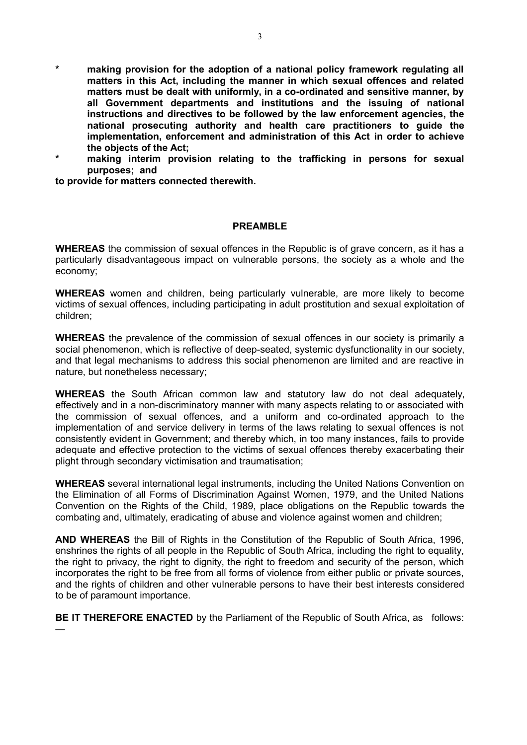- **\* making provision for the adoption of a national policy framework regulating all matters in this Act, including the manner in which sexual offences and related matters must be dealt with uniformly, in a co-ordinated and sensitive manner, by all Government departments and institutions and the issuing of national instructions and directives to be followed by the law enforcement agencies, the national prosecuting authority and health care practitioners to guide the implementation, enforcement and administration of this Act in order to achieve the objects of the Act;**
- **\* making interim provision relating to the trafficking in persons for sexual purposes; and**

**to provide for matters connected therewith.**

#### **PREAMBLE**

**WHEREAS** the commission of sexual offences in the Republic is of grave concern, as it has a particularly disadvantageous impact on vulnerable persons, the society as a whole and the economy;

**WHEREAS** women and children, being particularly vulnerable, are more likely to become victims of sexual offences, including participating in adult prostitution and sexual exploitation of children;

**WHEREAS** the prevalence of the commission of sexual offences in our society is primarily a social phenomenon, which is reflective of deep-seated, systemic dysfunctionality in our society, and that legal mechanisms to address this social phenomenon are limited and are reactive in nature, but nonetheless necessary;

**WHEREAS** the South African common law and statutory law do not deal adequately, effectively and in a non-discriminatory manner with many aspects relating to or associated with the commission of sexual offences, and a uniform and co-ordinated approach to the implementation of and service delivery in terms of the laws relating to sexual offences is not consistently evident in Government; and thereby which, in too many instances, fails to provide adequate and effective protection to the victims of sexual offences thereby exacerbating their plight through secondary victimisation and traumatisation;

**WHEREAS** several international legal instruments, including the United Nations Convention on the Elimination of all Forms of Discrimination Against Women, 1979, and the United Nations Convention on the Rights of the Child, 1989, place obligations on the Republic towards the combating and, ultimately, eradicating of abuse and violence against women and children;

**AND WHEREAS** the Bill of Rights in the Constitution of the Republic of South Africa, 1996, enshrines the rights of all people in the Republic of South Africa, including the right to equality, the right to privacy, the right to dignity, the right to freedom and security of the person, which incorporates the right to be free from all forms of violence from either public or private sources, and the rights of children and other vulnerable persons to have their best interests considered to be of paramount importance.

**BE IT THEREFORE ENACTED** by the Parliament of the Republic of South Africa, as follows: —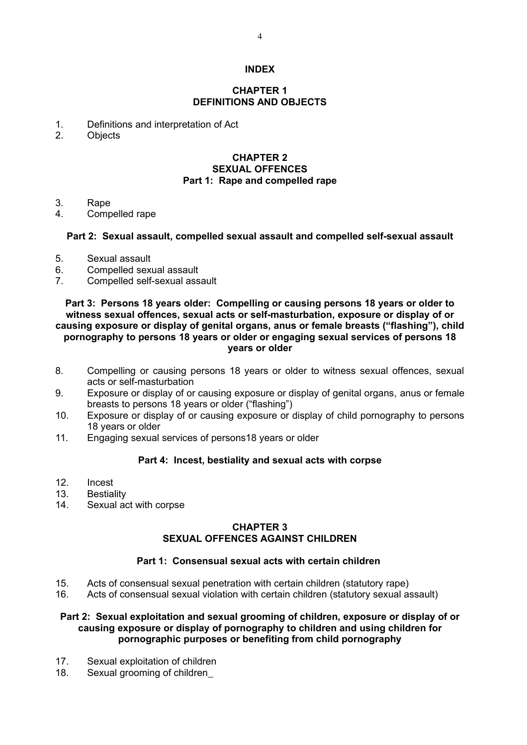#### **INDEX**

#### **CHAPTER 1 DEFINITIONS AND OBJECTS**

- 1. Definitions and interpretation of Act
- 2. Objects

## **CHAPTER 2 SEXUAL OFFENCES Part 1: Rape and compelled rape**

- 3. Rape
- 4. Compelled rape

### **Part 2: Sexual assault, compelled sexual assault and compelled self-sexual assault**

- 5. Sexual assault
- 6. Compelled sexual assault
- 7. Compelled self-sexual assault

#### **Part 3: Persons 18 years older: Compelling or causing persons 18 years or older to witness sexual offences, sexual acts or self-masturbation, exposure or display of or causing exposure or display of genital organs, anus or female breasts ("flashing"), child pornography to persons 18 years or older or engaging sexual services of persons 18 years or older**

- 8. Compelling or causing persons 18 years or older to witness sexual offences, sexual acts or self-masturbation
- 9. Exposure or display of or causing exposure or display of genital organs, anus or female breasts to persons 18 years or older ("flashing")
- 10. Exposure or display of or causing exposure or display of child pornography to persons 18 years or older
- 11. Engaging sexual services of persons18 years or older

# **Part 4: Incest, bestiality and sexual acts with corpse**

- 
- 12. Incest<br>13. Bestial **Bestiality**
- 14. Sexual act with corpse

# **CHAPTER 3 SEXUAL OFFENCES AGAINST CHILDREN**

## **Part 1: Consensual sexual acts with certain children**

- 15. Acts of consensual sexual penetration with certain children (statutory rape)
- 16. Acts of consensual sexual violation with certain children (statutory sexual assault)

#### **Part 2: Sexual exploitation and sexual grooming of children, exposure or display of or causing exposure or display of pornography to children and using children for pornographic purposes or benefiting from child pornography**

- 17. Sexual exploitation of children
- 18. Sexual grooming of children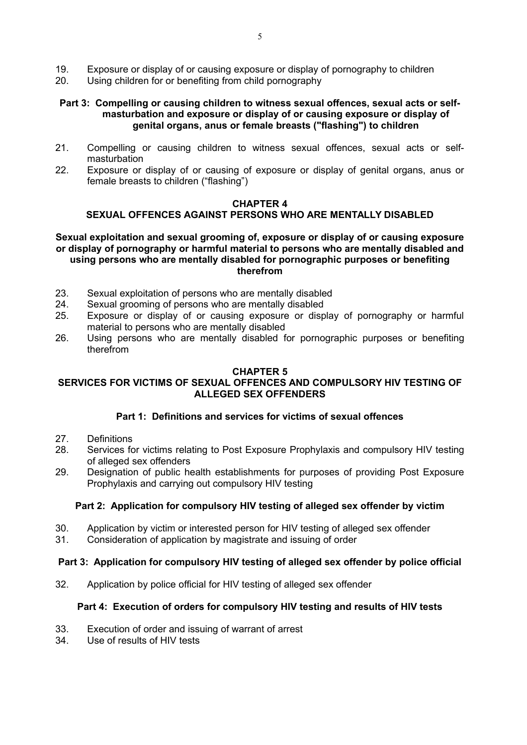- 19. Exposure or display of or causing exposure or display of pornography to children
- 20. Using children for or benefiting from child pornography

### **Part 3: Compelling or causing children to witness sexual offences, sexual acts or selfmasturbation and exposure or display of or causing exposure or display of genital organs, anus or female breasts ("flashing") to children**

- 21. Compelling or causing children to witness sexual offences, sexual acts or selfmasturbation
- 22. Exposure or display of or causing of exposure or display of genital organs, anus or female breasts to children ("flashing")

#### **CHAPTER 4**

# **SEXUAL OFFENCES AGAINST PERSONS WHO ARE MENTALLY DISABLED**

#### **Sexual exploitation and sexual grooming of, exposure or display of or causing exposure or display of pornography or harmful material to persons who are mentally disabled and using persons who are mentally disabled for pornographic purposes or benefiting therefrom**

- 23. Sexual exploitation of persons who are mentally disabled
- 24. Sexual grooming of persons who are mentally disabled
- 25. Exposure or display of or causing exposure or display of pornography or harmful material to persons who are mentally disabled
- 26. Using persons who are mentally disabled for pornographic purposes or benefiting therefrom

#### **CHAPTER 5**

# **SERVICES FOR VICTIMS OF SEXUAL OFFENCES AND COMPULSORY HIV TESTING OF ALLEGED SEX OFFENDERS**

## **Part 1: Definitions and services for victims of sexual offences**

- 27. Definitions
- 28. Services for victims relating to Post Exposure Prophylaxis and compulsory HIV testing of alleged sex offenders
- 29. Designation of public health establishments for purposes of providing Post Exposure Prophylaxis and carrying out compulsory HIV testing

## **Part 2: Application for compulsory HIV testing of alleged sex offender by victim**

- 30. Application by victim or interested person for HIV testing of alleged sex offender
- 31. Consideration of application by magistrate and issuing of order

#### **Part 3: Application for compulsory HIV testing of alleged sex offender by police official**

32. Application by police official for HIV testing of alleged sex offender

### **Part 4: Execution of orders for compulsory HIV testing and results of HIV tests**

- 33. Execution of order and issuing of warrant of arrest<br>34. Use of results of HIV tests
- Use of results of HIV tests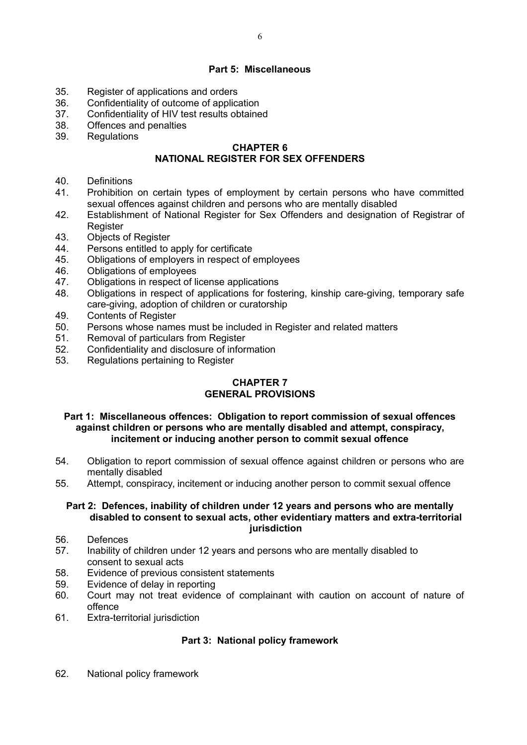## **Part 5: Miscellaneous**

- 35. Register of applications and orders
- 36. Confidentiality of outcome of application<br>37 Confidentiality of HIV test results obtaine
- Confidentiality of HIV test results obtained
- 38. Offences and penalties
- 39. Regulations

## **CHAPTER 6**

# **NATIONAL REGISTER FOR SEX OFFENDERS**

- 40. Definitions
- 41. Prohibition on certain types of employment by certain persons who have committed sexual offences against children and persons who are mentally disabled
- 42. Establishment of National Register for Sex Offenders and designation of Registrar of Register
- 43. Objects of Register
- 44. Persons entitled to apply for certificate
- 45. Obligations of employers in respect of employees
- 46. Obligations of employees
- 47. Obligations in respect of license applications
- 48. Obligations in respect of applications for fostering, kinship care-giving, temporary safe care-giving, adoption of children or curatorship
- 49. Contents of Register
- 50. Persons whose names must be included in Register and related matters
- 51. Removal of particulars from Register
- 52. Confidentiality and disclosure of information
- 53. Regulations pertaining to Register

### **CHAPTER 7 GENERAL PROVISIONS**

**Part 1: Miscellaneous offences: Obligation to report commission of sexual offences against children or persons who are mentally disabled and attempt, conspiracy, incitement or inducing another person to commit sexual offence**

- 54. Obligation to report commission of sexual offence against children or persons who are mentally disabled
- 55. Attempt, conspiracy, incitement or inducing another person to commit sexual offence

#### **Part 2: Defences, inability of children under 12 years and persons who are mentally disabled to consent to sexual acts, other evidentiary matters and extra-territorial jurisdiction**

- 56. Defences
- 57. Inability of children under 12 years and persons who are mentally disabled to consent to sexual acts
- 58. Evidence of previous consistent statements
- 59. Evidence of delay in reporting
- 60. Court may not treat evidence of complainant with caution on account of nature of offence
- 61. Extra-territorial jurisdiction

# **Part 3: National policy framework**

62. National policy framework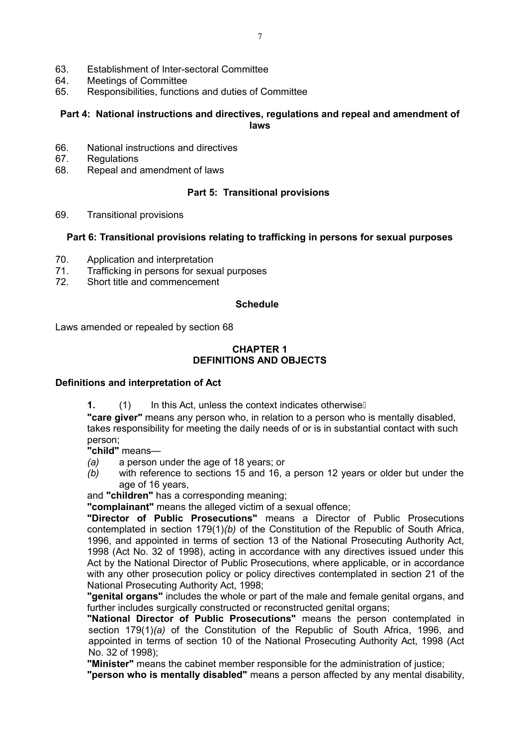- 63. Establishment of Inter-sectoral Committee
- 64. Meetings of Committee
- 65. Responsibilities, functions and duties of Committee

## **Part 4: National instructions and directives, regulations and repeal and amendment of laws**

- 66. National instructions and directives
- 67. Regulations
- 68. Repeal and amendment of laws

## **Part 5: Transitional provisions**

69. Transitional provisions

### **Part 6: Transitional provisions relating to trafficking in persons for sexual purposes**

- 70. Application and interpretation
- 71. Trafficking in persons for sexual purposes
- 72. Short title and commencement

#### **Schedule**

Laws amended or repealed by section 68

#### **CHAPTER 1 DEFINITIONS AND OBJECTS**

#### **Definitions and interpretation of Act**

**1.** (1) In this Act, unless the context indicates otherwise

**"care giver"** means any person who, in relation to a person who is mentally disabled, takes responsibility for meeting the daily needs of or is in substantial contact with such person;

**"child"** means—

- *(a)* a person under the age of 18 years; or
- *(b)* with reference to sections 15 and 16, a person 12 years or older but under the age of 16 years,

and **"children"** has a corresponding meaning;

**"complainant"** means the alleged victim of a sexual offence;

**"Director of Public Prosecutions"** means a Director of Public Prosecutions contemplated in section 179(1)*(b)* of the Constitution of the Republic of South Africa, 1996, and appointed in terms of section 13 of the National Prosecuting Authority Act, 1998 (Act No. 32 of 1998), acting in accordance with any directives issued under this Act by the National Director of Public Prosecutions, where applicable, or in accordance with any other prosecution policy or policy directives contemplated in section 21 of the National Prosecuting Authority Act, 1998;

**"genital organs"** includes the whole or part of the male and female genital organs, and further includes surgically constructed or reconstructed genital organs;

**"National Director of Public Prosecutions"** means the person contemplated in section 179(1)*(a)* of the Constitution of the Republic of South Africa, 1996, and appointed in terms of section 10 of the National Prosecuting Authority Act, 1998 (Act No. 32 of 1998);

**"Minister"** means the cabinet member responsible for the administration of justice;

**"person who is mentally disabled"** means a person affected by any mental disability,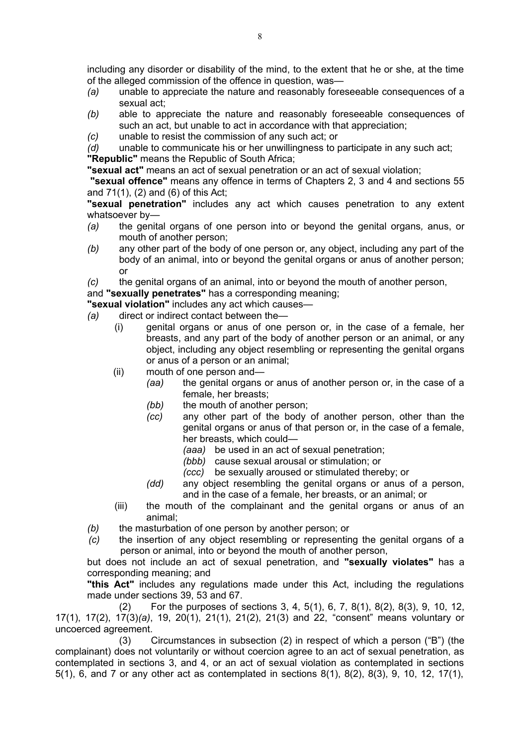including any disorder or disability of the mind, to the extent that he or she, at the time of the alleged commission of the offence in question, was—

- *(a)* unable to appreciate the nature and reasonably foreseeable consequences of a sexual act;
- *(b)* able to appreciate the nature and reasonably foreseeable consequences of such an act, but unable to act in accordance with that appreciation;
- *(c)* unable to resist the commission of any such act; or

*(d)* unable to communicate his or her unwillingness to participate in any such act; **"Republic"** means the Republic of South Africa;

**"sexual act"** means an act of sexual penetration or an act of sexual violation;

**"sexual offence"** means any offence in terms of Chapters 2, 3 and 4 and sections 55 and 71(1), (2) and (6) of this Act;

 **"sexual penetration"** includes any act which causes penetration to any extent whatsoever by—

- *(a)* the genital organs of one person into or beyond the genital organs*,* anus, or mouth of another person;
- *(b)* any other part of the body of one person or, any object, including any part of the body of an animal, into or beyond the genital organs or anus of another person; or
- *(c)* the genital organs of an animal, into or beyond the mouth of another person,

and **"sexually penetrates"** has a corresponding meaning;

**"sexual violation"** includes any act which causes—

- *(a)* direct or indirect contact between the—
	- (i) genital organs or anus of one person or, in the case of a female, her breasts, and any part of the body of another person or an animal, or any object, including any object resembling or representing the genital organs or anus of a person or an animal;
	- (ii) mouth of one person and*—*
		- *(aa)* the genital organs or anus of another person or, in the case of a female, her breasts;
		- *(bb)* the mouth of another person;
		- *(cc)* any other part of the body of another person, other than the genital organs or anus of that person or, in the case of a female, her breasts, which could—
			- *(aaa)* be used in an act of sexual penetration;
			- *(bbb)* cause sexual arousal or stimulation; or
			- *(ccc)* be sexually aroused or stimulated thereby; or
		- *(dd)* any object resembling the genital organs or anus of a person, and in the case of a female, her breasts, or an animal; or
	- (iii) the mouth of the complainant and the genital organs or anus of an animal;
- *(b)* the masturbation of one person by another person; or
- *(c)* the insertion of any object resembling or representing the genital organs of a person or animal, into or beyond the mouth of another person,

but does not include an act of sexual penetration, and **"sexually violates"** has a corresponding meaning; and

**"this Act"** includes any regulations made under this Act, including the regulations made under sections 39, 53 and 67.

(2) For the purposes of sections 3, 4, 5(1), 6, 7, 8(1), 8(2), 8(3), 9, 10, 12, 17(1), 17(2), 17(3)*(a)*, 19, 20(1), 21(1), 21(2), 21(3) and 22, "consent" means voluntary or uncoerced agreement.

(3) Circumstances in subsection (2) in respect of which a person ("B") (the complainant) does not voluntarily or without coercion agree to an act of sexual penetration, as contemplated in sections 3, and 4, or an act of sexual violation as contemplated in sections 5(1), 6, and 7 or any other act as contemplated in sections 8(1), 8(2), 8(3), 9, 10, 12, 17(1),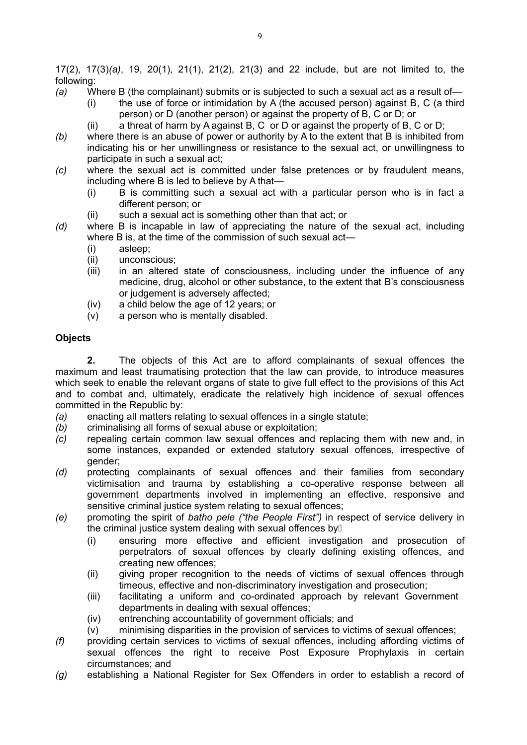17(2), 17(3)*(a)*, 19, 20(1), 21(1), 21(2), 21(3) and 22 include, but are not limited to, the following:

- *(a)* Where B (the complainant) submits or is subjected to such a sexual act as a result of—
	- $(i)$  the use of force or intimidation by A (the accused person) against B, C (a third person) or D (another person) or against the property of B, C or D; or
	- (ii) a threat of harm by A against B, C or D or against the property of B, C or D;
- *(b)* where there is an abuse of power or authority by A to the extent that B is inhibited from indicating his or her unwillingness or resistance to the sexual act, or unwillingness to participate in such a sexual act;
- *(c)* where the sexual act is committed under false pretences or by fraudulent means, including where B is led to believe by A that—
	- (i) B is committing such a sexual act with a particular person who is in fact a different person; or
	- (ii) such a sexual act is something other than that act; or
- *(d)* where B is incapable in law of appreciating the nature of the sexual act, including where B is, at the time of the commission of such sexual act—
	- (i) asleep;
	- (ii) unconscious;
	- (iii) in an altered state of consciousness, including under the influence of any medicine, drug, alcohol or other substance, to the extent that B's consciousness or judgement is adversely affected;
	- (iv) a child below the age of 12 years; or
	- (v) a person who is mentally disabled.

### **Objects**

**2.** The objects of this Act are to afford complainants of sexual offences the maximum and least traumatising protection that the law can provide, to introduce measures which seek to enable the relevant organs of state to give full effect to the provisions of this Act and to combat and, ultimately, eradicate the relatively high incidence of sexual offences committed in the Republic by:

- *(a)* enacting all matters relating to sexual offences in a single statute;
- *(b)* criminalising all forms of sexual abuse or exploitation;
- *(c)* repealing certain common law sexual offences and replacing them with new and, in some instances, expanded or extended statutory sexual offences, irrespective of gender;
- *(d)* protecting complainants of sexual offences and their families from secondary victimisation and trauma by establishing a co-operative response between all government departments involved in implementing an effective, responsive and sensitive criminal justice system relating to sexual offences;
- *(e)* promoting the spirit of *batho pele ("the People First")* in respect of service delivery in the criminal justice system dealing with sexual offences by $\not$ 
	- (i) ensuring more effective and efficient investigation and prosecution of perpetrators of sexual offences by clearly defining existing offences, and creating new offences;
	- (ii) giving proper recognition to the needs of victims of sexual offences through timeous, effective and non-discriminatory investigation and prosecution;
	- (iii) facilitating a uniform and co-ordinated approach by relevant Government departments in dealing with sexual offences;
	- (iv) entrenching accountability of government officials; and
	- (v) minimising disparities in the provision of services to victims of sexual offences;
- *(f)* providing certain services to victims of sexual offences, including affording victims of sexual offences the right to receive Post Exposure Prophylaxis in certain circumstances; and
- *(g)* establishing a National Register for Sex Offenders in order to establish a record of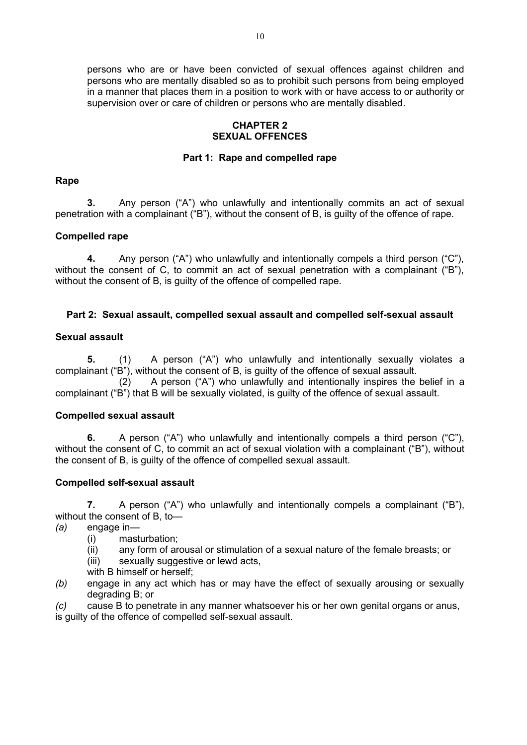persons who are or have been convicted of sexual offences against children and persons who are mentally disabled so as to prohibit such persons from being employed in a manner that places them in a position to work with or have access to or authority or supervision over or care of children or persons who are mentally disabled.

## **CHAPTER 2 SEXUAL OFFENCES**

## **Part 1: Rape and compelled rape**

## **Rape**

**3.** Any person ("A") who unlawfully and intentionally commits an act of sexual penetration with a complainant ("B"), without the consent of B, is guilty of the offence of rape.

# **Compelled rape**

**4.** Any person ("A") who unlawfully and intentionally compels a third person ("C"), without the consent of C, to commit an act of sexual penetration with a complainant ("B"), without the consent of B, is guilty of the offence of compelled rape.

## **Part 2: Sexual assault, compelled sexual assault and compelled self-sexual assault**

# **Sexual assault**

**5.** (1) A person ("A") who unlawfully and intentionally sexually violates a complainant ("B"), without the consent of B, is guilty of the offence of sexual assault.

(2) A person ("A") who unlawfully and intentionally inspires the belief in a complainant ("B") that B will be sexually violated, is guilty of the offence of sexual assault.

## **Compelled sexual assault**

**6.** A person ("A") who unlawfully and intentionally compels a third person ("C"), without the consent of C, to commit an act of sexual violation with a complainant ("B"), without the consent of B, is guilty of the offence of compelled sexual assault.

## **Compelled self-sexual assault**

**7.** A person ("A") who unlawfully and intentionally compels a complainant ("B"), without the consent of B, to—

- *(a)* engage in—
	- (i) masturbation;
	- (ii) any form of arousal or stimulation of a sexual nature of the female breasts; or
	- (iii) sexually suggestive or lewd acts,
	- with B himself or herself;
- *(b)* engage in any act which has or may have the effect of sexually arousing or sexually degrading B; or

*(c)* cause B to penetrate in any manner whatsoever his or her own genital organs or anus, is guilty of the offence of compelled self-sexual assault.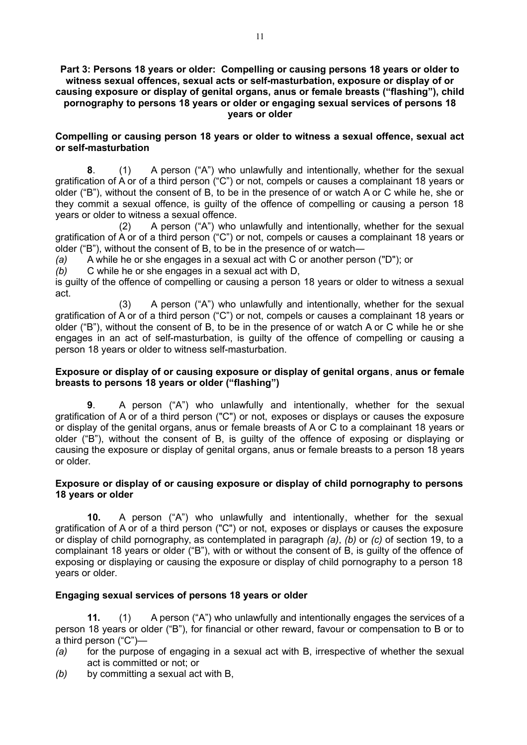#### **Part 3: Persons 18 years or older: Compelling or causing persons 18 years or older to witness sexual offences, sexual acts or self-masturbation, exposure or display of or causing exposure or display of genital organs, anus or female breasts ("flashing"), child pornography to persons 18 years or older or engaging sexual services of persons 18 years or older**

## **Compelling or causing person 18 years or older to witness a sexual offence, sexual act or self-masturbation**

**8**. (1) A person ("A") who unlawfully and intentionally, whether for the sexual gratification of A or of a third person ("C") or not, compels or causes a complainant 18 years or older ("B"), without the consent of B, to be in the presence of or watch A or C while he, she or they commit a sexual offence, is guilty of the offence of compelling or causing a person 18 years or older to witness a sexual offence.

(2) A person ("A") who unlawfully and intentionally, whether for the sexual gratification of A or of a third person ("C") or not, compels or causes a complainant 18 years or older ("B"), without the consent of B, to be in the presence of or watch―

*(a)* A while he or she engages in a sexual act with C or another person ("D"); or

*(b)* C while he or she engages in a sexual act with D,

is guilty of the offence of compelling or causing a person 18 years or older to witness a sexual act.

(3) A person ("A") who unlawfully and intentionally, whether for the sexual gratification of A or of a third person ("C") or not, compels or causes a complainant 18 years or older ("B"), without the consent of B, to be in the presence of or watch A or C while he or she engages in an act of self-masturbation, is guilty of the offence of compelling or causing a person 18 years or older to witness self-masturbation.

## **Exposure or display of or causing exposure or display of genital organs**, **anus or female breasts to persons 18 years or older ("flashing")**

**9**. A person ("A") who unlawfully and intentionally, whether for the sexual gratification of A or of a third person ("C") or not, exposes or displays or causes the exposure or display of the genital organs, anus or female breasts of A or C to a complainant 18 years or older ("B"), without the consent of B, is guilty of the offence of exposing or displaying or causing the exposure or display of genital organs, anus or female breasts to a person 18 years or older.

### **Exposure or display of or causing exposure or display of child pornography to persons 18 years or older**

**10.** A person ("A") who unlawfully and intentionally, whether for the sexual gratification of A or of a third person ("C") or not, exposes or displays or causes the exposure or display of child pornography, as contemplated in paragraph *(a)*, *(b)* or *(c)* of section 19, to a complainant 18 years or older ("B"), with or without the consent of B, is guilty of the offence of exposing or displaying or causing the exposure or display of child pornography to a person 18 years or older.

## **Engaging sexual services of persons 18 years or older**

**11.** (1) A person ("A") who unlawfully and intentionally engages the services of a person 18 years or older ("B"), for financial or other reward, favour or compensation to B or to a third person ("C")—

- *(a)* for the purpose of engaging in a sexual act with B, irrespective of whether the sexual act is committed or not; or
- *(b)* by committing a sexual act with B,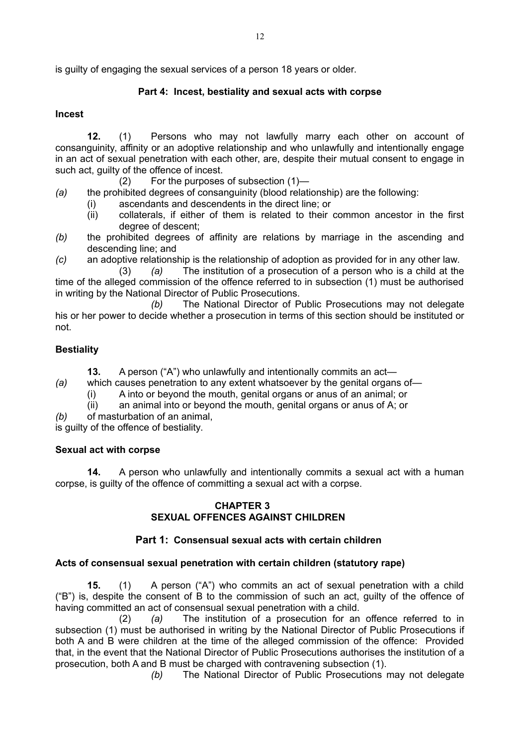is guilty of engaging the sexual services of a person 18 years or older.

# **Part 4: Incest, bestiality and sexual acts with corpse**

## **Incest**

**12.** (1) Persons who may not lawfully marry each other on account of consanguinity, affinity or an adoptive relationship and who unlawfully and intentionally engage in an act of sexual penetration with each other, are, despite their mutual consent to engage in such act, guilty of the offence of incest.

- (2) For the purposes of subsection (1)—
- *(a)* the prohibited degrees of consanguinity (blood relationship) are the following:
	- (i) ascendants and descendents in the direct line; or
	- (ii) collaterals, if either of them is related to their common ancestor in the first degree of descent;
- *(b)* the prohibited degrees of affinity are relations by marriage in the ascending and descending line; and
- *(c)* an adoptive relationship is the relationship of adoption as provided for in any other law.

(3) *(a)* The institution of a prosecution of a person who is a child at the time of the alleged commission of the offence referred to in subsection (1) must be authorised in writing by the National Director of Public Prosecutions.

*(b)* The National Director of Public Prosecutions may not delegate his or her power to decide whether a prosecution in terms of this section should be instituted or not.

# **Bestiality**

**13.** A person ("A") who unlawfully and intentionally commits an act—

- *(a)* which causes penetration to any extent whatsoever by the genital organs of—
	- (i) A into or beyond the mouth, genital organs or anus of an animal; or
	- (ii) an animal into or beyond the mouth, genital organs or anus of A; or
- *(b)* of masturbation of an animal,

is guilty of the offence of bestiality.

## **Sexual act with corpse**

**14.** A person who unlawfully and intentionally commits a sexual act with a human corpse, is guilty of the offence of committing a sexual act with a corpse.

## **CHAPTER 3 SEXUAL OFFENCES AGAINST CHILDREN**

# **Part 1: Consensual sexual acts with certain children**

## **Acts of consensual sexual penetration with certain children (statutory rape)**

**15.** (1) A person ("A") who commits an act of sexual penetration with a child ("B") is, despite the consent of B to the commission of such an act, guilty of the offence of having committed an act of consensual sexual penetration with a child.

(2) *(a)* The institution of a prosecution for an offence referred to in subsection (1) must be authorised in writing by the National Director of Public Prosecutions if both A and B were children at the time of the alleged commission of the offence: Provided that, in the event that the National Director of Public Prosecutions authorises the institution of a prosecution, both A and B must be charged with contravening subsection (1).

*(b)* The National Director of Public Prosecutions may not delegate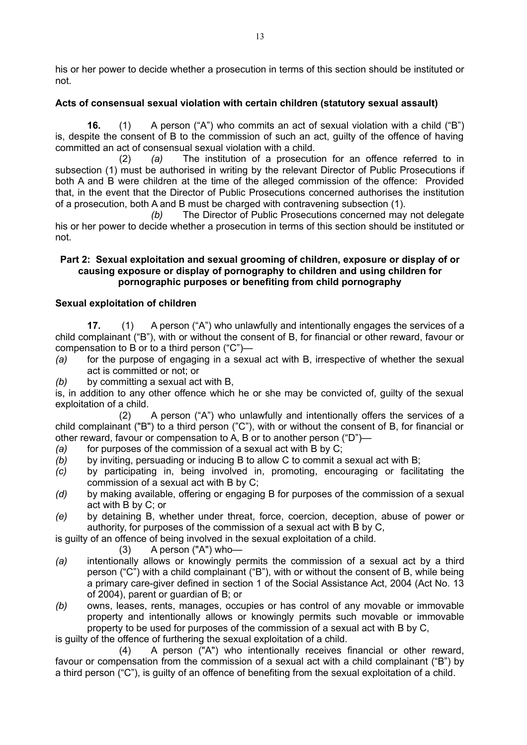his or her power to decide whether a prosecution in terms of this section should be instituted or not.

# **Acts of consensual sexual violation with certain children (statutory sexual assault)**

**16.** (1) A person ("A") who commits an act of sexual violation with a child ("B") is, despite the consent of B to the commission of such an act, guilty of the offence of having committed an act of consensual sexual violation with a child.

(2) *(a)* The institution of a prosecution for an offence referred to in subsection (1) must be authorised in writing by the relevant Director of Public Prosecutions if both A and B were children at the time of the alleged commission of the offence: Provided that, in the event that the Director of Public Prosecutions concerned authorises the institution of a prosecution, both A and B must be charged with contravening subsection (1).

*(b)* The Director of Public Prosecutions concerned may not delegate his or her power to decide whether a prosecution in terms of this section should be instituted or not.

## **Part 2: Sexual exploitation and sexual grooming of children, exposure or display of or causing exposure or display of pornography to children and using children for pornographic purposes or benefiting from child pornography**

# **Sexual exploitation of children**

**17.** (1) A person ("A") who unlawfully and intentionally engages the services of a child complainant ("B"), with or without the consent of B, for financial or other reward, favour or compensation to B or to a third person ("C")—

- *(a)* for the purpose of engaging in a sexual act with B, irrespective of whether the sexual act is committed or not; or
- *(b)* by committing a sexual act with B,

is, in addition to any other offence which he or she may be convicted of, guilty of the sexual exploitation of a child.

(2) A person ("A") who unlawfully and intentionally offers the services of a child complainant ("B") to a third person ("C"), with or without the consent of B, for financial or other reward, favour or compensation to A, B or to another person ("D")—

- *(a)* for purposes of the commission of a sexual act with B by C;
- *(b)* by inviting, persuading or inducing B to allow C to commit a sexual act with B;
- *(c)* by participating in, being involved in, promoting, encouraging or facilitating the commission of a sexual act with B by C;
- *(d)* by making available, offering or engaging B for purposes of the commission of a sexual act with B by C; or
- *(e)* by detaining B, whether under threat, force, coercion, deception, abuse of power or authority, for purposes of the commission of a sexual act with B by C,

is guilty of an offence of being involved in the sexual exploitation of a child.

- $(3)$  A person  $("A")$  who-
- *(a)* intentionally allows or knowingly permits the commission of a sexual act by a third person ("C") with a child complainant ("B"), with or without the consent of B, while being a primary care-giver defined in section 1 of the Social Assistance Act, 2004 (Act No. 13 of 2004), parent or guardian of B; or
- *(b)* owns, leases, rents, manages, occupies or has control of any movable or immovable property and intentionally allows or knowingly permits such movable or immovable property to be used for purposes of the commission of a sexual act with B by C,

is guilty of the offence of furthering the sexual exploitation of a child.

(4) A person ("A") who intentionally receives financial or other reward, favour or compensation from the commission of a sexual act with a child complainant ("B") by a third person ("C"), is guilty of an offence of benefiting from the sexual exploitation of a child.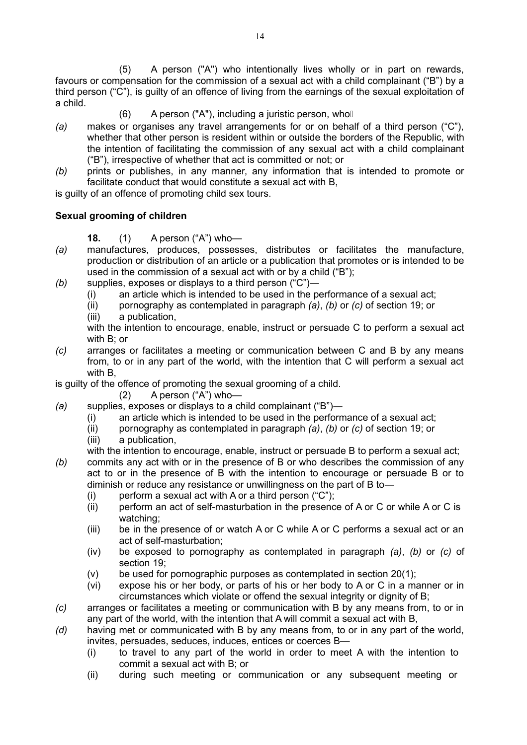(5) A person ("A") who intentionally lives wholly or in part on rewards, favours or compensation for the commission of a sexual act with a child complainant ("B") by a third person ("C"), is guilty of an offence of living from the earnings of the sexual exploitation of a child.

- $(6)$  A person ("A"), including a juristic person, who  $\Box$
- *(a)* makes or organises any travel arrangements for or on behalf of a third person ("C"), whether that other person is resident within or outside the borders of the Republic, with the intention of facilitating the commission of any sexual act with a child complainant ("B"), irrespective of whether that act is committed or not; or
- *(b)* prints or publishes, in any manner, any information that is intended to promote or facilitate conduct that would constitute a sexual act with B,

is guilty of an offence of promoting child sex tours.

# **Sexual grooming of children**

- **18.** (1) A person ("A") who—
- *(a)* manufactures, produces, possesses, distributes or facilitates the manufacture, production or distribution of an article or a publication that promotes or is intended to be used in the commission of a sexual act with or by a child ("B");
- *(b)* supplies, exposes or displays to a third person ("C")―
	- (i) an article which is intended to be used in the performance of a sexual act;
	- (ii) pornography as contemplated in paragraph *(a)*, *(b)* or *(c)* of section 19; or
	- (iii) a publication,

with the intention to encourage, enable, instruct or persuade C to perform a sexual act with B; or

*(c)* arranges or facilitates a meeting or communication between C and B by any means from, to or in any part of the world, with the intention that C will perform a sexual act with B,

is guilty of the offence of promoting the sexual grooming of a child.

- (2) A person ("A") who—
- *(a)* supplies, exposes or displays to a child complainant ("B")―
	- (i) an article which is intended to be used in the performance of a sexual act;
	- (ii) pornography as contemplated in paragraph *(a)*, *(b)* or *(c)* of section 19; or
	- (iii) a publication,
	- with the intention to encourage, enable, instruct or persuade B to perform a sexual act;
- *(b)* commits any act with or in the presence of B or who describes the commission of any act to or in the presence of B with the intention to encourage or persuade B or to diminish or reduce any resistance or unwillingness on the part of B to―
	- (i) perform a sexual act with A or a third person  $(C<sup>n</sup>)$ ;
	- (ii) perform an act of self-masturbation in the presence of A or C or while A or C is watching;
	- (iii) be in the presence of or watch A or C while A or C performs a sexual act or an act of self-masturbation;
	- (iv) be exposed to pornography as contemplated in paragraph *(a)*, *(b)* or *(c)* of section 19;
	- (v) be used for pornographic purposes as contemplated in section 20(1);
	- (vi) expose his or her body, or parts of his or her body to A or C in a manner or in circumstances which violate or offend the sexual integrity or dignity of B;
- *(c)* arranges or facilitates a meeting or communication with B by any means from, to or in any part of the world, with the intention that A will commit a sexual act with B,
- *(d)* having met or communicated with B by any means from, to or in any part of the world, invites, persuades, seduces, induces, entices or coerces B—
	- (i) to travel to any part of the world in order to meet A with the intention to commit a sexual act with B; or
	- (ii) during such meeting or communication or any subsequent meeting or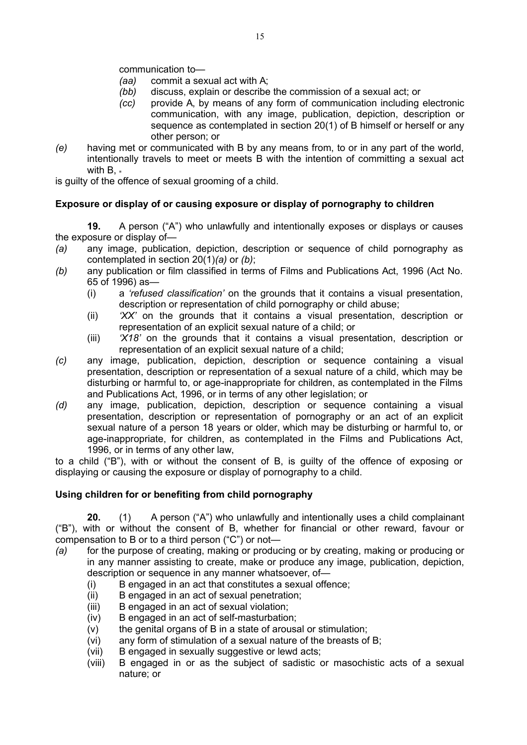communication to—

- *(aa)* commit a sexual act with A;
- *(bb)* discuss, explain or describe the commission of a sexual act; or
- *(cc)* provide A, by means of any form of communication including electronic communication, with any image, publication, depiction, description or sequence as contemplated in section 20(1) of B himself or herself or any other person; or
- *(e)* having met or communicated with B by any means from, to or in any part of the world, intentionally travels to meet or meets B with the intention of committing a sexual act with  $B_{1}$ .

is guilty of the offence of sexual grooming of a child.

# **Exposure or display of or causing exposure or display of pornography to children**

**19.** A person ("A") who unlawfully and intentionally exposes or displays or causes the exposure or display of—

- *(a)* any image, publication, depiction, description or sequence of child pornography as contemplated in section 20(1)*(a)* or *(b)*;
- *(b)* any publication or film classified in terms of Films and Publications Act, 1996 (Act No. 65 of 1996) as—
	- (i) a *'refused classification'* on the grounds that it contains a visual presentation, description or representation of child pornography or child abuse;
	- (ii) *'XX'* on the grounds that it contains a visual presentation, description or representation of an explicit sexual nature of a child; or
	- (iii) *'X18'* on the grounds that it contains a visual presentation, description or representation of an explicit sexual nature of a child;
- *(c)* any image, publication, depiction, description or sequence containing a visual presentation, description or representation of a sexual nature of a child, which may be disturbing or harmful to, or age-inappropriate for children, as contemplated in the Films and Publications Act, 1996, or in terms of any other legislation; or
- *(d)* any image, publication, depiction, description or sequence containing a visual presentation, description or representation of pornography or an act of an explicit sexual nature of a person 18 years or older, which may be disturbing or harmful to, or age-inappropriate, for children, as contemplated in the Films and Publications Act, 1996, or in terms of any other law,

to a child ("B"), with or without the consent of B, is guilty of the offence of exposing or displaying or causing the exposure or display of pornography to a child.

## **Using children for or benefiting from child pornography**

**20.** (1) A person ("A") who unlawfully and intentionally uses a child complainant ("B"), with or without the consent of B, whether for financial or other reward, favour or compensation to B or to a third person ("C") or not—

- *(a)* for the purpose of creating, making or producing or by creating, making or producing or in any manner assisting to create, make or produce any image, publication, depiction, description or sequence in any manner whatsoever, of—
	- (i) B engaged in an act that constitutes a sexual offence;
	- (ii) B engaged in an act of sexual penetration;
	- (iii) B engaged in an act of sexual violation;
	- (iv) B engaged in an act of self-masturbation;
	- (v) the genital organs of B in a state of arousal or stimulation;
	- (vi) any form of stimulation of a sexual nature of the breasts of B;
	- (vii) B engaged in sexually suggestive or lewd acts;
	- (viii) B engaged in or as the subject of sadistic or masochistic acts of a sexual nature; or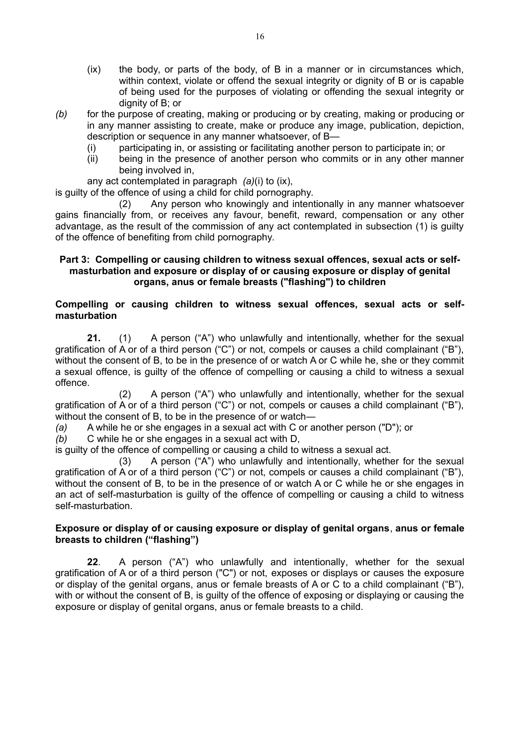- (ix) the body, or parts of the body, of B in a manner or in circumstances which, within context, violate or offend the sexual integrity or dignity of B or is capable of being used for the purposes of violating or offending the sexual integrity or dignity of B; or
- *(b)* for the purpose of creating, making or producing or by creating, making or producing or in any manner assisting to create, make or produce any image, publication, depiction, description or sequence in any manner whatsoever, of B—
	- (i) participating in, or assisting or facilitating another person to participate in; or
	- (ii) being in the presence of another person who commits or in any other manner being involved in,

any act contemplated in paragraph *(a)*(i) to (ix),

is guilty of the offence of using a child for child pornography.

(2) Any person who knowingly and intentionally in any manner whatsoever gains financially from, or receives any favour, benefit, reward, compensation or any other advantage, as the result of the commission of any act contemplated in subsection (1) is guilty of the offence of benefiting from child pornography.

#### **Part 3: Compelling or causing children to witness sexual offences, sexual acts or selfmasturbation and exposure or display of or causing exposure or display of genital organs, anus or female breasts ("flashing") to children**

#### **Compelling or causing children to witness sexual offences, sexual acts or selfmasturbation**

**21.** (1) A person ("A") who unlawfully and intentionally, whether for the sexual gratification of A or of a third person ("C") or not, compels or causes a child complainant ("B"), without the consent of B, to be in the presence of or watch A or C while he, she or they commit a sexual offence, is guilty of the offence of compelling or causing a child to witness a sexual offence.

(2) A person ("A") who unlawfully and intentionally, whether for the sexual gratification of A or of a third person ("C") or not, compels or causes a child complainant ("B"), without the consent of B, to be in the presence of or watch―

*(a)* A while he or she engages in a sexual act with C or another person ("D"); or

*(b)* C while he or she engages in a sexual act with D,

is guilty of the offence of compelling or causing a child to witness a sexual act.

(3) A person ("A") who unlawfully and intentionally, whether for the sexual gratification of A or of a third person ("C") or not, compels or causes a child complainant ("B"), without the consent of B, to be in the presence of or watch A or C while he or she engages in an act of self-masturbation is guilty of the offence of compelling or causing a child to witness self-masturbation.

#### **Exposure or display of or causing exposure or display of genital organs**, **anus or female breasts to children ("flashing")**

**22**. A person ("A") who unlawfully and intentionally, whether for the sexual gratification of A or of a third person ("C") or not, exposes or displays or causes the exposure or display of the genital organs, anus or female breasts of A or C to a child complainant ("B"), with or without the consent of B, is guilty of the offence of exposing or displaying or causing the exposure or display of genital organs, anus or female breasts to a child.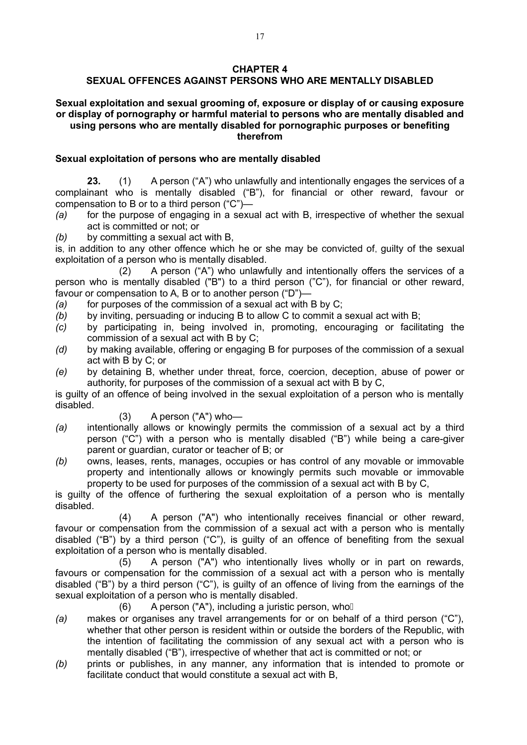#### **CHAPTER 4**

# **SEXUAL OFFENCES AGAINST PERSONS WHO ARE MENTALLY DISABLED**

#### **Sexual exploitation and sexual grooming of, exposure or display of or causing exposure or display of pornography or harmful material to persons who are mentally disabled and using persons who are mentally disabled for pornographic purposes or benefiting therefrom**

### **Sexual exploitation of persons who are mentally disabled**

**23.** (1) A person ("A") who unlawfully and intentionally engages the services of a complainant who is mentally disabled ("B"), for financial or other reward, favour or compensation to B or to a third person ("C")—

*(a)* for the purpose of engaging in a sexual act with B, irrespective of whether the sexual act is committed or not; or

*(b)* by committing a sexual act with B,

is, in addition to any other offence which he or she may be convicted of, guilty of the sexual exploitation of a person who is mentally disabled.

(2) A person ("A") who unlawfully and intentionally offers the services of a person who is mentally disabled ("B") to a third person ("C"), for financial or other reward, favour or compensation to A, B or to another person ("D")—

- *(a)* for purposes of the commission of a sexual act with B by C;
- *(b)* by inviting, persuading or inducing B to allow C to commit a sexual act with B;
- *(c)* by participating in, being involved in, promoting, encouraging or facilitating the commission of a sexual act with B by C;
- *(d)* by making available, offering or engaging B for purposes of the commission of a sexual act with B by C; or
- *(e)* by detaining B, whether under threat, force, coercion, deception, abuse of power or authority, for purposes of the commission of a sexual act with B by C,

is guilty of an offence of being involved in the sexual exploitation of a person who is mentally disabled.

- $(3)$  A person  $("A")$  who-
- *(a)* intentionally allows or knowingly permits the commission of a sexual act by a third person ("C") with a person who is mentally disabled ("B") while being a care-giver parent or guardian, curator or teacher of B; or
- *(b)* owns, leases, rents, manages, occupies or has control of any movable or immovable property and intentionally allows or knowingly permits such movable or immovable property to be used for purposes of the commission of a sexual act with B by C,

is guilty of the offence of furthering the sexual exploitation of a person who is mentally disabled.

(4) A person ("A") who intentionally receives financial or other reward, favour or compensation from the commission of a sexual act with a person who is mentally disabled ("B") by a third person ("C"), is guilty of an offence of benefiting from the sexual exploitation of a person who is mentally disabled.

(5) A person ("A") who intentionally lives wholly or in part on rewards, favours or compensation for the commission of a sexual act with a person who is mentally disabled ("B") by a third person ("C"), is guilty of an offence of living from the earnings of the sexual exploitation of a person who is mentally disabled.

(6) A person ("A"), including a juristic person, who  $\Box$ 

- *(a)* makes or organises any travel arrangements for or on behalf of a third person ("C"), whether that other person is resident within or outside the borders of the Republic, with the intention of facilitating the commission of any sexual act with a person who is mentally disabled ("B"), irrespective of whether that act is committed or not; or
- *(b)* prints or publishes, in any manner, any information that is intended to promote or facilitate conduct that would constitute a sexual act with B,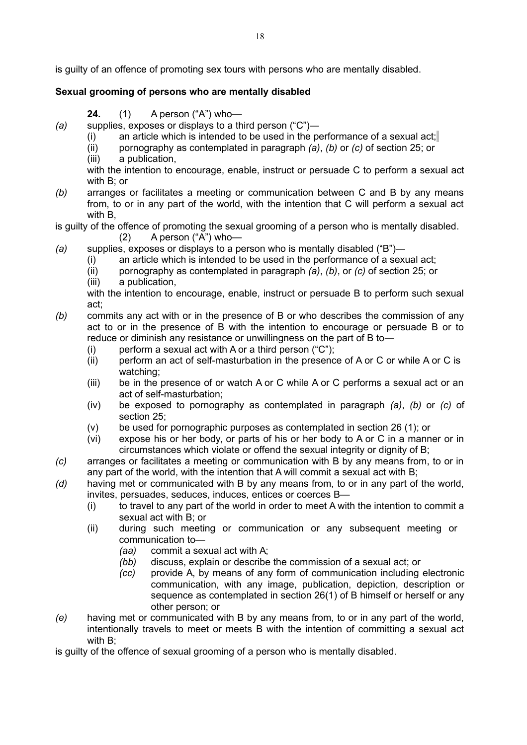is guilty of an offence of promoting sex tours with persons who are mentally disabled.

# **Sexual grooming of persons who are mentally disabled**

- **24.** (1) A person ("A") who—
- *(a)* supplies, exposes or displays to a third person ("C")―
	- (i) an article which is intended to be used in the performance of a sexual act;
	- (ii) pornography as contemplated in paragraph *(a)*, *(b)* or *(c)* of section 25; or
	- (iii) a publication,

with the intention to encourage, enable, instruct or persuade C to perform a sexual act with B; or

*(b)* arranges or facilitates a meeting or communication between C and B by any means from, to or in any part of the world, with the intention that C will perform a sexual act with B,

# is guilty of the offence of promoting the sexual grooming of a person who is mentally disabled.

- (2) A person ("A") who—
- *(a)* supplies, exposes or displays to a person who is mentally disabled ("B")―
	- (i) an article which is intended to be used in the performance of a sexual act;
	- (ii) pornography as contemplated in paragraph *(a)*, *(b)*, or *(c)* of section 25; or
	- (iii) a publication,

with the intention to encourage, enable, instruct or persuade B to perform such sexual act;

- *(b)* commits any act with or in the presence of B or who describes the commission of any act to or in the presence of B with the intention to encourage or persuade B or to reduce or diminish any resistance or unwillingness on the part of B to―
	- (i) perform a sexual act with A or a third person  $("C")$ ;
	- (ii) perform an act of self-masturbation in the presence of A or C or while A or C is watching;
	- (iii) be in the presence of or watch A or C while A or C performs a sexual act or an act of self-masturbation;
	- (iv) be exposed to pornography as contemplated in paragraph *(a)*, *(b)* or *(c)* of section 25;
	- (v) be used for pornographic purposes as contemplated in section 26 (1); or
	- (vi) expose his or her body, or parts of his or her body to A or C in a manner or in circumstances which violate or offend the sexual integrity or dignity of B;
- *(c)* arranges or facilitates a meeting or communication with B by any means from, to or in any part of the world, with the intention that A will commit a sexual act with B;
- *(d)* having met or communicated with B by any means from, to or in any part of the world, invites, persuades, seduces, induces, entices or coerces B—
	- (i) to travel to any part of the world in order to meet A with the intention to commit a sexual act with B; or
	- (ii) during such meeting or communication or any subsequent meeting or communication to—
		- *(aa)* commit a sexual act with A;
		- *(bb)* discuss, explain or describe the commission of a sexual act; or
		- *(cc)* provide A, by means of any form of communication including electronic communication, with any image, publication, depiction, description or sequence as contemplated in section 26(1) of B himself or herself or any other person; or
- *(e)* having met or communicated with B by any means from, to or in any part of the world, intentionally travels to meet or meets B with the intention of committing a sexual act with B;

is guilty of the offence of sexual grooming of a person who is mentally disabled.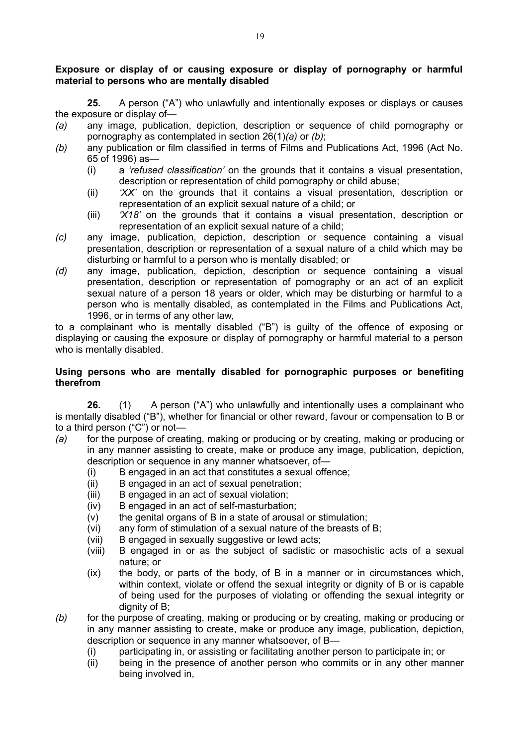## **Exposure or display of or causing exposure or display of pornography or harmful material to persons who are mentally disabled**

**25.** A person ("A") who unlawfully and intentionally exposes or displays or causes the exposure or display of—

- *(a)* any image, publication, depiction, description or sequence of child pornography or pornography as contemplated in section 26(1)*(a)* or *(b)*;
- *(b)* any publication or film classified in terms of Films and Publications Act, 1996 (Act No. 65 of 1996) as—
	- (i) a *'refused classification'* on the grounds that it contains a visual presentation, description or representation of child pornography or child abuse;
	- (ii) *'XX'* on the grounds that it contains a visual presentation, description or representation of an explicit sexual nature of a child; or
	- (iii) *'X18'* on the grounds that it contains a visual presentation, description or representation of an explicit sexual nature of a child;
- *(c)* any image, publication, depiction, description or sequence containing a visual presentation, description or representation of a sexual nature of a child which may be disturbing or harmful to a person who is mentally disabled; or
- *(d)* any image, publication, depiction, description or sequence containing a visual presentation, description or representation of pornography or an act of an explicit sexual nature of a person 18 years or older, which may be disturbing or harmful to a person who is mentally disabled, as contemplated in the Films and Publications Act, 1996, or in terms of any other law,

to a complainant who is mentally disabled ("B") is guilty of the offence of exposing or displaying or causing the exposure or display of pornography or harmful material to a person who is mentally disabled.

### **Using persons who are mentally disabled for pornographic purposes or benefiting therefrom**

**26.** (1) A person ("A") who unlawfully and intentionally uses a complainant who is mentally disabled ("B"), whether for financial or other reward, favour or compensation to B or to a third person ("C") or not—

- *(a)* for the purpose of creating, making or producing or by creating, making or producing or in any manner assisting to create, make or produce any image, publication, depiction, description or sequence in any manner whatsoever, of—
	- (i) B engaged in an act that constitutes a sexual offence;
	- (ii) B engaged in an act of sexual penetration;
	- (iii) B engaged in an act of sexual violation;
	- (iv) B engaged in an act of self-masturbation;
	- (v) the genital organs of B in a state of arousal or stimulation;
	- (vi) any form of stimulation of a sexual nature of the breasts of B;
	- (vii) B engaged in sexually suggestive or lewd acts;
	- (viii) B engaged in or as the subject of sadistic or masochistic acts of a sexual nature; or
	- (ix) the body, or parts of the body, of B in a manner or in circumstances which, within context, violate or offend the sexual integrity or dignity of B or is capable of being used for the purposes of violating or offending the sexual integrity or dignity of B;
- *(b)* for the purpose of creating, making or producing or by creating, making or producing or in any manner assisting to create, make or produce any image, publication, depiction, description or sequence in any manner whatsoever, of B—
	- (i) participating in, or assisting or facilitating another person to participate in; or
	- (ii) being in the presence of another person who commits or in any other manner being involved in,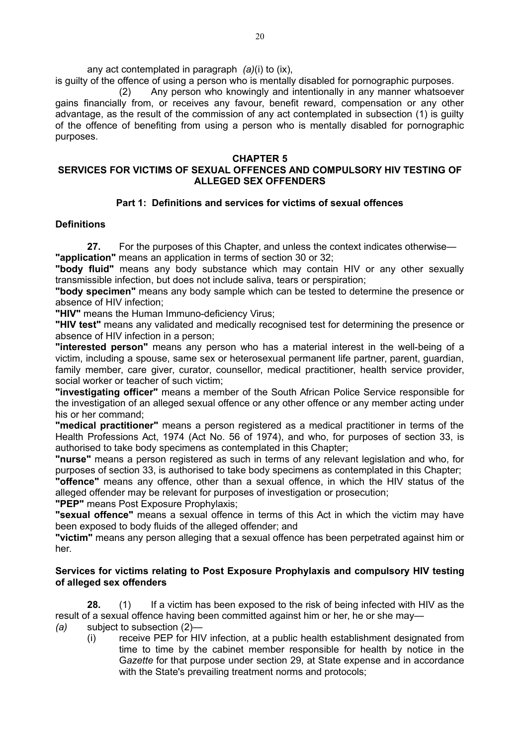any act contemplated in paragraph *(a)*(i) to (ix),

is guilty of the offence of using a person who is mentally disabled for pornographic purposes.

(2) Any person who knowingly and intentionally in any manner whatsoever gains financially from, or receives any favour, benefit reward, compensation or any other advantage, as the result of the commission of any act contemplated in subsection (1) is guilty of the offence of benefiting from using a person who is mentally disabled for pornographic purposes.

## **CHAPTER 5**

# **SERVICES FOR VICTIMS OF SEXUAL OFFENCES AND COMPULSORY HIV TESTING OF ALLEGED SEX OFFENDERS**

# **Part 1: Definitions and services for victims of sexual offences**

# **Definitions**

**27.** For the purposes of this Chapter, and unless the context indicates otherwise—

**"application"** means an application in terms of section 30 or 32;

**"body fluid"** means any body substance which may contain HIV or any other sexually transmissible infection, but does not include saliva, tears or perspiration;

**"body specimen"** means any body sample which can be tested to determine the presence or absence of HIV infection;

**"HIV"** means the Human Immuno-deficiency Virus;

**"HIV test"** means any validated and medically recognised test for determining the presence or absence of HIV infection in a person;

**"interested person"** means any person who has a material interest in the well-being of a victim, including a spouse, same sex or heterosexual permanent life partner, parent, guardian, family member, care giver, curator, counsellor, medical practitioner, health service provider, social worker or teacher of such victim;

**"investigating officer"** means a member of the South African Police Service responsible for the investigation of an alleged sexual offence or any other offence or any member acting under his or her command;

**"medical practitioner"** means a person registered as a medical practitioner in terms of the Health Professions Act, 1974 (Act No. 56 of 1974), and who, for purposes of section 33, is authorised to take body specimens as contemplated in this Chapter;

**"nurse"** means a person registered as such in terms of any relevant legislation and who, for purposes of section 33, is authorised to take body specimens as contemplated in this Chapter;

**"offence"** means any offence, other than a sexual offence, in which the HIV status of the alleged offender may be relevant for purposes of investigation or prosecution;

**"PEP"** means Post Exposure Prophylaxis;

**"sexual offence"** means a sexual offence in terms of this Act in which the victim may have been exposed to body fluids of the alleged offender; and

**"victim"** means any person alleging that a sexual offence has been perpetrated against him or her.

# **Services for victims relating to Post Exposure Prophylaxis and compulsory HIV testing of alleged sex offenders**

**28.** (1) If a victim has been exposed to the risk of being infected with HIV as the result of a sexual offence having been committed against him or her, he or she may—

- *(a)* subject to subsection (2)—
	- (i) receive PEP for HIV infection, at a public health establishment designated from time to time by the cabinet member responsible for health by notice in the G*azette* for that purpose under section 29, at State expense and in accordance with the State's prevailing treatment norms and protocols;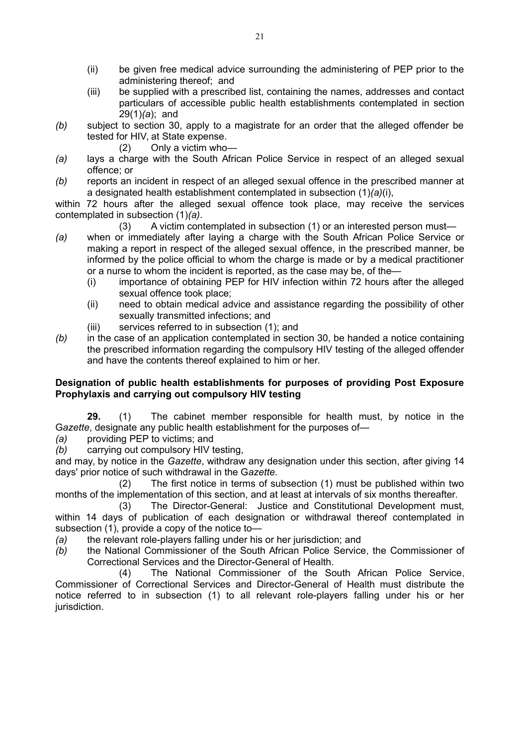- (ii) be given free medical advice surrounding the administering of PEP prior to the administering thereof; and
- (iii) be supplied with a prescribed list, containing the names, addresses and contact particulars of accessible public health establishments contemplated in section 29(1)*(a*); and
- *(b)* subject to section 30, apply to a magistrate for an order that the alleged offender be tested for HIV, at State expense.
	- (2) Only a victim who—
- *(a)* lays a charge with the South African Police Service in respect of an alleged sexual offence; or
- *(b)* reports an incident in respect of an alleged sexual offence in the prescribed manner at a designated health establishment contemplated in subsection (1)*(a)*(i),

within 72 hours after the alleged sexual offence took place, may receive the services contemplated in subsection (1)*(a)*.

- (3) A victim contemplated in subsection (1) or an interested person must—
- *(a)* when or immediately after laying a charge with the South African Police Service or making a report in respect of the alleged sexual offence, in the prescribed manner, be informed by the police official to whom the charge is made or by a medical practitioner or a nurse to whom the incident is reported, as the case may be, of the—
	- (i) importance of obtaining PEP for HIV infection within 72 hours after the alleged sexual offence took place;
	- (ii) need to obtain medical advice and assistance regarding the possibility of other sexually transmitted infections; and
	- (iii) services referred to in subsection (1); and
- *(b)* in the case of an application contemplated in section 30, be handed a notice containing the prescribed information regarding the compulsory HIV testing of the alleged offender and have the contents thereof explained to him or her.

## **Designation of public health establishments for purposes of providing Post Exposure Prophylaxis and carrying out compulsory HIV testing**

**29.** (1) The cabinet member responsible for health must, by notice in the G*azette*, designate any public health establishment for the purposes of—

- *(a)* providing PEP to victims; and
- *(b)* carrying out compulsory HIV testing,

and may, by notice in the *Gazette*, withdraw any designation under this section, after giving 14 days' prior notice of such withdrawal in the G*azette*.

(2) The first notice in terms of subsection (1) must be published within two months of the implementation of this section, and at least at intervals of six months thereafter.

(3) The Director-General: Justice and Constitutional Development must, within 14 days of publication of each designation or withdrawal thereof contemplated in subsection (1), provide a copy of the notice to—

- *(a)* the relevant role-players falling under his or her jurisdiction; and
- *(b)* the National Commissioner of the South African Police Service, the Commissioner of Correctional Services and the Director-General of Health.

(4) The National Commissioner of the South African Police Service, Commissioner of Correctional Services and Director-General of Health must distribute the notice referred to in subsection (1) to all relevant role-players falling under his or her jurisdiction.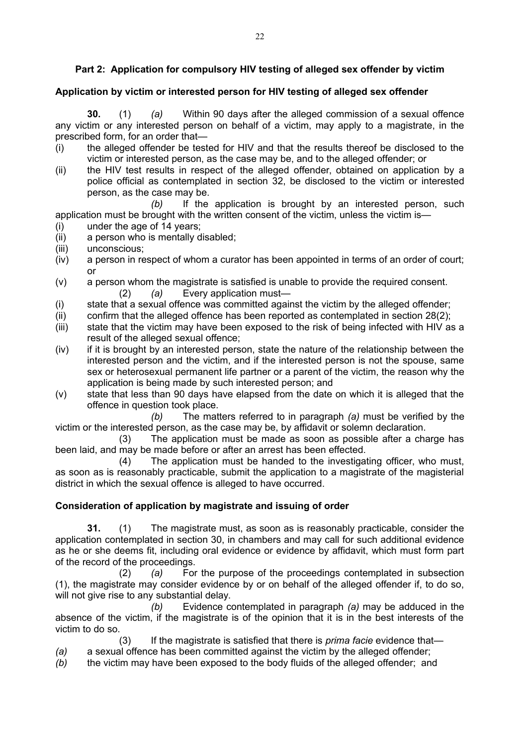# **Part 2: Application for compulsory HIV testing of alleged sex offender by victim**

## **Application by victim or interested person for HIV testing of alleged sex offender**

**30.** (1) *(a)* Within 90 days after the alleged commission of a sexual offence any victim or any interested person on behalf of a victim, may apply to a magistrate, in the prescribed form, for an order that—

- (i) the alleged offender be tested for HIV and that the results thereof be disclosed to the victim or interested person, as the case may be, and to the alleged offender; or
- (ii) the HIV test results in respect of the alleged offender, obtained on application by a police official as contemplated in section 32, be disclosed to the victim or interested person, as the case may be.

*(b)* If the application is brought by an interested person, such application must be brought with the written consent of the victim, unless the victim is—

- (i) under the age of 14 years;
- (ii) a person who is mentally disabled;
- (iii) unconscious;
- (iv) a person in respect of whom a curator has been appointed in terms of an order of court; or
- (v) a person whom the magistrate is satisfied is unable to provide the required consent. (2) *(a)* Every application must—
- (i) state that a sexual offence was committed against the victim by the alleged offender;
- (ii) confirm that the alleged offence has been reported as contemplated in section 28(2);
- (iii) state that the victim may have been exposed to the risk of being infected with HIV as a result of the alleged sexual offence;
- $(iv)$  if it is brought by an interested person, state the nature of the relationship between the interested person and the victim, and if the interested person is not the spouse, same sex or heterosexual permanent life partner or a parent of the victim, the reason why the application is being made by such interested person; and
- (v) state that less than 90 days have elapsed from the date on which it is alleged that the offence in question took place.

*(b)* The matters referred to in paragraph *(a)* must be verified by the victim or the interested person, as the case may be, by affidavit or solemn declaration.

(3) The application must be made as soon as possible after a charge has been laid, and may be made before or after an arrest has been effected.

(4) The application must be handed to the investigating officer, who must, as soon as is reasonably practicable, submit the application to a magistrate of the magisterial district in which the sexual offence is alleged to have occurred.

## **Consideration of application by magistrate and issuing of order**

**31.** (1) The magistrate must, as soon as is reasonably practicable, consider the application contemplated in section 30, in chambers and may call for such additional evidence as he or she deems fit, including oral evidence or evidence by affidavit, which must form part of the record of the proceedings.

(2) *(a)* For the purpose of the proceedings contemplated in subsection (1), the magistrate may consider evidence by or on behalf of the alleged offender if, to do so, will not give rise to any substantial delay.

*(b)* Evidence contemplated in paragraph *(a)* may be adduced in the absence of the victim, if the magistrate is of the opinion that it is in the best interests of the victim to do so.

(3) If the magistrate is satisfied that there is *prima facie* evidence that—

- *(a)* a sexual offence has been committed against the victim by the alleged offender;
- *(b)* the victim may have been exposed to the body fluids of the alleged offender; and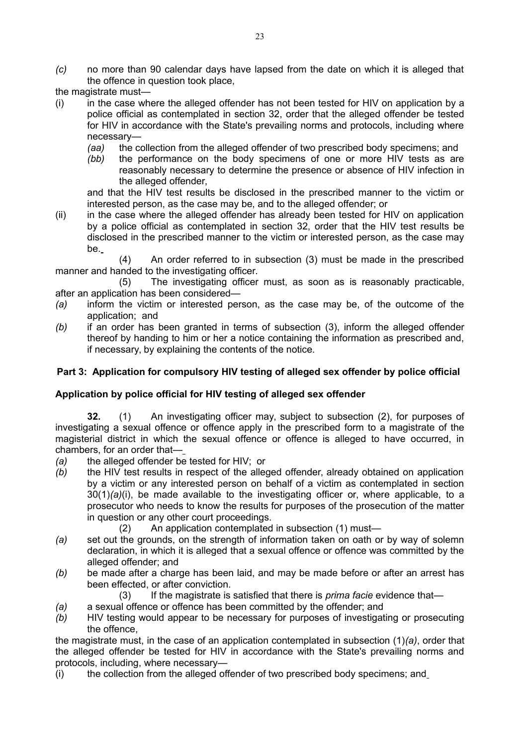- *(c)* no more than 90 calendar days have lapsed from the date on which it is alleged that the offence in question took place,
- the magistrate must—
- $(i)$  in the case where the alleged offender has not been tested for HIV on application by a police official as contemplated in section 32, order that the alleged offender be tested for HIV in accordance with the State's prevailing norms and protocols, including where necessary—
	- *(aa)* the collection from the alleged offender of two prescribed body specimens; and
	- *(bb)* the performance on the body specimens of one or more HIV tests as are reasonably necessary to determine the presence or absence of HIV infection in the alleged offender,

and that the HIV test results be disclosed in the prescribed manner to the victim or interested person, as the case may be, and to the alleged offender; or

(ii) in the case where the alleged offender has already been tested for HIV on application by a police official as contemplated in section 32, order that the HIV test results be disclosed in the prescribed manner to the victim or interested person, as the case may be.

(4) An order referred to in subsection (3) must be made in the prescribed manner and handed to the investigating officer.

(5) The investigating officer must, as soon as is reasonably practicable, after an application has been considered—

- *(a)* inform the victim or interested person, as the case may be, of the outcome of the application; and
- *(b)* if an order has been granted in terms of subsection (3), inform the alleged offender thereof by handing to him or her a notice containing the information as prescribed and, if necessary, by explaining the contents of the notice.

# **Part 3: Application for compulsory HIV testing of alleged sex offender by police official**

## **Application by police official for HIV testing of alleged sex offender**

**32.** (1) An investigating officer may, subject to subsection (2), for purposes of investigating a sexual offence or offence apply in the prescribed form to a magistrate of the magisterial district in which the sexual offence or offence is alleged to have occurred, in chambers, for an order that—

- *(a)* the alleged offender be tested for HIV; or
- *(b)* the HIV test results in respect of the alleged offender, already obtained on application by a victim or any interested person on behalf of a victim as contemplated in section 30(1)*(a)*(i), be made available to the investigating officer or, where applicable, to a prosecutor who needs to know the results for purposes of the prosecution of the matter in question or any other court proceedings.
	- (2) An application contemplated in subsection (1) must—
- *(a)* set out the grounds, on the strength of information taken on oath or by way of solemn declaration, in which it is alleged that a sexual offence or offence was committed by the alleged offender; and
- *(b)* be made after a charge has been laid, and may be made before or after an arrest has been effected, or after conviction.
	- (3) If the magistrate is satisfied that there is *prima facie* evidence that—
- *(a)* a sexual offence or offence has been committed by the offender; and
- *(b)* HIV testing would appear to be necessary for purposes of investigating or prosecuting the offence,

the magistrate must, in the case of an application contemplated in subsection (1)*(a)*, order that the alleged offender be tested for HIV in accordance with the State's prevailing norms and protocols, including, where necessary—

(i) the collection from the alleged offender of two prescribed body specimens; and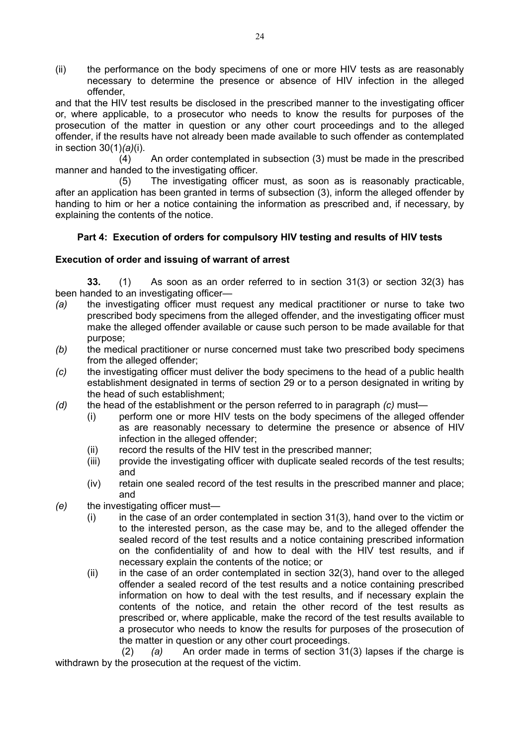(ii) the performance on the body specimens of one or more HIV tests as are reasonably necessary to determine the presence or absence of HIV infection in the alleged offender,

and that the HIV test results be disclosed in the prescribed manner to the investigating officer or, where applicable, to a prosecutor who needs to know the results for purposes of the prosecution of the matter in question or any other court proceedings and to the alleged offender, if the results have not already been made available to such offender as contemplated in section 30(1)*(a)*(i).

(4) An order contemplated in subsection (3) must be made in the prescribed manner and handed to the investigating officer.

(5) The investigating officer must, as soon as is reasonably practicable, after an application has been granted in terms of subsection (3), inform the alleged offender by handing to him or her a notice containing the information as prescribed and, if necessary, by explaining the contents of the notice.

# **Part 4: Execution of orders for compulsory HIV testing and results of HIV tests**

## **Execution of order and issuing of warrant of arrest**

**33.** (1) As soon as an order referred to in section 31(3) or section 32(3) has been handed to an investigating officer—

- *(a)* the investigating officer must request any medical practitioner or nurse to take two prescribed body specimens from the alleged offender, and the investigating officer must make the alleged offender available or cause such person to be made available for that purpose;
- *(b)* the medical practitioner or nurse concerned must take two prescribed body specimens from the alleged offender;
- *(c)* the investigating officer must deliver the body specimens to the head of a public health establishment designated in terms of section 29 or to a person designated in writing by the head of such establishment;
- *(d)* the head of the establishment or the person referred to in paragraph *(c)* must—
	- (i) perform one or more HIV tests on the body specimens of the alleged offender as are reasonably necessary to determine the presence or absence of HIV infection in the alleged offender;
	- (ii) record the results of the HIV test in the prescribed manner;
	- (iii) provide the investigating officer with duplicate sealed records of the test results; and
	- (iv) retain one sealed record of the test results in the prescribed manner and place; and
- *(e)* the investigating officer must—
	- $(i)$  in the case of an order contemplated in section 31(3), hand over to the victim or to the interested person, as the case may be, and to the alleged offender the sealed record of the test results and a notice containing prescribed information on the confidentiality of and how to deal with the HIV test results, and if necessary explain the contents of the notice; or
	- (ii) in the case of an order contemplated in section 32(3), hand over to the alleged offender a sealed record of the test results and a notice containing prescribed information on how to deal with the test results, and if necessary explain the contents of the notice, and retain the other record of the test results as prescribed or, where applicable, make the record of the test results available to a prosecutor who needs to know the results for purposes of the prosecution of the matter in question or any other court proceedings.

 (2) *(a)* An order made in terms of section 31(3) lapses if the charge is withdrawn by the prosecution at the request of the victim.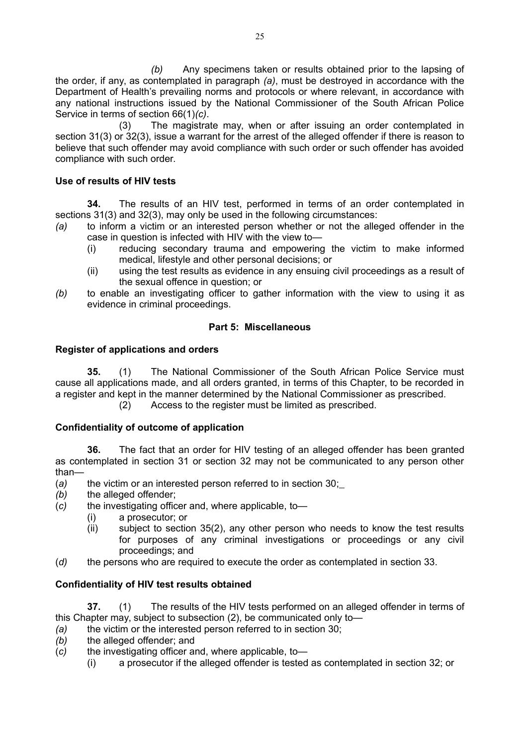*(b)* Any specimens taken or results obtained prior to the lapsing of the order, if any, as contemplated in paragraph *(a)*, must be destroyed in accordance with the Department of Health's prevailing norms and protocols or where relevant, in accordance with any national instructions issued by the National Commissioner of the South African Police Service in terms of section 66(1)*(c)*.

(3) The magistrate may, when or after issuing an order contemplated in section 31(3) or 32(3), issue a warrant for the arrest of the alleged offender if there is reason to believe that such offender may avoid compliance with such order or such offender has avoided compliance with such order.

## **Use of results of HIV tests**

**34.** The results of an HIV test, performed in terms of an order contemplated in sections 31(3) and 32(3), may only be used in the following circumstances:

- *(a)* to inform a victim or an interested person whether or not the alleged offender in the case in question is infected with HIV with the view to—
	- (i) reducing secondary trauma and empowering the victim to make informed medical, lifestyle and other personal decisions; or
	- (ii) using the test results as evidence in any ensuing civil proceedings as a result of the sexual offence in question; or
- *(b)* to enable an investigating officer to gather information with the view to using it as evidence in criminal proceedings.

# **Part 5: Miscellaneous**

## **Register of applications and orders**

**35.** (1) The National Commissioner of the South African Police Service must cause all applications made, and all orders granted, in terms of this Chapter, to be recorded in a register and kept in the manner determined by the National Commissioner as prescribed.

(2) Access to the register must be limited as prescribed.

## **Confidentiality of outcome of application**

**36.** The fact that an order for HIV testing of an alleged offender has been granted as contemplated in section 31 or section 32 may not be communicated to any person other than—

- (*a)* the victim or an interested person referred to in section 30;
- *(b)* the alleged offender;
- (*c)* the investigating officer and, where applicable, to—
	- (i) a prosecutor; or
	- (ii) subject to section 35(2), any other person who needs to know the test results for purposes of any criminal investigations or proceedings or any civil proceedings; and
- (*d)* the persons who are required to execute the order as contemplated in section 33.

## **Confidentiality of HIV test results obtained**

**37.** (1) The results of the HIV tests performed on an alleged offender in terms of this Chapter may, subject to subsection (2), be communicated only to—

- *(a)* the victim or the interested person referred to in section 30;
- *(b)* the alleged offender; and
- (*c)* the investigating officer and, where applicable, to—
	- (i) a prosecutor if the alleged offender is tested as contemplated in section 32; or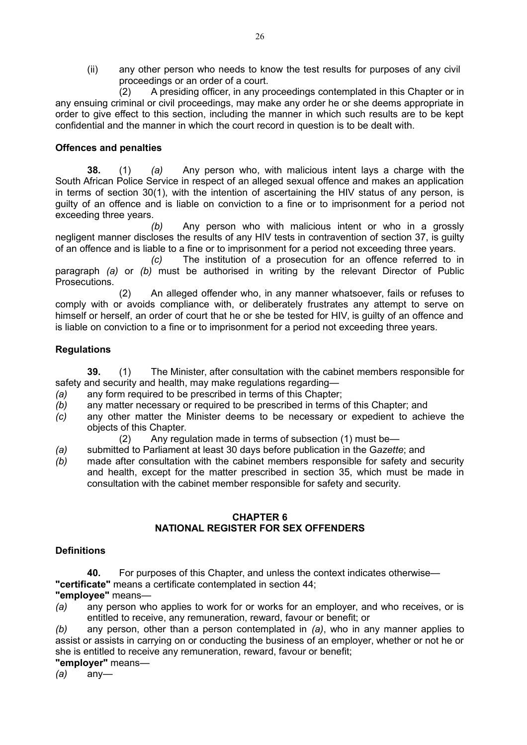(ii) any other person who needs to know the test results for purposes of any civil proceedings or an order of a court.

(2) A presiding officer, in any proceedings contemplated in this Chapter or in any ensuing criminal or civil proceedings, may make any order he or she deems appropriate in order to give effect to this section, including the manner in which such results are to be kept confidential and the manner in which the court record in question is to be dealt with.

## **Offences and penalties**

**38.** (1) *(a)* Any person who, with malicious intent lays a charge with the South African Police Service in respect of an alleged sexual offence and makes an application in terms of section 30(1), with the intention of ascertaining the HIV status of any person, is guilty of an offence and is liable on conviction to a fine or to imprisonment for a period not exceeding three years.

*(b)* Any person who with malicious intent or who in a grossly negligent manner discloses the results of any HIV tests in contravention of section 37, is guilty of an offence and is liable to a fine or to imprisonment for a period not exceeding three years.

*(c)* The institution of a prosecution for an offence referred to in paragraph *(a)* or *(b)* must be authorised in writing by the relevant Director of Public Prosecutions.

(2) An alleged offender who, in any manner whatsoever, fails or refuses to comply with or avoids compliance with, or deliberately frustrates any attempt to serve on himself or herself, an order of court that he or she be tested for HIV, is guilty of an offence and is liable on conviction to a fine or to imprisonment for a period not exceeding three years.

## **Regulations**

**39.** (1) The Minister, after consultation with the cabinet members responsible for safety and security and health, may make regulations regarding—

- *(a)* any form required to be prescribed in terms of this Chapter;
- *(b)* any matter necessary or required to be prescribed in terms of this Chapter; and
- *(c)* any other matter the Minister deems to be necessary or expedient to achieve the objects of this Chapter.

(2) Any regulation made in terms of subsection (1) must be—

- *(a)* submitted to Parliament at least 30 days before publication in the G*azette*; and
- *(b)* made after consultation with the cabinet members responsible for safety and security and health, except for the matter prescribed in section 35, which must be made in consultation with the cabinet member responsible for safety and security.

## **CHAPTER 6 NATIONAL REGISTER FOR SEX OFFENDERS**

#### **Definitions**

**40.** For purposes of this Chapter, and unless the context indicates otherwise—

**"certificate"** means a certificate contemplated in section 44;

**"employee"** means—

*(a)* any person who applies to work for or works for an employer, and who receives, or is entitled to receive, any remuneration, reward, favour or benefit; or

*(b)* any person, other than a person contemplated in *(a)*, who in any manner applies to assist or assists in carrying on or conducting the business of an employer, whether or not he or she is entitled to receive any remuneration, reward, favour or benefit;

**"employer"** means—

*(a)* any—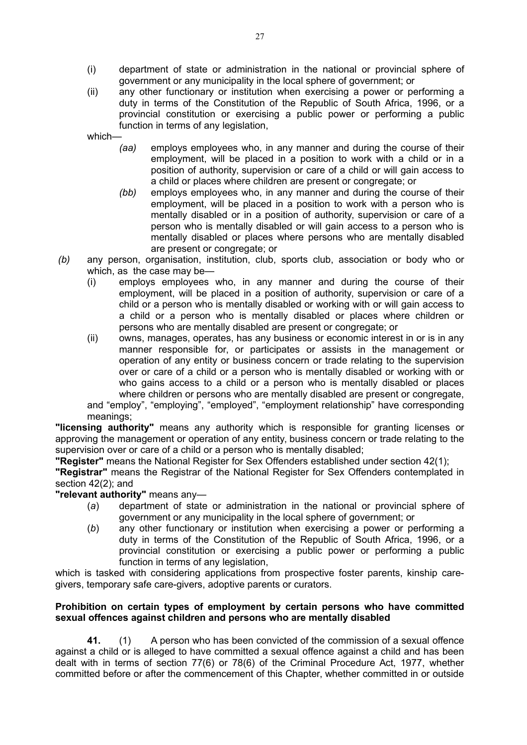- (i) department of state or administration in the national or provincial sphere of government or any municipality in the local sphere of government; or
- (ii) any other functionary or institution when exercising a power or performing a duty in terms of the Constitution of the Republic of South Africa, 1996, or a provincial constitution or exercising a public power or performing a public function in terms of any legislation,

which—

- *(aa)* employs employees who, in any manner and during the course of their employment, will be placed in a position to work with a child or in a position of authority, supervision or care of a child or will gain access to a child or places where children are present or congregate; or
- *(bb)* employs employees who, in any manner and during the course of their employment, will be placed in a position to work with a person who is mentally disabled or in a position of authority, supervision or care of a person who is mentally disabled or will gain access to a person who is mentally disabled or places where persons who are mentally disabled are present or congregate; or
- *(b)* any person, organisation, institution, club, sports club, association or body who or which, as the case may be—
	- (i) employs employees who, in any manner and during the course of their employment, will be placed in a position of authority, supervision or care of a child or a person who is mentally disabled or working with or will gain access to a child or a person who is mentally disabled or places where children or persons who are mentally disabled are present or congregate; or
	- (ii) owns, manages, operates, has any business or economic interest in or is in any manner responsible for, or participates or assists in the management or operation of any entity or business concern or trade relating to the supervision over or care of a child or a person who is mentally disabled or working with or who gains access to a child or a person who is mentally disabled or places where children or persons who are mentally disabled are present or congregate, and "employ", "employing", "employed", "employment relationship" have corresponding meanings;

**"licensing authority"** means any authority which is responsible for granting licenses or approving the management or operation of any entity, business concern or trade relating to the supervision over or care of a child or a person who is mentally disabled;

**"Register"** means the National Register for Sex Offenders established under section 42(1);

**"Registrar"** means the Registrar of the National Register for Sex Offenders contemplated in section 42(2); and

**"relevant authority"** means any—

- (*a*) department of state or administration in the national or provincial sphere of government or any municipality in the local sphere of government; or
- (*b*) any other functionary or institution when exercising a power or performing a duty in terms of the Constitution of the Republic of South Africa, 1996, or a provincial constitution or exercising a public power or performing a public function in terms of any legislation,

which is tasked with considering applications from prospective foster parents, kinship caregivers, temporary safe care-givers, adoptive parents or curators.

### **Prohibition on certain types of employment by certain persons who have committed sexual offences against children and persons who are mentally disabled**

**41.** (1) A person who has been convicted of the commission of a sexual offence against a child or is alleged to have committed a sexual offence against a child and has been dealt with in terms of section 77(6) or 78(6) of the Criminal Procedure Act, 1977, whether committed before or after the commencement of this Chapter, whether committed in or outside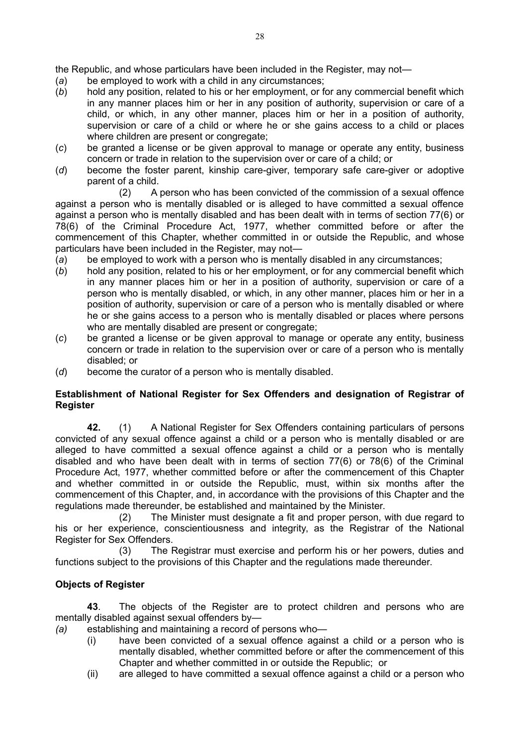the Republic, and whose particulars have been included in the Register, may not—

- (*a*) be employed to work with a child in any circumstances;
- (*b*) hold any position, related to his or her employment, or for any commercial benefit which in any manner places him or her in any position of authority, supervision or care of a child, or which, in any other manner, places him or her in a position of authority, supervision or care of a child or where he or she gains access to a child or places where children are present or congregate;
- (*c*) be granted a license or be given approval to manage or operate any entity, business concern or trade in relation to the supervision over or care of a child; or
- (*d*) become the foster parent, kinship care-giver, temporary safe care-giver or adoptive parent of a child.

(2) A person who has been convicted of the commission of a sexual offence against a person who is mentally disabled or is alleged to have committed a sexual offence against a person who is mentally disabled and has been dealt with in terms of section 77(6) or 78(6) of the Criminal Procedure Act, 1977, whether committed before or after the commencement of this Chapter, whether committed in or outside the Republic, and whose particulars have been included in the Register, may not—

- (*a*) be employed to work with a person who is mentally disabled in any circumstances;
- (*b*) hold any position, related to his or her employment, or for any commercial benefit which in any manner places him or her in a position of authority, supervision or care of a person who is mentally disabled, or which, in any other manner, places him or her in a position of authority, supervision or care of a person who is mentally disabled or where he or she gains access to a person who is mentally disabled or places where persons who are mentally disabled are present or congregate;
- (*c*) be granted a license or be given approval to manage or operate any entity, business concern or trade in relation to the supervision over or care of a person who is mentally disabled; or
- (*d*) become the curator of a person who is mentally disabled.

# **Establishment of National Register for Sex Offenders and designation of Registrar of Register**

**42.** (1) A National Register for Sex Offenders containing particulars of persons convicted of any sexual offence against a child or a person who is mentally disabled or are alleged to have committed a sexual offence against a child or a person who is mentally disabled and who have been dealt with in terms of section 77(6) or 78(6) of the Criminal Procedure Act, 1977, whether committed before or after the commencement of this Chapter and whether committed in or outside the Republic, must, within six months after the commencement of this Chapter, and, in accordance with the provisions of this Chapter and the regulations made thereunder, be established and maintained by the Minister.

(2) The Minister must designate a fit and proper person, with due regard to his or her experience, conscientiousness and integrity, as the Registrar of the National Register for Sex Offenders.

(3) The Registrar must exercise and perform his or her powers, duties and functions subject to the provisions of this Chapter and the regulations made thereunder.

# **Objects of Register**

**43**. The objects of the Register are to protect children and persons who are mentally disabled against sexual offenders by—

*(a)* establishing and maintaining a record of persons who—

- (i) have been convicted of a sexual offence against a child or a person who is mentally disabled, whether committed before or after the commencement of this Chapter and whether committed in or outside the Republic; or
- (ii) are alleged to have committed a sexual offence against a child or a person who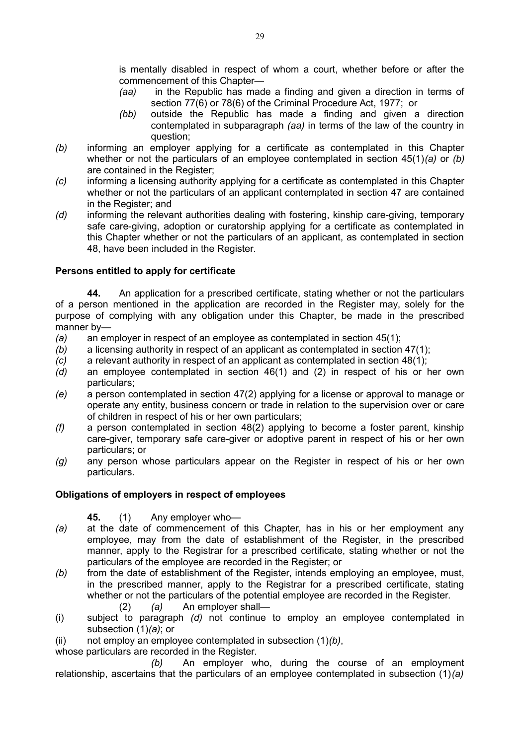is mentally disabled in respect of whom a court, whether before or after the commencement of this Chapter—

- *(aa)* in the Republic has made a finding and given a direction in terms of section 77(6) or 78(6) of the Criminal Procedure Act, 1977; or
- *(bb)* outside the Republic has made a finding and given a direction contemplated in subparagraph *(aa)* in terms of the law of the country in question;
- *(b)* informing an employer applying for a certificate as contemplated in this Chapter whether or not the particulars of an employee contemplated in section 45(1)*(a)* or *(b)* are contained in the Register;
- *(c)* informing a licensing authority applying for a certificate as contemplated in this Chapter whether or not the particulars of an applicant contemplated in section 47 are contained in the Register; and
- *(d)* informing the relevant authorities dealing with fostering, kinship care-giving, temporary safe care-giving, adoption or curatorship applying for a certificate as contemplated in this Chapter whether or not the particulars of an applicant, as contemplated in section 48, have been included in the Register.

# **Persons entitled to apply for certificate**

**44.** An application for a prescribed certificate, stating whether or not the particulars of a person mentioned in the application are recorded in the Register may, solely for the purpose of complying with any obligation under this Chapter, be made in the prescribed manner by—

- *(a)* an employer in respect of an employee as contemplated in section 45(1);
- *(b)* a licensing authority in respect of an applicant as contemplated in section 47(1);
- *(c)* a relevant authority in respect of an applicant as contemplated in section 48(1);
- *(d)* an employee contemplated in section 46(1) and (2) in respect of his or her own particulars;
- *(e)* a person contemplated in section 47(2) applying for a license or approval to manage or operate any entity, business concern or trade in relation to the supervision over or care of children in respect of his or her own particulars;
- *(f)* a person contemplated in section 48(2) applying to become a foster parent, kinship care-giver, temporary safe care-giver or adoptive parent in respect of his or her own particulars; or
- *(g)* any person whose particulars appear on the Register in respect of his or her own particulars.

## **Obligations of employers in respect of employees**

**45.** (1) Any employer who—

- *(a)* at the date of commencement of this Chapter, has in his or her employment any employee, may from the date of establishment of the Register, in the prescribed manner, apply to the Registrar for a prescribed certificate, stating whether or not the particulars of the employee are recorded in the Register; or
- *(b)* from the date of establishment of the Register, intends employing an employee, must, in the prescribed manner, apply to the Registrar for a prescribed certificate, stating whether or not the particulars of the potential employee are recorded in the Register.
	- (2) *(a)* An employer shall—
- (i) subject to paragraph *(d)* not continue to employ an employee contemplated in subsection (1)*(a)*; or
- (ii) not employ an employee contemplated in subsection (1)*(b)*,

whose particulars are recorded in the Register.

*(b)* An employer who, during the course of an employment relationship, ascertains that the particulars of an employee contemplated in subsection (1)*(a)*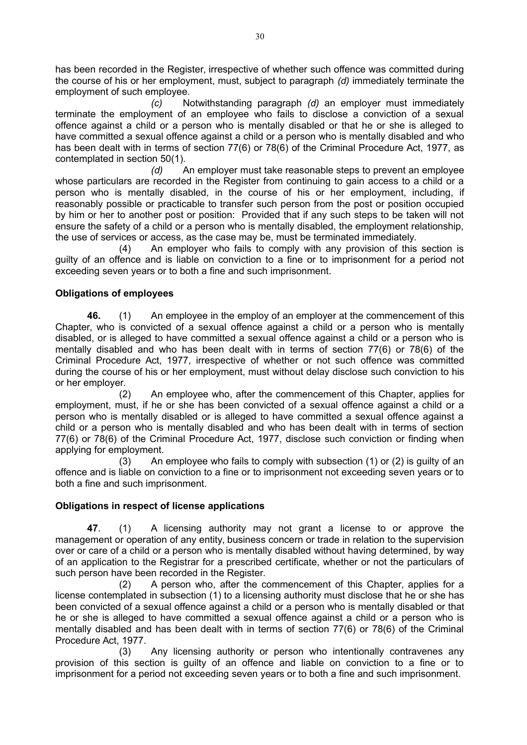has been recorded in the Register, irrespective of whether such offence was committed during the course of his or her employment, must, subject to paragraph *(d)* immediately terminate the employment of such employee.

*(c)* Notwithstanding paragraph *(d)* an employer must immediately terminate the employment of an employee who fails to disclose a conviction of a sexual offence against a child or a person who is mentally disabled or that he or she is alleged to have committed a sexual offence against a child or a person who is mentally disabled and who has been dealt with in terms of section 77(6) or 78(6) of the Criminal Procedure Act, 1977, as contemplated in section 50(1).

*(d)* An employer must take reasonable steps to prevent an employee whose particulars are recorded in the Register from continuing to gain access to a child or a person who is mentally disabled, in the course of his or her employment, including, if reasonably possible or practicable to transfer such person from the post or position occupied by him or her to another post or position: Provided that if any such steps to be taken will not ensure the safety of a child or a person who is mentally disabled, the employment relationship, the use of services or access, as the case may be, must be terminated immediately.

(4) An employer who fails to comply with any provision of this section is guilty of an offence and is liable on conviction to a fine or to imprisonment for a period not exceeding seven years or to both a fine and such imprisonment.

# **Obligations of employees**

**46.** (1) An employee in the employ of an employer at the commencement of this Chapter, who is convicted of a sexual offence against a child or a person who is mentally disabled, or is alleged to have committed a sexual offence against a child or a person who is mentally disabled and who has been dealt with in terms of section 77(6) or 78(6) of the Criminal Procedure Act, 1977, irrespective of whether or not such offence was committed during the course of his or her employment, must without delay disclose such conviction to his or her employer.

(2) An employee who, after the commencement of this Chapter, applies for employment, must, if he or she has been convicted of a sexual offence against a child or a person who is mentally disabled or is alleged to have committed a sexual offence against a child or a person who is mentally disabled and who has been dealt with in terms of section 77(6) or 78(6) of the Criminal Procedure Act, 1977, disclose such conviction or finding when applying for employment.

 $(3)$  An employee who fails to comply with subsection (1) or (2) is quilty of an offence and is liable on conviction to a fine or to imprisonment not exceeding seven years or to both a fine and such imprisonment.

## **Obligations in respect of license applications**

**47**. (1) A licensing authority may not grant a license to or approve the management or operation of any entity, business concern or trade in relation to the supervision over or care of a child or a person who is mentally disabled without having determined, by way of an application to the Registrar for a prescribed certificate, whether or not the particulars of such person have been recorded in the Register.

(2) A person who, after the commencement of this Chapter, applies for a license contemplated in subsection (1) to a licensing authority must disclose that he or she has been convicted of a sexual offence against a child or a person who is mentally disabled or that he or she is alleged to have committed a sexual offence against a child or a person who is mentally disabled and has been dealt with in terms of section 77(6) or 78(6) of the Criminal Procedure Act, 1977.

(3) Any licensing authority or person who intentionally contravenes any provision of this section is guilty of an offence and liable on conviction to a fine or to imprisonment for a period not exceeding seven years or to both a fine and such imprisonment.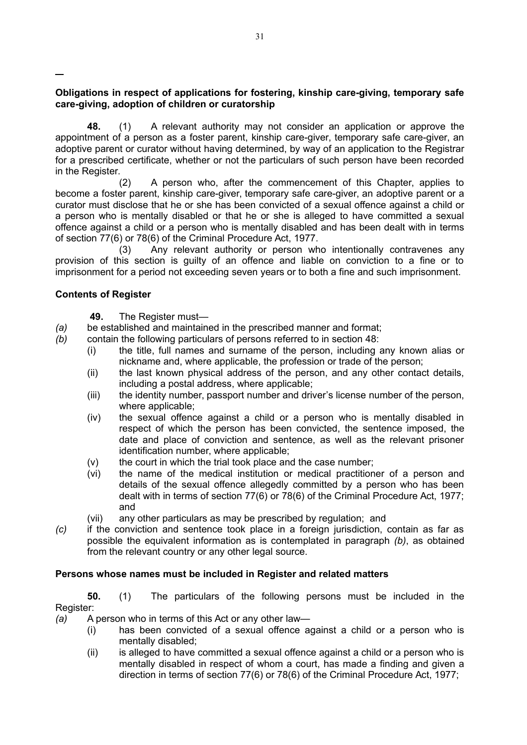**Obligations in respect of applications for fostering, kinship care-giving, temporary safe care-giving, adoption of children or curatorship**

**48.** (1) A relevant authority may not consider an application or approve the appointment of a person as a foster parent, kinship care-giver, temporary safe care-giver, an adoptive parent or curator without having determined, by way of an application to the Registrar for a prescribed certificate, whether or not the particulars of such person have been recorded in the Register.

(2) A person who, after the commencement of this Chapter, applies to become a foster parent, kinship care-giver, temporary safe care-giver, an adoptive parent or a curator must disclose that he or she has been convicted of a sexual offence against a child or a person who is mentally disabled or that he or she is alleged to have committed a sexual offence against a child or a person who is mentally disabled and has been dealt with in terms of section 77(6) or 78(6) of the Criminal Procedure Act, 1977.

(3) Any relevant authority or person who intentionally contravenes any provision of this section is guilty of an offence and liable on conviction to a fine or to imprisonment for a period not exceeding seven years or to both a fine and such imprisonment.

## **Contents of Register**

- **49.** The Register must—
- *(a)* be established and maintained in the prescribed manner and format;
- *(b)* contain the following particulars of persons referred to in section 48:
	- (i) the title, full names and surname of the person, including any known alias or nickname and, where applicable, the profession or trade of the person;
		- (ii) the last known physical address of the person, and any other contact details, including a postal address, where applicable;
		- (iii) the identity number, passport number and driver's license number of the person, where applicable;
		- (iv) the sexual offence against a child or a person who is mentally disabled in respect of which the person has been convicted, the sentence imposed, the date and place of conviction and sentence, as well as the relevant prisoner identification number, where applicable;
		- (v) the court in which the trial took place and the case number;
		- (vi) the name of the medical institution or medical practitioner of a person and details of the sexual offence allegedly committed by a person who has been dealt with in terms of section 77(6) or 78(6) of the Criminal Procedure Act, 1977; and
		- (vii) any other particulars as may be prescribed by regulation; and
- *(c)* if the conviction and sentence took place in a foreign jurisdiction, contain as far as possible the equivalent information as is contemplated in paragraph *(b)*, as obtained from the relevant country or any other legal source.

#### **Persons whose names must be included in Register and related matters**

**50.** (1) The particulars of the following persons must be included in the Register:

*(a)* A person who in terms of this Act or any other law—

- (i) has been convicted of a sexual offence against a child or a person who is mentally disabled;
- (ii) is alleged to have committed a sexual offence against a child or a person who is mentally disabled in respect of whom a court, has made a finding and given a direction in terms of section 77(6) or 78(6) of the Criminal Procedure Act, 1977;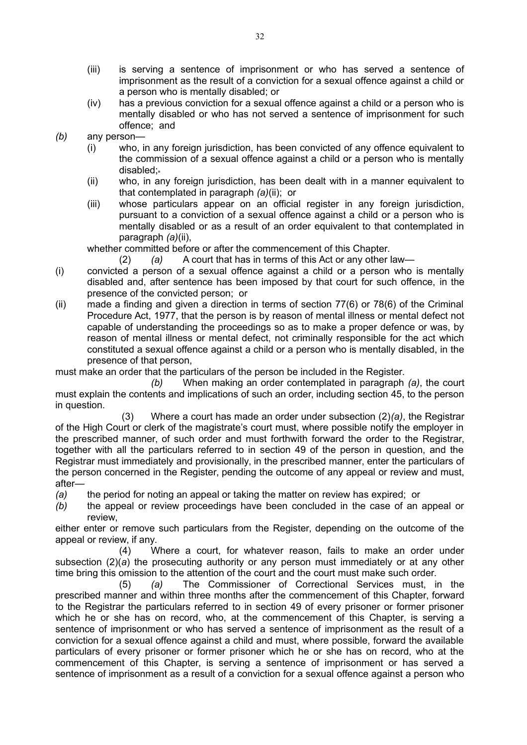- (iii) is serving a sentence of imprisonment or who has served a sentence of imprisonment as the result of a conviction for a sexual offence against a child or a person who is mentally disabled; or
- (iv) has a previous conviction for a sexual offence against a child or a person who is mentally disabled or who has not served a sentence of imprisonment for such offence; and
- *(b)* any person—
	- (i) who, in any foreign jurisdiction, has been convicted of any offence equivalent to the commission of a sexual offence against a child or a person who is mentally disabled;
	- (ii) who, in any foreign jurisdiction, has been dealt with in a manner equivalent to that contemplated in paragraph *(a)*(ii); or
	- (iii) whose particulars appear on an official register in any foreign jurisdiction, pursuant to a conviction of a sexual offence against a child or a person who is mentally disabled or as a result of an order equivalent to that contemplated in paragraph *(a)*(ii),

whether committed before or after the commencement of this Chapter.

- (2) *(a)* A court that has in terms of this Act or any other law—
- (i) convicted a person of a sexual offence against a child or a person who is mentally disabled and, after sentence has been imposed by that court for such offence, in the presence of the convicted person; or
- (ii) made a finding and given a direction in terms of section 77(6) or 78(6) of the Criminal Procedure Act, 1977, that the person is by reason of mental illness or mental defect not capable of understanding the proceedings so as to make a proper defence or was, by reason of mental illness or mental defect, not criminally responsible for the act which constituted a sexual offence against a child or a person who is mentally disabled, in the presence of that person,

must make an order that the particulars of the person be included in the Register.

*(b)* When making an order contemplated in paragraph *(a)*, the court must explain the contents and implications of such an order, including section 45, to the person in question.

 (3) Where a court has made an order under subsection (2)*(a)*, the Registrar of the High Court or clerk of the magistrate's court must, where possible notify the employer in the prescribed manner, of such order and must forthwith forward the order to the Registrar, together with all the particulars referred to in section 49 of the person in question, and the Registrar must immediately and provisionally, in the prescribed manner, enter the particulars of the person concerned in the Register, pending the outcome of any appeal or review and must, after—

*(a)* the period for noting an appeal or taking the matter on review has expired; or

*(b)* the appeal or review proceedings have been concluded in the case of an appeal or review,

either enter or remove such particulars from the Register, depending on the outcome of the appeal or review, if any.

(4) Where a court, for whatever reason, fails to make an order under subsection (2)(*a*) the prosecuting authority or any person must immediately or at any other time bring this omission to the attention of the court and the court must make such order.

(5) *(a)* The Commissioner of Correctional Services must, in the prescribed manner and within three months after the commencement of this Chapter, forward to the Registrar the particulars referred to in section 49 of every prisoner or former prisoner which he or she has on record, who, at the commencement of this Chapter, is serving a sentence of imprisonment or who has served a sentence of imprisonment as the result of a conviction for a sexual offence against a child and must, where possible, forward the available particulars of every prisoner or former prisoner which he or she has on record, who at the commencement of this Chapter, is serving a sentence of imprisonment or has served a sentence of imprisonment as a result of a conviction for a sexual offence against a person who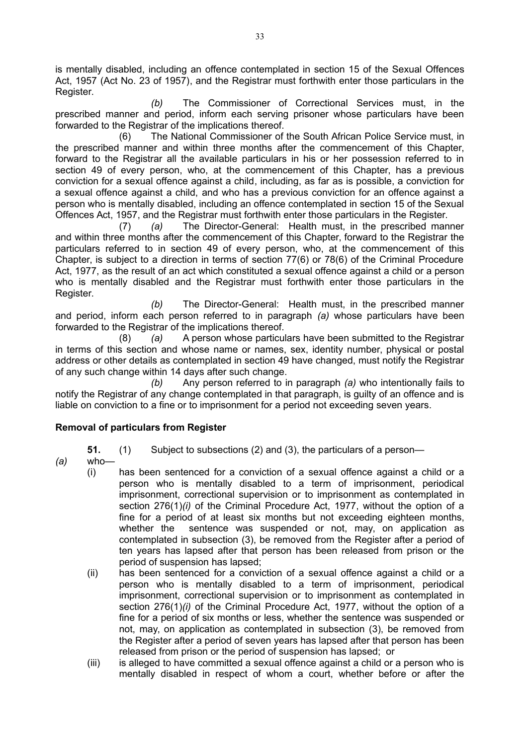is mentally disabled, including an offence contemplated in section 15 of the Sexual Offences Act, 1957 (Act No. 23 of 1957), and the Registrar must forthwith enter those particulars in the Register.

*(b)* The Commissioner of Correctional Services must, in the prescribed manner and period, inform each serving prisoner whose particulars have been forwarded to the Registrar of the implications thereof.

(6) The National Commissioner of the South African Police Service must, in the prescribed manner and within three months after the commencement of this Chapter, forward to the Registrar all the available particulars in his or her possession referred to in section 49 of every person, who, at the commencement of this Chapter, has a previous conviction for a sexual offence against a child, including, as far as is possible, a conviction for a sexual offence against a child, and who has a previous conviction for an offence against a person who is mentally disabled, including an offence contemplated in section 15 of the Sexual Offences Act, 1957, and the Registrar must forthwith enter those particulars in the Register.

(7) *(a)* The Director-General: Health must, in the prescribed manner and within three months after the commencement of this Chapter, forward to the Registrar the particulars referred to in section 49 of every person, who, at the commencement of this Chapter, is subject to a direction in terms of section 77(6) or 78(6) of the Criminal Procedure Act, 1977, as the result of an act which constituted a sexual offence against a child or a person who is mentally disabled and the Registrar must forthwith enter those particulars in the Register.

*(b)* The Director-General: Health must, in the prescribed manner and period, inform each person referred to in paragraph *(a)* whose particulars have been forwarded to the Registrar of the implications thereof.

(8) *(a)* A person whose particulars have been submitted to the Registrar in terms of this section and whose name or names, sex, identity number, physical or postal address or other details as contemplated in section 49 have changed, must notify the Registrar of any such change within 14 days after such change.

*(b)* Any person referred to in paragraph *(a)* who intentionally fails to notify the Registrar of any change contemplated in that paragraph, is guilty of an offence and is liable on conviction to a fine or to imprisonment for a period not exceeding seven years.

## **Removal of particulars from Register**

- **51.** (1) Subject to subsections (2) and (3), the particulars of a person—
- *(a)* who—
	- (i) has been sentenced for a conviction of a sexual offence against a child or a person who is mentally disabled to a term of imprisonment, periodical imprisonment, correctional supervision or to imprisonment as contemplated in section 276(1)*(i)* of the Criminal Procedure Act, 1977, without the option of a fine for a period of at least six months but not exceeding eighteen months, whether the sentence was suspended or not, may, on application as contemplated in subsection (3), be removed from the Register after a period of ten years has lapsed after that person has been released from prison or the period of suspension has lapsed;
	- (ii) has been sentenced for a conviction of a sexual offence against a child or a person who is mentally disabled to a term of imprisonment, periodical imprisonment, correctional supervision or to imprisonment as contemplated in section 276(1)*(i)* of the Criminal Procedure Act, 1977, without the option of a fine for a period of six months or less, whether the sentence was suspended or not, may, on application as contemplated in subsection (3), be removed from the Register after a period of seven years has lapsed after that person has been released from prison or the period of suspension has lapsed; or
	- (iii) is alleged to have committed a sexual offence against a child or a person who is mentally disabled in respect of whom a court, whether before or after the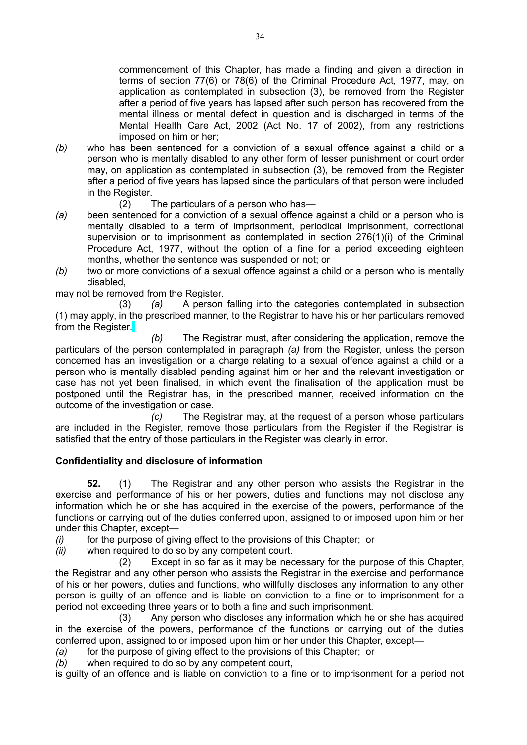commencement of this Chapter, has made a finding and given a direction in terms of section 77(6) or 78(6) of the Criminal Procedure Act, 1977, may, on application as contemplated in subsection (3), be removed from the Register after a period of five years has lapsed after such person has recovered from the mental illness or mental defect in question and is discharged in terms of the Mental Health Care Act, 2002 (Act No. 17 of 2002), from any restrictions imposed on him or her;

- *(b)* who has been sentenced for a conviction of a sexual offence against a child or a person who is mentally disabled to any other form of lesser punishment or court order may, on application as contemplated in subsection (3), be removed from the Register after a period of five years has lapsed since the particulars of that person were included in the Register.
	- (2) The particulars of a person who has—
- *(a)* been sentenced for a conviction of a sexual offence against a child or a person who is mentally disabled to a term of imprisonment, periodical imprisonment, correctional supervision or to imprisonment as contemplated in section 276(1)(i) of the Criminal Procedure Act, 1977, without the option of a fine for a period exceeding eighteen months, whether the sentence was suspended or not; or
- *(b)* two or more convictions of a sexual offence against a child or a person who is mentally disabled,

may not be removed from the Register.

(3) *(a)* A person falling into the categories contemplated in subsection (1) may apply, in the prescribed manner, to the Registrar to have his or her particulars removed from the Register.

*(b)* The Registrar must, after considering the application, remove the particulars of the person contemplated in paragraph *(a)* from the Register, unless the person concerned has an investigation or a charge relating to a sexual offence against a child or a person who is mentally disabled pending against him or her and the relevant investigation or case has not yet been finalised, in which event the finalisation of the application must be postponed until the Registrar has, in the prescribed manner, received information on the outcome of the investigation or case.

*(c)* The Registrar may, at the request of a person whose particulars are included in the Register, remove those particulars from the Register if the Registrar is satisfied that the entry of those particulars in the Register was clearly in error.

# **Confidentiality and disclosure of information**

**52.** (1) The Registrar and any other person who assists the Registrar in the exercise and performance of his or her powers, duties and functions may not disclose any information which he or she has acquired in the exercise of the powers, performance of the functions or carrying out of the duties conferred upon, assigned to or imposed upon him or her under this Chapter, except—

*(i)* for the purpose of giving effect to the provisions of this Chapter; or

*(ii)* when required to do so by any competent court.

(2) Except in so far as it may be necessary for the purpose of this Chapter, the Registrar and any other person who assists the Registrar in the exercise and performance of his or her powers, duties and functions, who willfully discloses any information to any other person is guilty of an offence and is liable on conviction to a fine or to imprisonment for a period not exceeding three years or to both a fine and such imprisonment.

(3) Any person who discloses any information which he or she has acquired in the exercise of the powers, performance of the functions or carrying out of the duties conferred upon, assigned to or imposed upon him or her under this Chapter, except—

*(a)* for the purpose of giving effect to the provisions of this Chapter; or

*(b)* when required to do so by any competent court,

is guilty of an offence and is liable on conviction to a fine or to imprisonment for a period not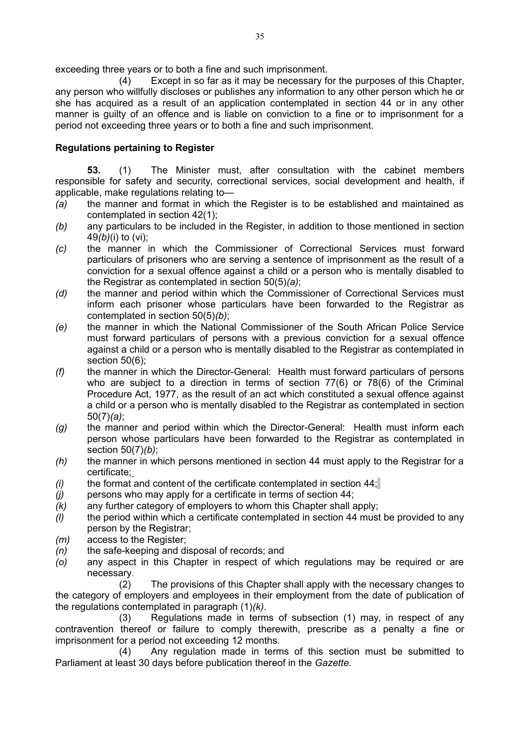exceeding three years or to both a fine and such imprisonment.

(4) Except in so far as it may be necessary for the purposes of this Chapter, any person who willfully discloses or publishes any information to any other person which he or she has acquired as a result of an application contemplated in section 44 or in any other manner is guilty of an offence and is liable on conviction to a fine or to imprisonment for a period not exceeding three years or to both a fine and such imprisonment.

## **Regulations pertaining to Register**

**53.** (1) The Minister must, after consultation with the cabinet members responsible for safety and security, correctional services, social development and health, if applicable, make regulations relating to—

- *(a)* the manner and format in which the Register is to be established and maintained as contemplated in section 42(1);
- *(b)* any particulars to be included in the Register, in addition to those mentioned in section 49*(b)*(i) to (vi);
- *(c)* the manner in which the Commissioner of Correctional Services must forward particulars of prisoners who are serving a sentence of imprisonment as the result of a conviction for a sexual offence against a child or a person who is mentally disabled to the Registrar as contemplated in section 50(5)*(a)*;
- *(d)* the manner and period within which the Commissioner of Correctional Services must inform each prisoner whose particulars have been forwarded to the Registrar as contemplated in section 50(5)*(b)*;
- *(e)* the manner in which the National Commissioner of the South African Police Service must forward particulars of persons with a previous conviction for a sexual offence against a child or a person who is mentally disabled to the Registrar as contemplated in section 50(6);
- *(f)* the manner in which the Director-General: Health must forward particulars of persons who are subject to a direction in terms of section 77(6) or 78(6) of the Criminal Procedure Act, 1977, as the result of an act which constituted a sexual offence against a child or a person who is mentally disabled to the Registrar as contemplated in section 50(7)*(a)*;
- *(g)* the manner and period within which the Director-General: Health must inform each person whose particulars have been forwarded to the Registrar as contemplated in section 50(7)*(b)*;
- *(h)* the manner in which persons mentioned in section 44 must apply to the Registrar for a certificate;
- *(i)* the format and content of the certificate contemplated in section 44;
- *(j)* persons who may apply for a certificate in terms of section 44;
- *(k)* any further category of employers to whom this Chapter shall apply;
- *(l)* the period within which a certificate contemplated in section 44 must be provided to any person by the Registrar;
- *(m)* access to the Register;
- *(n)* the safe-keeping and disposal of records; and
- *(o)* any aspect in this Chapter in respect of which regulations may be required or are necessary.

(2) The provisions of this Chapter shall apply with the necessary changes to the category of employers and employees in their employment from the date of publication of the regulations contemplated in paragraph (1)*(k)*.

(3) Regulations made in terms of subsection (1) may, in respect of any contravention thereof or failure to comply therewith, prescribe as a penalty a fine or imprisonment for a period not exceeding 12 months.

(4) Any regulation made in terms of this section must be submitted to Parliament at least 30 days before publication thereof in the *Gazette*.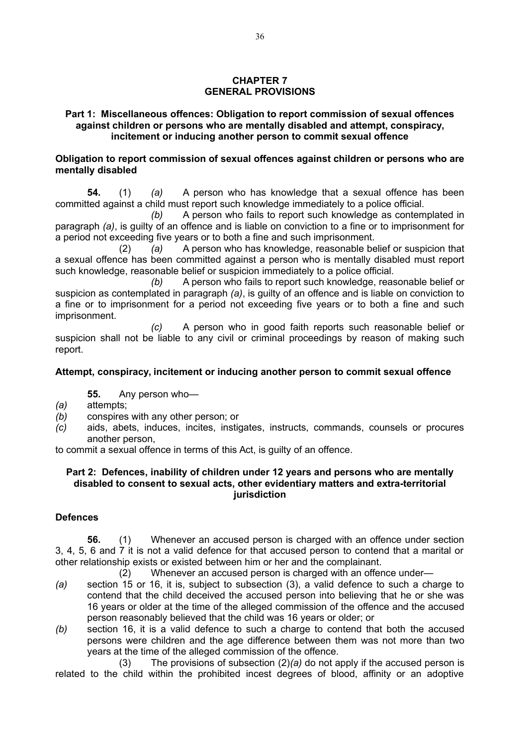## **CHAPTER 7 GENERAL PROVISIONS**

### **Part 1: Miscellaneous offences: Obligation to report commission of sexual offences against children or persons who are mentally disabled and attempt, conspiracy, incitement or inducing another person to commit sexual offence**

## **Obligation to report commission of sexual offences against children or persons who are mentally disabled**

**54.** (1) *(a)* A person who has knowledge that a sexual offence has been committed against a child must report such knowledge immediately to a police official.

*(b)* A person who fails to report such knowledge as contemplated in paragraph *(a)*, is guilty of an offence and is liable on conviction to a fine or to imprisonment for a period not exceeding five years or to both a fine and such imprisonment.

(2) *(a)* A person who has knowledge, reasonable belief or suspicion that a sexual offence has been committed against a person who is mentally disabled must report such knowledge, reasonable belief or suspicion immediately to a police official.

*(b)* A person who fails to report such knowledge, reasonable belief or suspicion as contemplated in paragraph *(a)*, is guilty of an offence and is liable on conviction to a fine or to imprisonment for a period not exceeding five years or to both a fine and such imprisonment.

*(c)* A person who in good faith reports such reasonable belief or suspicion shall not be liable to any civil or criminal proceedings by reason of making such report.

# **Attempt, conspiracy, incitement or inducing another person to commit sexual offence**

**55.** Any person who—

- *(a)* attempts;
- *(b)* conspires with any other person; or
- *(c)* aids, abets, induces, incites, instigates, instructs, commands, counsels or procures another person,

to commit a sexual offence in terms of this Act, is guilty of an offence.

#### **Part 2: Defences, inability of children under 12 years and persons who are mentally disabled to consent to sexual acts, other evidentiary matters and extra-territorial jurisdiction**

# **Defences**

**56.** (1) Whenever an accused person is charged with an offence under section 3, 4, 5, 6 and 7 it is not a valid defence for that accused person to contend that a marital or other relationship exists or existed between him or her and the complainant.

(2) Whenever an accused person is charged with an offence under—

- *(a)* section 15 or 16, it is, subject to subsection (3), a valid defence to such a charge to contend that the child deceived the accused person into believing that he or she was 16 years or older at the time of the alleged commission of the offence and the accused person reasonably believed that the child was 16 years or older; or
- *(b)* section 16, it is a valid defence to such a charge to contend that both the accused persons were children and the age difference between them was not more than two years at the time of the alleged commission of the offence.

(3) The provisions of subsection (2)*(a)* do not apply if the accused person is related to the child within the prohibited incest degrees of blood, affinity or an adoptive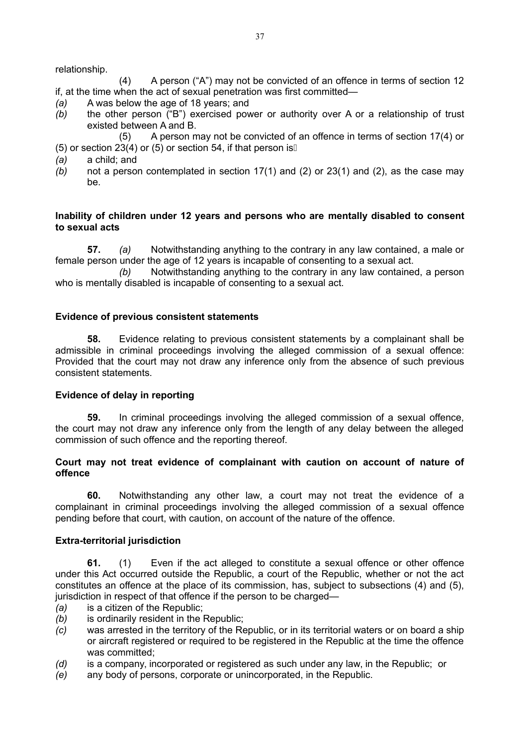relationship.

(4) A person ("A") may not be convicted of an offence in terms of section 12 if, at the time when the act of sexual penetration was first committed—

- *(a)* A was below the age of 18 years; and
- *(b)* the other person ("B") exercised power or authority over A or a relationship of trust existed between A and B.
- (5) A person may not be convicted of an offence in terms of section 17(4) or (5) or section 23(4) or (5) or section 54, if that person is  $\mathbb I$
- *(a)* a child; and
- *(b)* not a person contemplated in section 17(1) and (2) or 23(1) and (2), as the case may be.

#### **Inability of children under 12 years and persons who are mentally disabled to consent to sexual acts**

**57.** *(a)* Notwithstanding anything to the contrary in any law contained, a male or female person under the age of 12 years is incapable of consenting to a sexual act.

*(b)* Notwithstanding anything to the contrary in any law contained, a person who is mentally disabled is incapable of consenting to a sexual act.

### **Evidence of previous consistent statements**

**58.** Evidence relating to previous consistent statements by a complainant shall be admissible in criminal proceedings involving the alleged commission of a sexual offence: Provided that the court may not draw any inference only from the absence of such previous consistent statements.

#### **Evidence of delay in reporting**

**59.** In criminal proceedings involving the alleged commission of a sexual offence, the court may not draw any inference only from the length of any delay between the alleged commission of such offence and the reporting thereof.

### **Court may not treat evidence of complainant with caution on account of nature of offence**

**60.** Notwithstanding any other law, a court may not treat the evidence of a complainant in criminal proceedings involving the alleged commission of a sexual offence pending before that court, with caution, on account of the nature of the offence.

#### **Extra-territorial jurisdiction**

**61.** (1) Even if the act alleged to constitute a sexual offence or other offence under this Act occurred outside the Republic, a court of the Republic, whether or not the act constitutes an offence at the place of its commission, has, subject to subsections (4) and (5), jurisdiction in respect of that offence if the person to be charged—

- *(a)* is a citizen of the Republic;
- *(b)* is ordinarily resident in the Republic;
- *(c)* was arrested in the territory of the Republic, or in its territorial waters or on board a ship or aircraft registered or required to be registered in the Republic at the time the offence was committed;
- *(d)* is a company, incorporated or registered as such under any law, in the Republic; or
- *(e)* any body of persons, corporate or unincorporated, in the Republic.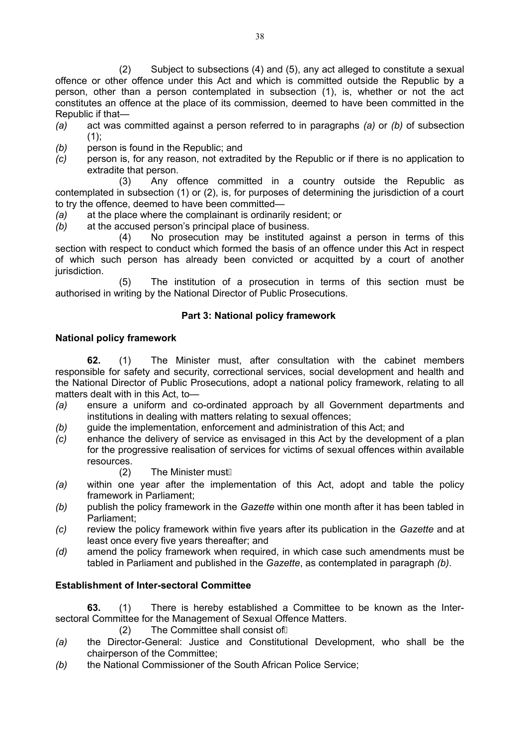(2) Subject to subsections (4) and (5), any act alleged to constitute a sexual offence or other offence under this Act and which is committed outside the Republic by a person, other than a person contemplated in subsection (1), is, whether or not the act constitutes an offence at the place of its commission, deemed to have been committed in the Republic if that—

- *(a)* act was committed against a person referred to in paragraphs *(a)* or *(b)* of subsection  $(1)$ :
- *(b)* person is found in the Republic; and
- *(c)* person is, for any reason, not extradited by the Republic or if there is no application to extradite that person.

(3) Any offence committed in a country outside the Republic as contemplated in subsection (1) or (2), is, for purposes of determining the jurisdiction of a court to try the offence, deemed to have been committed—

- *(a)* at the place where the complainant is ordinarily resident; or
- *(b)* at the accused person's principal place of business.

(4) No prosecution may be instituted against a person in terms of this section with respect to conduct which formed the basis of an offence under this Act in respect of which such person has already been convicted or acquitted by a court of another jurisdiction.

(5) The institution of a prosecution in terms of this section must be authorised in writing by the National Director of Public Prosecutions.

### **Part 3: National policy framework**

### **National policy framework**

**62.** (1) The Minister must, after consultation with the cabinet members responsible for safety and security, correctional services, social development and health and the National Director of Public Prosecutions, adopt a national policy framework, relating to all matters dealt with in this Act, to—

- *(a)* ensure a uniform and co-ordinated approach by all Government departments and institutions in dealing with matters relating to sexual offences;
- *(b)* guide the implementation, enforcement and administration of this Act; and
- *(c)* enhance the delivery of service as envisaged in this Act by the development of a plan for the progressive realisation of services for victims of sexual offences within available resources.
	- $(2)$  The Minister must
- *(a)* within one year after the implementation of this Act, adopt and table the policy framework in Parliament;
- *(b)* publish the policy framework in the *Gazette* within one month after it has been tabled in Parliament;
- *(c)* review the policy framework within five years after its publication in the *Gazette* and at least once every five years thereafter; and
- *(d)* amend the policy framework when required, in which case such amendments must be tabled in Parliament and published in the *Gazette*, as contemplated in paragraph *(b)*.

### **Establishment of Inter-sectoral Committee**

**63.** (1) There is hereby established a Committee to be known as the Intersectoral Committee for the Management of Sexual Offence Matters.

 $(2)$  The Committee shall consist of  $\mathbb I$ 

- *(a)* the Director-General: Justice and Constitutional Development, who shall be the chairperson of the Committee;
- *(b)* the National Commissioner of the South African Police Service;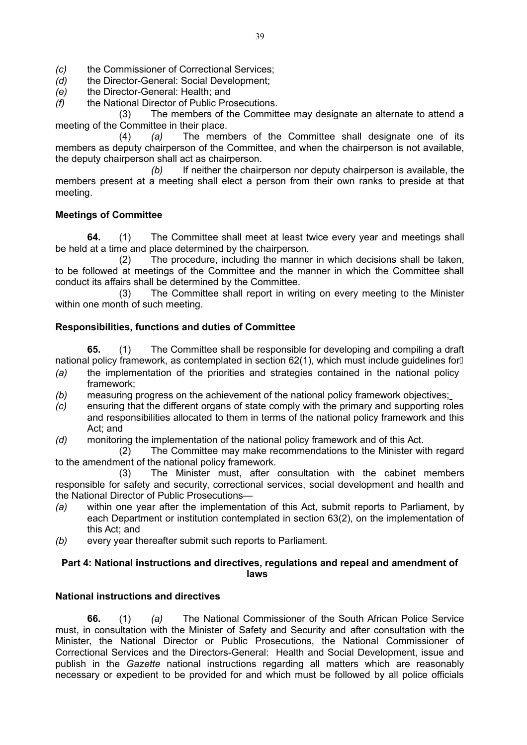- *(c)* the Commissioner of Correctional Services;
- *(d)* the Director-General: Social Development;
- *(e)* the Director-General: Health; and
- *(f)* the National Director of Public Prosecutions.

(3) The members of the Committee may designate an alternate to attend a meeting of the Committee in their place.

(4) *(a)* The members of the Committee shall designate one of its members as deputy chairperson of the Committee, and when the chairperson is not available, the deputy chairperson shall act as chairperson.

*(b)* If neither the chairperson nor deputy chairperson is available, the members present at a meeting shall elect a person from their own ranks to preside at that meeting.

### **Meetings of Committee**

**64.** (1) The Committee shall meet at least twice every year and meetings shall be held at a time and place determined by the chairperson.

(2) The procedure, including the manner in which decisions shall be taken, to be followed at meetings of the Committee and the manner in which the Committee shall conduct its affairs shall be determined by the Committee.

(3) The Committee shall report in writing on every meeting to the Minister within one month of such meeting.

### **Responsibilities, functions and duties of Committee**

**65.** (1) The Committee shall be responsible for developing and compiling a draft national policy framework, as contemplated in section 62(1), which must include guidelines for<sup>[]</sup>

- *(a)* the implementation of the priorities and strategies contained in the national policy framework;
- *(b)* measuring progress on the achievement of the national policy framework objectives;
- *(c)* ensuring that the different organs of state comply with the primary and supporting roles and responsibilities allocated to them in terms of the national policy framework and this Act; and
- *(d)* monitoring the implementation of the national policy framework and of this Act.

(2) The Committee may make recommendations to the Minister with regard to the amendment of the national policy framework.

(3) The Minister must, after consultation with the cabinet members responsible for safety and security, correctional services, social development and health and the National Director of Public Prosecutions—

- *(a)* within one year after the implementation of this Act, submit reports to Parliament, by each Department or institution contemplated in section 63(2), on the implementation of this Act; and
- *(b)* every year thereafter submit such reports to Parliament.

### **Part 4: National instructions and directives, regulations and repeal and amendment of laws**

### **National instructions and directives**

**66.** (1) *(a)* The National Commissioner of the South African Police Service must, in consultation with the Minister of Safety and Security and after consultation with the Minister, the National Director or Public Prosecutions, the National Commissioner of Correctional Services and the Directors-General: Health and Social Development, issue and publish in the *Gazette* national instructions regarding all matters which are reasonably necessary or expedient to be provided for and which must be followed by all police officials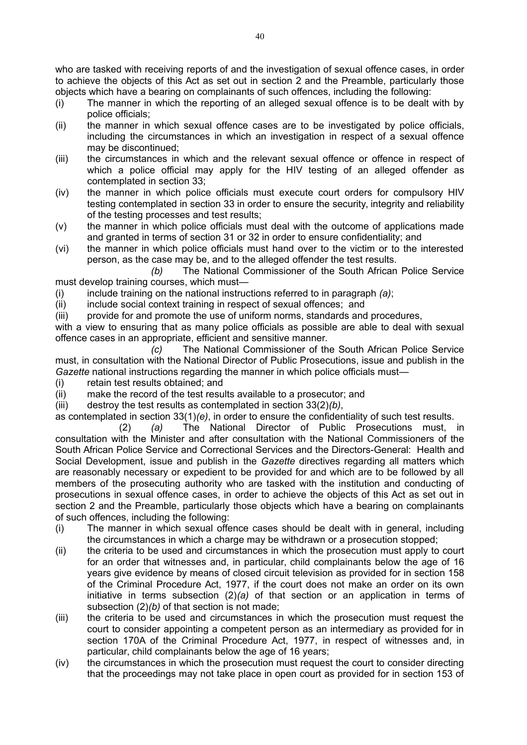who are tasked with receiving reports of and the investigation of sexual offence cases, in order to achieve the objects of this Act as set out in section 2 and the Preamble, particularly those objects which have a bearing on complainants of such offences, including the following:

- (i) The manner in which the reporting of an alleged sexual offence is to be dealt with by police officials;
- (ii) the manner in which sexual offence cases are to be investigated by police officials, including the circumstances in which an investigation in respect of a sexual offence may be discontinued;
- (iii) the circumstances in which and the relevant sexual offence or offence in respect of which a police official may apply for the HIV testing of an alleged offender as contemplated in section 33;
- (iv) the manner in which police officials must execute court orders for compulsory HIV testing contemplated in section 33 in order to ensure the security, integrity and reliability of the testing processes and test results;
- (v) the manner in which police officials must deal with the outcome of applications made and granted in terms of section 31 or 32 in order to ensure confidentiality; and
- (vi) the manner in which police officials must hand over to the victim or to the interested person, as the case may be, and to the alleged offender the test results.

*(b)* The National Commissioner of the South African Police Service must develop training courses, which must—

(i) include training on the national instructions referred to in paragraph *(a)*;

- (ii) include social context training in respect of sexual offences; and
- (iii) provide for and promote the use of uniform norms, standards and procedures,

with a view to ensuring that as many police officials as possible are able to deal with sexual offence cases in an appropriate, efficient and sensitive manner.

*(c)* The National Commissioner of the South African Police Service must, in consultation with the National Director of Public Prosecutions, issue and publish in the *Gazette* national instructions regarding the manner in which police officials must—

- (i) retain test results obtained; and
- (ii) make the record of the test results available to a prosecutor; and
- (iii) destroy the test results as contemplated in section 33(2)*(b)*,

as contemplated in section 33(1)*(e)*, in order to ensure the confidentiality of such test results.

(2) *(a)* The National Director of Public Prosecutions must, in consultation with the Minister and after consultation with the National Commissioners of the South African Police Service and Correctional Services and the Directors-General: Health and Social Development, issue and publish in the *Gazette* directives regarding all matters which are reasonably necessary or expedient to be provided for and which are to be followed by all members of the prosecuting authority who are tasked with the institution and conducting of prosecutions in sexual offence cases, in order to achieve the objects of this Act as set out in section 2 and the Preamble, particularly those objects which have a bearing on complainants of such offences, including the following:

- (i) The manner in which sexual offence cases should be dealt with in general, including the circumstances in which a charge may be withdrawn or a prosecution stopped;
- (ii) the criteria to be used and circumstances in which the prosecution must apply to court for an order that witnesses and, in particular, child complainants below the age of 16 years give evidence by means of closed circuit television as provided for in section 158 of the Criminal Procedure Act, 1977, if the court does not make an order on its own initiative in terms subsection (2)*(a)* of that section or an application in terms of subsection (2)*(b)* of that section is not made;
- (iii) the criteria to be used and circumstances in which the prosecution must request the court to consider appointing a competent person as an intermediary as provided for in section 170A of the Criminal Procedure Act, 1977, in respect of witnesses and, in particular, child complainants below the age of 16 years;
- (iv) the circumstances in which the prosecution must request the court to consider directing that the proceedings may not take place in open court as provided for in section 153 of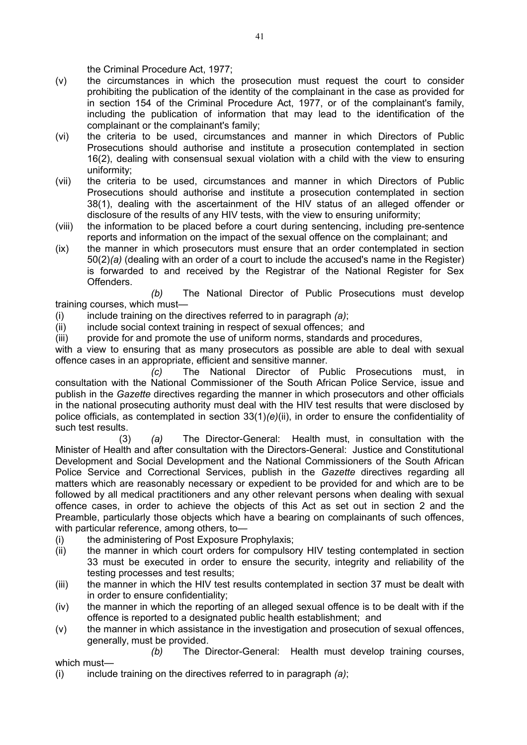the Criminal Procedure Act, 1977;

- (v) the circumstances in which the prosecution must request the court to consider prohibiting the publication of the identity of the complainant in the case as provided for in section 154 of the Criminal Procedure Act, 1977, or of the complainant's family, including the publication of information that may lead to the identification of the complainant or the complainant's family;
- (vi) the criteria to be used, circumstances and manner in which Directors of Public Prosecutions should authorise and institute a prosecution contemplated in section 16(2), dealing with consensual sexual violation with a child with the view to ensuring uniformity;
- (vii) the criteria to be used, circumstances and manner in which Directors of Public Prosecutions should authorise and institute a prosecution contemplated in section 38(1), dealing with the ascertainment of the HIV status of an alleged offender or disclosure of the results of any HIV tests, with the view to ensuring uniformity;
- (viii) the information to be placed before a court during sentencing, including pre-sentence reports and information on the impact of the sexual offence on the complainant; and
- (ix) the manner in which prosecutors must ensure that an order contemplated in section 50(2)*(a)* (dealing with an order of a court to include the accused's name in the Register) is forwarded to and received by the Registrar of the National Register for Sex Offenders.

*(b)* The National Director of Public Prosecutions must develop training courses, which must—

(i) include training on the directives referred to in paragraph *(a)*;

- (ii) include social context training in respect of sexual offences; and
- (iii) provide for and promote the use of uniform norms, standards and procedures,

with a view to ensuring that as many prosecutors as possible are able to deal with sexual offence cases in an appropriate, efficient and sensitive manner.

*(c)* The National Director of Public Prosecutions must, in consultation with the National Commissioner of the South African Police Service, issue and publish in the *Gazette* directives regarding the manner in which prosecutors and other officials in the national prosecuting authority must deal with the HIV test results that were disclosed by police officials, as contemplated in section 33(1)*(e)*(ii), in order to ensure the confidentiality of such test results.

(3) *(a)* The Director-General: Health must, in consultation with the Minister of Health and after consultation with the Directors-General: Justice and Constitutional Development and Social Development and the National Commissioners of the South African Police Service and Correctional Services, publish in the *Gazette* directives regarding all matters which are reasonably necessary or expedient to be provided for and which are to be followed by all medical practitioners and any other relevant persons when dealing with sexual offence cases, in order to achieve the objects of this Act as set out in section 2 and the Preamble, particularly those objects which have a bearing on complainants of such offences, with particular reference, among others, to-

(i) the administering of Post Exposure Prophylaxis;

which must—

- (ii) the manner in which court orders for compulsory HIV testing contemplated in section 33 must be executed in order to ensure the security, integrity and reliability of the testing processes and test results;
- (iii) the manner in which the HIV test results contemplated in section 37 must be dealt with in order to ensure confidentiality;
- (iv) the manner in which the reporting of an alleged sexual offence is to be dealt with if the offence is reported to a designated public health establishment; and
- (v) the manner in which assistance in the investigation and prosecution of sexual offences, generally, must be provided.

*(b)* The Director-General: Health must develop training courses,

(i) include training on the directives referred to in paragraph *(a)*;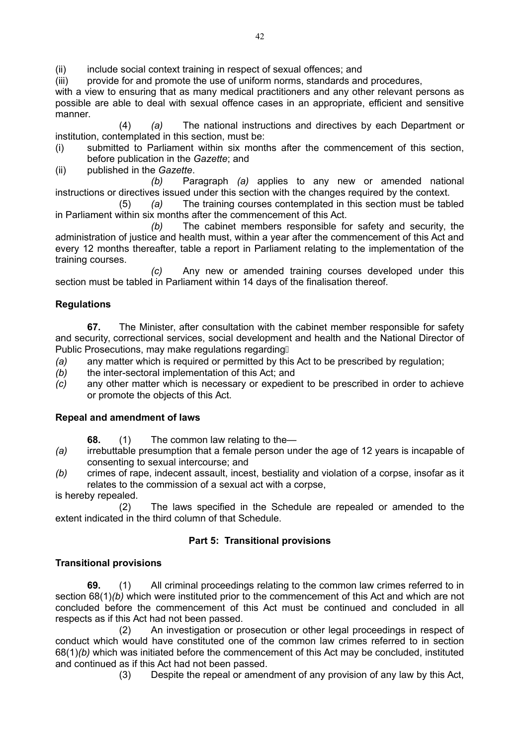(ii) include social context training in respect of sexual offences; and

(iii) provide for and promote the use of uniform norms, standards and procedures,

with a view to ensuring that as many medical practitioners and any other relevant persons as possible are able to deal with sexual offence cases in an appropriate, efficient and sensitive manner.

(4) *(a)* The national instructions and directives by each Department or institution, contemplated in this section, must be:

- (i) submitted to Parliament within six months after the commencement of this section, before publication in the *Gazette*; and
- (ii) published in the *Gazette*.

*(b)* Paragraph *(a)* applies to any new or amended national instructions or directives issued under this section with the changes required by the context.

(5) *(a)* The training courses contemplated in this section must be tabled in Parliament within six months after the commencement of this Act.

*(b)* The cabinet members responsible for safety and security, the administration of justice and health must, within a year after the commencement of this Act and every 12 months thereafter, table a report in Parliament relating to the implementation of the training courses.

*(c)* Any new or amended training courses developed under this section must be tabled in Parliament within 14 days of the finalisation thereof.

### **Regulations**

**67.** The Minister, after consultation with the cabinet member responsible for safety and security, correctional services, social development and health and the National Director of Public Prosecutions, may make regulations regarding

- *(a)* any matter which is required or permitted by this Act to be prescribed by regulation;
- *(b)* the inter-sectoral implementation of this Act; and
- *(c)* any other matter which is necessary or expedient to be prescribed in order to achieve or promote the objects of this Act.

### **Repeal and amendment of laws**

- **68.** (1) The common law relating to the—
- *(a)* irrebuttable presumption that a female person under the age of 12 years is incapable of consenting to sexual intercourse; and
- *(b)* crimes of rape, indecent assault, incest, bestiality and violation of a corpse, insofar as it relates to the commission of a sexual act with a corpse,

is hereby repealed.

(2) The laws specified in the Schedule are repealed or amended to the extent indicated in the third column of that Schedule.

### **Part 5: Transitional provisions**

### **Transitional provisions**

**69.** (1) All criminal proceedings relating to the common law crimes referred to in section 68(1)*(b)* which were instituted prior to the commencement of this Act and which are not concluded before the commencement of this Act must be continued and concluded in all respects as if this Act had not been passed.

(2) An investigation or prosecution or other legal proceedings in respect of conduct which would have constituted one of the common law crimes referred to in section 68(1)*(b)* which was initiated before the commencement of this Act may be concluded, instituted and continued as if this Act had not been passed.

(3) Despite the repeal or amendment of any provision of any law by this Act,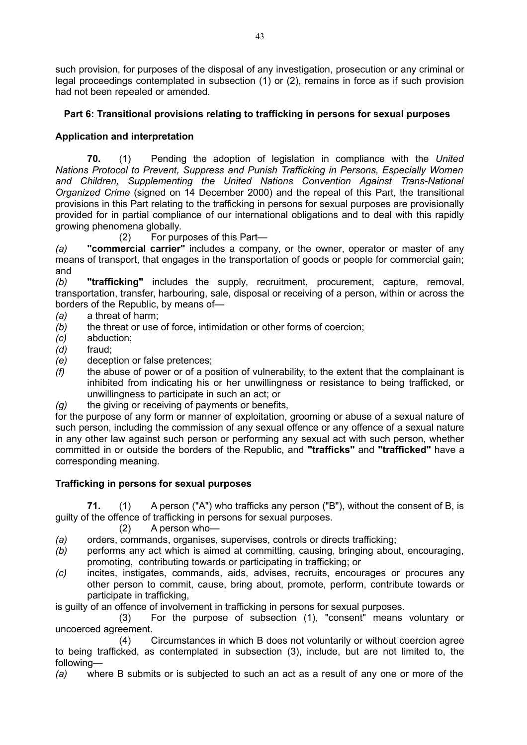such provision, for purposes of the disposal of any investigation, prosecution or any criminal or legal proceedings contemplated in subsection (1) or (2), remains in force as if such provision had not been repealed or amended.

# **Part 6: Transitional provisions relating to trafficking in persons for sexual purposes**

# **Application and interpretation**

**70.** (1) Pending the adoption of legislation in compliance with the *United Nations Protocol to Prevent, Suppress and Punish Trafficking in Persons, Especially Women and Children, Supplementing the United Nations Convention Against Trans-National Organized Crime* (signed on 14 December 2000) and the repeal of this Part, the transitional provisions in this Part relating to the trafficking in persons for sexual purposes are provisionally provided for in partial compliance of our international obligations and to deal with this rapidly growing phenomena globally.

(2) For purposes of this Part—

*(a)* **"commercial carrier"** includes a company, or the owner, operator or master of any means of transport, that engages in the transportation of goods or people for commercial gain; and

*(b)* **"trafficking"** includes the supply, recruitment, procurement, capture, removal, transportation, transfer, harbouring, sale, disposal or receiving of a person, within or across the borders of the Republic, by means of—

- *(a)* a threat of harm;
- *(b)* the threat or use of force, intimidation or other forms of coercion;
- *(c)* abduction;
- *(d)* fraud;
- *(e)* deception or false pretences;
- *(f)* the abuse of power or of a position of vulnerability, to the extent that the complainant is inhibited from indicating his or her unwillingness or resistance to being trafficked, or unwillingness to participate in such an act; or
- *(g)* the giving or receiving of payments or benefits,

for the purpose of any form or manner of exploitation, grooming or abuse of a sexual nature of such person, including the commission of any sexual offence or any offence of a sexual nature in any other law against such person or performing any sexual act with such person, whether committed in or outside the borders of the Republic, and **"trafficks"** and **"trafficked"** have a corresponding meaning.

### **Trafficking in persons for sexual purposes**

**71.** (1) A person ("A") who trafficks any person ("B"), without the consent of B, is guilty of the offence of trafficking in persons for sexual purposes.

(2) A person who—

*(a)* orders, commands, organises, supervises, controls or directs trafficking;

- *(b)* performs any act which is aimed at committing, causing, bringing about, encouraging, promoting, contributing towards or participating in trafficking; or
- *(c)* incites, instigates, commands, aids, advises, recruits, encourages or procures any other person to commit, cause, bring about, promote, perform, contribute towards or participate in trafficking,

is guilty of an offence of involvement in trafficking in persons for sexual purposes.

(3) For the purpose of subsection (1), "consent" means voluntary or uncoerced agreement.

(4) Circumstances in which B does not voluntarily or without coercion agree to being trafficked, as contemplated in subsection (3), include, but are not limited to, the following—

*(a)* where B submits or is subjected to such an act as a result of any one or more of the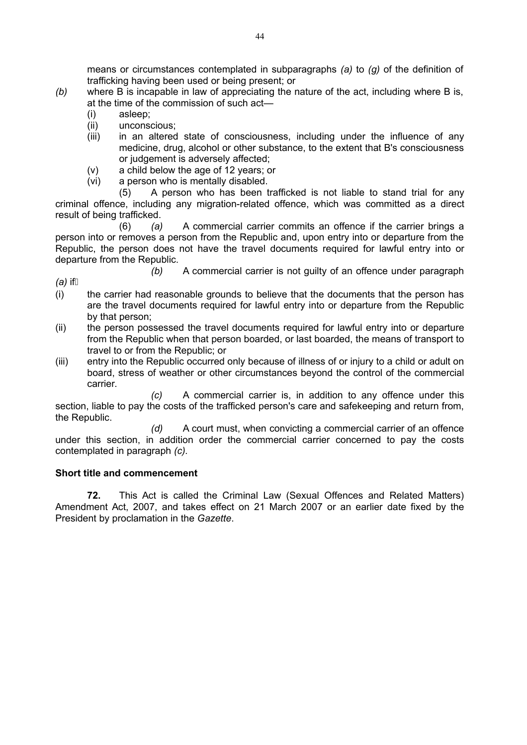means or circumstances contemplated in subparagraphs *(a)* to *(g)* of the definition of trafficking having been used or being present; or

- *(b)* where B is incapable in law of appreciating the nature of the act, including where B is, at the time of the commission of such act—
	- (i) asleep;
	- (ii) unconscious;
	- (iii) in an altered state of consciousness, including under the influence of any medicine, drug, alcohol or other substance, to the extent that B's consciousness or judgement is adversely affected;
	- (v) a child below the age of 12 years; or
	- (vi) a person who is mentally disabled.

(5) A person who has been trafficked is not liable to stand trial for any criminal offence, including any migration-related offence, which was committed as a direct result of being trafficked.

(6) *(a)* A commercial carrier commits an offence if the carrier brings a person into or removes a person from the Republic and, upon entry into or departure from the Republic, the person does not have the travel documents required for lawful entry into or departure from the Republic.

*(a)* if

*(b)* A commercial carrier is not guilty of an offence under paragraph

- (i) the carrier had reasonable grounds to believe that the documents that the person has are the travel documents required for lawful entry into or departure from the Republic by that person;
- (ii) the person possessed the travel documents required for lawful entry into or departure from the Republic when that person boarded, or last boarded, the means of transport to travel to or from the Republic; or
- (iii) entry into the Republic occurred only because of illness of or injury to a child or adult on board, stress of weather or other circumstances beyond the control of the commercial carrier.

*(c)* A commercial carrier is, in addition to any offence under this section, liable to pay the costs of the trafficked person's care and safekeeping and return from, the Republic.

*(d)* A court must, when convicting a commercial carrier of an offence under this section, in addition order the commercial carrier concerned to pay the costs contemplated in paragraph *(c).*

### **Short title and commencement**

**72.** This Act is called the Criminal Law (Sexual Offences and Related Matters) Amendment Act, 2007, and takes effect on 21 March 2007 or an earlier date fixed by the President by proclamation in the *Gazette*.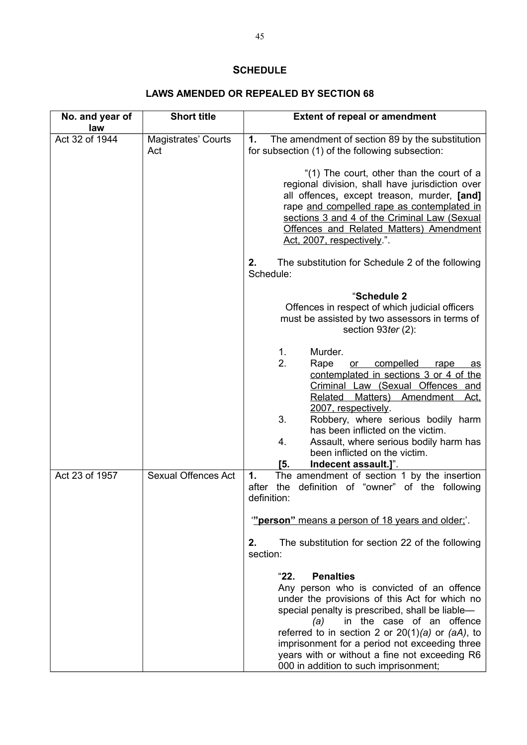# **SCHEDULE**

# **LAWS AMENDED OR REPEALED BY SECTION 68**

| No. and year of<br>law | <b>Short title</b>                | <b>Extent of repeal or amendment</b>                                                                                                                                                                                                                                                                                                                                                                              |
|------------------------|-----------------------------------|-------------------------------------------------------------------------------------------------------------------------------------------------------------------------------------------------------------------------------------------------------------------------------------------------------------------------------------------------------------------------------------------------------------------|
| Act 32 of 1944         | <b>Magistrates' Courts</b><br>Act | The amendment of section 89 by the substitution<br>1.<br>for subsection (1) of the following subsection:                                                                                                                                                                                                                                                                                                          |
|                        |                                   | "(1) The court, other than the court of a<br>regional division, shall have jurisdiction over<br>all offences, except treason, murder, [and]<br>rape and compelled rape as contemplated in<br>sections 3 and 4 of the Criminal Law (Sexual<br>Offences and Related Matters) Amendment<br>Act, 2007, respectively.".                                                                                                |
|                        |                                   | 2.<br>The substitution for Schedule 2 of the following<br>Schedule:                                                                                                                                                                                                                                                                                                                                               |
|                        |                                   | "Schedule 2<br>Offences in respect of which judicial officers<br>must be assisted by two assessors in terms of<br>section 93ter (2):                                                                                                                                                                                                                                                                              |
|                        |                                   | Murder.<br>1.<br>2.<br>Rape<br>compelled<br>or<br>rape<br>as<br>contemplated in sections 3 or 4 of the<br>Criminal Law (Sexual Offences and<br>Matters) Amendment Act,<br>Related<br>2007, respectively.<br>3.<br>Robbery, where serious bodily harm<br>has been inflicted on the victim.<br>4.<br>Assault, where serious bodily harm has<br>been inflicted on the victim.<br>[5.<br>Indecent assault.]".         |
| Act 23 of 1957         | <b>Sexual Offences Act</b>        | The amendment of section 1 by the insertion<br>1.<br>after<br>the<br>definition of "owner" of the following<br>definition:                                                                                                                                                                                                                                                                                        |
|                        |                                   | "person" means a person of 18 years and older;'.<br>The substitution for section 22 of the following<br>2.<br>section:                                                                                                                                                                                                                                                                                            |
|                        |                                   | "22.<br><b>Penalties</b><br>Any person who is convicted of an offence<br>under the provisions of this Act for which no<br>special penalty is prescribed, shall be liable-<br>in the case of an offence<br>(a)<br>referred to in section 2 or $20(1)(a)$ or $(aA)$ , to<br>imprisonment for a period not exceeding three<br>years with or without a fine not exceeding R6<br>000 in addition to such imprisonment; |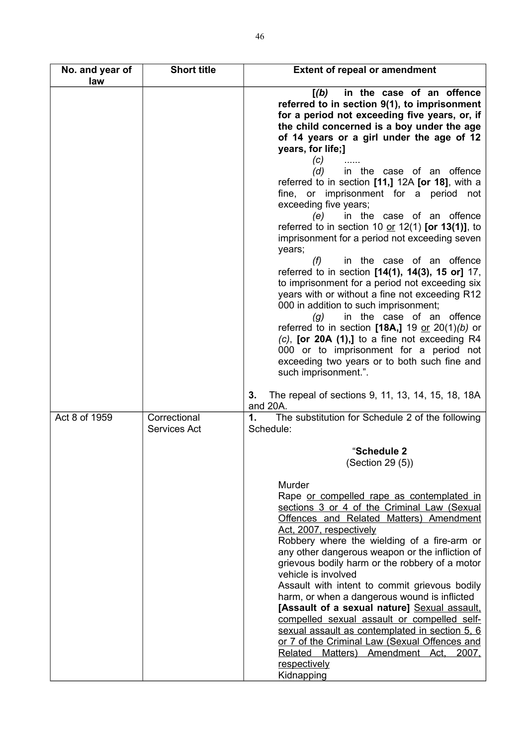| No. and year of<br>law | <b>Short title</b>                  | <b>Extent of repeal or amendment</b>                                                                                                                                                                                                                                                                                                                                                                                                                                                                                                                                                                                                                                                                                                                                                                                                                                                                                                                                                                                                                                                                                                              |
|------------------------|-------------------------------------|---------------------------------------------------------------------------------------------------------------------------------------------------------------------------------------------------------------------------------------------------------------------------------------------------------------------------------------------------------------------------------------------------------------------------------------------------------------------------------------------------------------------------------------------------------------------------------------------------------------------------------------------------------------------------------------------------------------------------------------------------------------------------------------------------------------------------------------------------------------------------------------------------------------------------------------------------------------------------------------------------------------------------------------------------------------------------------------------------------------------------------------------------|
|                        |                                     | in the case of an offence<br>[(b)]<br>referred to in section 9(1), to imprisonment<br>for a period not exceeding five years, or, if<br>the child concerned is a boy under the age<br>of 14 years or a girl under the age of 12<br>years, for life;]<br>(c)<br>(d)<br>in the case of an offence<br>referred to in section $[11,]$ 12A $[or 18]$ , with a<br>fine, or imprisonment for a period not<br>exceeding five years;<br>in the case of an offence<br>(e)<br>referred to in section 10 or 12(1) [or 13(1)], to<br>imprisonment for a period not exceeding seven<br>years;<br>in the case of an offence<br>(f)<br>referred to in section [14(1), 14(3), 15 or] 17,<br>to imprisonment for a period not exceeding six<br>years with or without a fine not exceeding R12<br>000 in addition to such imprisonment;<br>in the case of an offence<br>(g)<br>referred to in section [18A,] 19 or $20(1)(b)$ or<br>$(c)$ , [or 20A $(1)$ ,] to a fine not exceeding R4<br>000 or to imprisonment for a period not<br>exceeding two years or to both such fine and<br>such imprisonment.".<br>The repeal of sections 9, 11, 13, 14, 15, 18, 18A<br>3. |
| Act 8 of 1959          | Correctional<br><b>Services Act</b> | and 20A.<br>1.<br>The substitution for Schedule 2 of the following<br>Schedule:<br>"Schedule 2<br>(Section 29 (5))<br>Murder<br>Rape or compelled rape as contemplated in<br>sections 3 or 4 of the Criminal Law (Sexual                                                                                                                                                                                                                                                                                                                                                                                                                                                                                                                                                                                                                                                                                                                                                                                                                                                                                                                          |
|                        |                                     | Offences and Related Matters) Amendment<br>Act, 2007, respectively<br>Robbery where the wielding of a fire-arm or<br>any other dangerous weapon or the infliction of<br>grievous bodily harm or the robbery of a motor<br>vehicle is involved<br>Assault with intent to commit grievous bodily<br>harm, or when a dangerous wound is inflicted<br>[Assault of a sexual nature] Sexual assault.<br>compelled sexual assault or compelled self-<br>sexual assault as contemplated in section 5, 6<br>or 7 of the Criminal Law (Sexual Offences and<br>Matters)<br>Amendment Act,<br>2007,<br>Related<br>respectively<br>Kidnapping                                                                                                                                                                                                                                                                                                                                                                                                                                                                                                                  |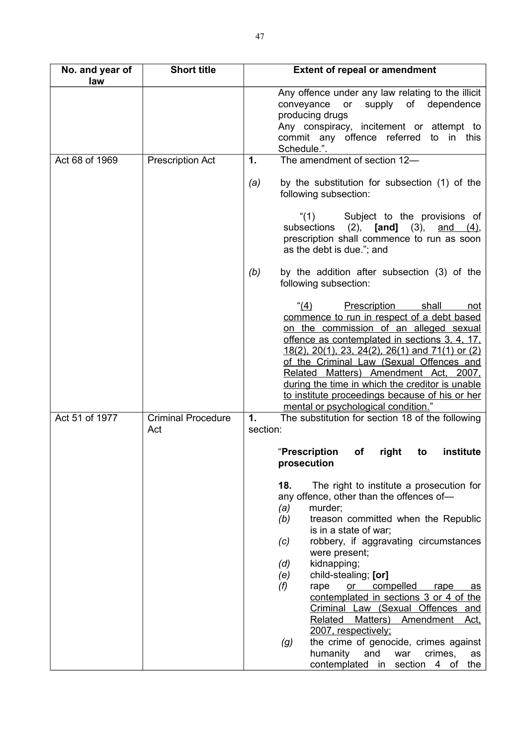| No. and year of<br>law | <b>Short title</b>        | <b>Extent of repeal or amendment</b>                                                                                                                                                                                                                                                                                                                                                                                                                                                                                                                                                                                                                 |
|------------------------|---------------------------|------------------------------------------------------------------------------------------------------------------------------------------------------------------------------------------------------------------------------------------------------------------------------------------------------------------------------------------------------------------------------------------------------------------------------------------------------------------------------------------------------------------------------------------------------------------------------------------------------------------------------------------------------|
|                        |                           | Any offence under any law relating to the illicit<br>conveyance or<br>supply of dependence<br>producing drugs<br>Any conspiracy, incitement or attempt to<br>commit any offence referred<br>to<br>in this<br>Schedule.".                                                                                                                                                                                                                                                                                                                                                                                                                             |
| Act 68 of 1969         | <b>Prescription Act</b>   | The amendment of section 12-<br>1.                                                                                                                                                                                                                                                                                                                                                                                                                                                                                                                                                                                                                   |
|                        |                           | by the substitution for subsection (1) of the<br>(a)<br>following subsection:                                                                                                                                                                                                                                                                                                                                                                                                                                                                                                                                                                        |
|                        |                           | Subject to the provisions of<br>(1)<br>subsections<br>$(2)$ , [and]<br>(3),<br>and $(4)$ ,<br>prescription shall commence to run as soon<br>as the debt is due."; and                                                                                                                                                                                                                                                                                                                                                                                                                                                                                |
|                        |                           | by the addition after subsection (3) of the<br>(b)<br>following subsection:                                                                                                                                                                                                                                                                                                                                                                                                                                                                                                                                                                          |
| Act 51 of 1977         | <b>Criminal Procedure</b> | " $(4)$<br><b>Prescription</b><br>shall<br>not<br>commence to run in respect of a debt based<br>on the commission of an alleged sexual<br>offence as contemplated in sections 3, 4, 17,<br><u>18(2), 20(1), 23, 24(2), 26(1) and 71(1) or (2)</u><br>of the Criminal Law (Sexual Offences and<br>Related Matters) Amendment Act, 2007,<br>during the time in which the creditor is unable<br>to institute proceedings because of his or her<br>mental or psychological condition."<br>The substitution for section 18 of the following<br>$\mathbf 1$ .                                                                                              |
|                        | Act                       | section:<br>institute<br>"Prescription<br>right<br>οf<br>to<br>prosecution                                                                                                                                                                                                                                                                                                                                                                                                                                                                                                                                                                           |
|                        |                           | 18.<br>The right to institute a prosecution for<br>any offence, other than the offences of-<br>(a)<br>murder;<br>(b)<br>treason committed when the Republic<br>is in a state of war;<br>robbery, if aggravating circumstances<br>(c)<br>were present;<br>kidnapping;<br>(d)<br>child-stealing; [or]<br>(e)<br>(f)<br>rape<br>or<br>compelled<br>rape<br>as<br>contemplated in sections 3 or 4 of the<br>Criminal Law (Sexual Offences and<br>Related<br>Matters)<br>Amendment<br>Act,<br>2007, respectively;<br>the crime of genocide, crimes against<br>(g)<br>humanity<br>and<br>crimes,<br>war<br>as<br>contemplated in<br>section<br>4 of<br>the |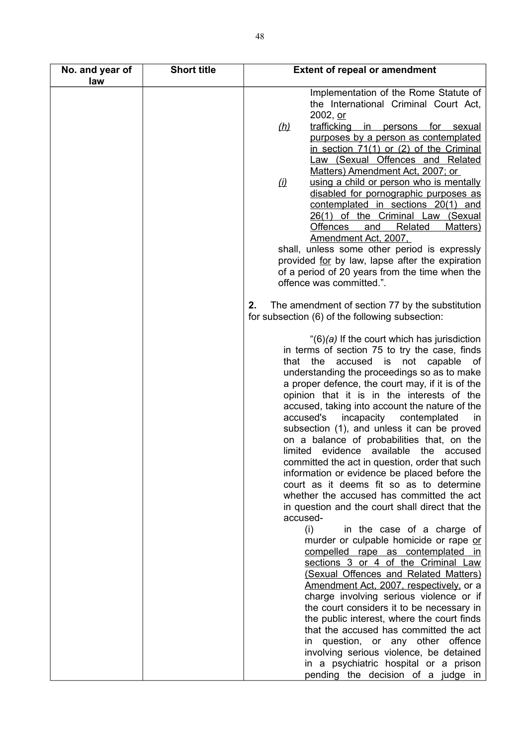| No. and year of<br>law | <b>Short title</b> | <b>Extent of repeal or amendment</b>                                                                                                                                                                                                                                                                                                                                                                                                                                                                                                                                                                                                                                                                                                                                                                                                                                                                                                                                        |
|------------------------|--------------------|-----------------------------------------------------------------------------------------------------------------------------------------------------------------------------------------------------------------------------------------------------------------------------------------------------------------------------------------------------------------------------------------------------------------------------------------------------------------------------------------------------------------------------------------------------------------------------------------------------------------------------------------------------------------------------------------------------------------------------------------------------------------------------------------------------------------------------------------------------------------------------------------------------------------------------------------------------------------------------|
|                        |                    | Implementation of the Rome Statute of<br>the International Criminal Court Act,<br>2002, or                                                                                                                                                                                                                                                                                                                                                                                                                                                                                                                                                                                                                                                                                                                                                                                                                                                                                  |
|                        |                    | trafficking<br>(h)<br>in persons for sexual                                                                                                                                                                                                                                                                                                                                                                                                                                                                                                                                                                                                                                                                                                                                                                                                                                                                                                                                 |
|                        |                    | purposes by a person as contemplated<br>in section $71(1)$ or $(2)$ of the Criminal<br>Law (Sexual Offences and Related<br>Matters) Amendment Act, 2007; or                                                                                                                                                                                                                                                                                                                                                                                                                                                                                                                                                                                                                                                                                                                                                                                                                 |
|                        |                    | using a child or person who is mentally<br>$\omega$<br>disabled for pornographic purposes as<br>contemplated in sections 20(1) and<br>26(1) of the Criminal Law (Sexual<br><b>Offences</b><br><b>Related</b><br>Matters)<br><u>and</u>                                                                                                                                                                                                                                                                                                                                                                                                                                                                                                                                                                                                                                                                                                                                      |
|                        |                    | Amendment Act, 2007,<br>shall, unless some other period is expressly                                                                                                                                                                                                                                                                                                                                                                                                                                                                                                                                                                                                                                                                                                                                                                                                                                                                                                        |
|                        |                    | provided for by law, lapse after the expiration<br>of a period of 20 years from the time when the<br>offence was committed.".                                                                                                                                                                                                                                                                                                                                                                                                                                                                                                                                                                                                                                                                                                                                                                                                                                               |
|                        |                    | The amendment of section 77 by the substitution<br>2.<br>for subsection (6) of the following subsection:                                                                                                                                                                                                                                                                                                                                                                                                                                                                                                                                                                                                                                                                                                                                                                                                                                                                    |
|                        |                    | " $(6)(a)$ If the court which has jurisdiction<br>in terms of section 75 to try the case, finds<br>accused<br>that<br>the<br>is<br>not<br>capable<br>of<br>understanding the proceedings so as to make<br>a proper defence, the court may, if it is of the<br>opinion that it is in the interests of the<br>accused, taking into account the nature of the<br>accused's<br>incapacity contemplated<br>in.<br>subsection (1), and unless it can be proved<br>on a balance of probabilities that, on the<br>limited evidence available<br>the<br>accused<br>committed the act in question, order that such<br>information or evidence be placed before the<br>court as it deems fit so as to determine<br>whether the accused has committed the act<br>in question and the court shall direct that the<br>accused-<br>(i)<br>in the case of a charge of<br>murder or culpable homicide or rape or<br>compelled rape as contemplated in<br>sections 3 or 4 of the Criminal Law |
|                        |                    | (Sexual Offences and Related Matters)<br>Amendment Act, 2007, respectively, or a<br>charge involving serious violence or if<br>the court considers it to be necessary in<br>the public interest, where the court finds<br>that the accused has committed the act<br>question, or any other offence<br>in<br>involving serious violence, be detained                                                                                                                                                                                                                                                                                                                                                                                                                                                                                                                                                                                                                         |
|                        |                    | in a psychiatric hospital or a prison<br>pending the decision of a judge in                                                                                                                                                                                                                                                                                                                                                                                                                                                                                                                                                                                                                                                                                                                                                                                                                                                                                                 |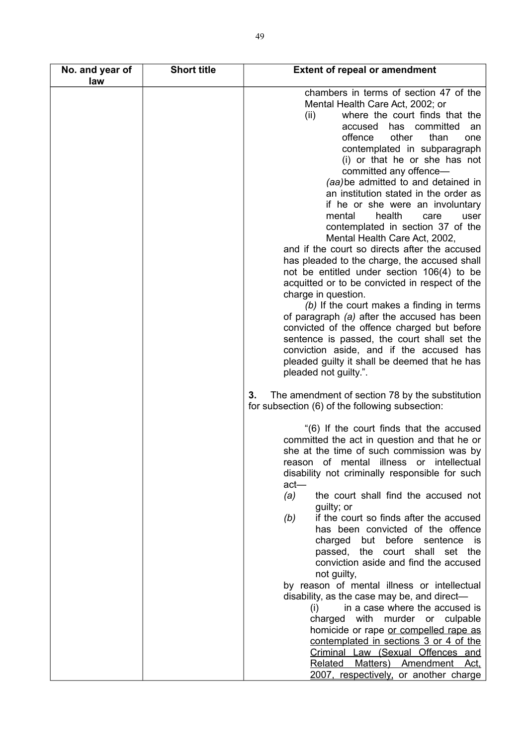| No. and year of<br>law | <b>Short title</b> | <b>Extent of repeal or amendment</b>                                                                     |
|------------------------|--------------------|----------------------------------------------------------------------------------------------------------|
|                        |                    | chambers in terms of section 47 of the<br>Mental Health Care Act, 2002; or                               |
|                        |                    | where the court finds that the<br>(ii)                                                                   |
|                        |                    | has committed<br>accused<br>an                                                                           |
|                        |                    | offence<br>other<br>than<br>one                                                                          |
|                        |                    | contemplated in subparagraph                                                                             |
|                        |                    | (i) or that he or she has not                                                                            |
|                        |                    | committed any offence-                                                                                   |
|                        |                    | (aa) be admitted to and detained in<br>an institution stated in the order as                             |
|                        |                    | if he or she were an involuntary                                                                         |
|                        |                    | mental<br>health<br>care<br>user                                                                         |
|                        |                    | contemplated in section 37 of the                                                                        |
|                        |                    | Mental Health Care Act, 2002,                                                                            |
|                        |                    | and if the court so directs after the accused                                                            |
|                        |                    | has pleaded to the charge, the accused shall                                                             |
|                        |                    | not be entitled under section 106(4) to be                                                               |
|                        |                    | acquitted or to be convicted in respect of the<br>charge in question.                                    |
|                        |                    | (b) If the court makes a finding in terms                                                                |
|                        |                    | of paragraph (a) after the accused has been                                                              |
|                        |                    | convicted of the offence charged but before                                                              |
|                        |                    | sentence is passed, the court shall set the                                                              |
|                        |                    | conviction aside, and if the accused has                                                                 |
|                        |                    | pleaded guilty it shall be deemed that he has                                                            |
|                        |                    | pleaded not guilty.".                                                                                    |
|                        |                    | The amendment of section 78 by the substitution<br>3.<br>for subsection (6) of the following subsection: |
|                        |                    | "(6) If the court finds that the accused                                                                 |
|                        |                    | committed the act in question and that he or                                                             |
|                        |                    | she at the time of such commission was by                                                                |
|                        |                    | reason of mental illness or intellectual                                                                 |
|                        |                    | disability not criminally responsible for such<br>$act$ —                                                |
|                        |                    | the court shall find the accused not<br>(a)                                                              |
|                        |                    | guilty; or                                                                                               |
|                        |                    | if the court so finds after the accused<br>(b)                                                           |
|                        |                    | has been convicted of the offence                                                                        |
|                        |                    | charged but before sentence is                                                                           |
|                        |                    | passed, the court shall set the                                                                          |
|                        |                    | conviction aside and find the accused<br>not guilty,                                                     |
|                        |                    | by reason of mental illness or intellectual                                                              |
|                        |                    | disability, as the case may be, and direct-                                                              |
|                        |                    | in a case where the accused is<br>(i)                                                                    |
|                        |                    | charged with murder or culpable                                                                          |
|                        |                    | homicide or rape or compelled rape as                                                                    |
|                        |                    | contemplated in sections 3 or 4 of the                                                                   |
|                        |                    | Criminal Law (Sexual Offences and<br>Matters) Amendment Act.<br><b>Related</b>                           |
|                        |                    | 2007, respectively, or another charge                                                                    |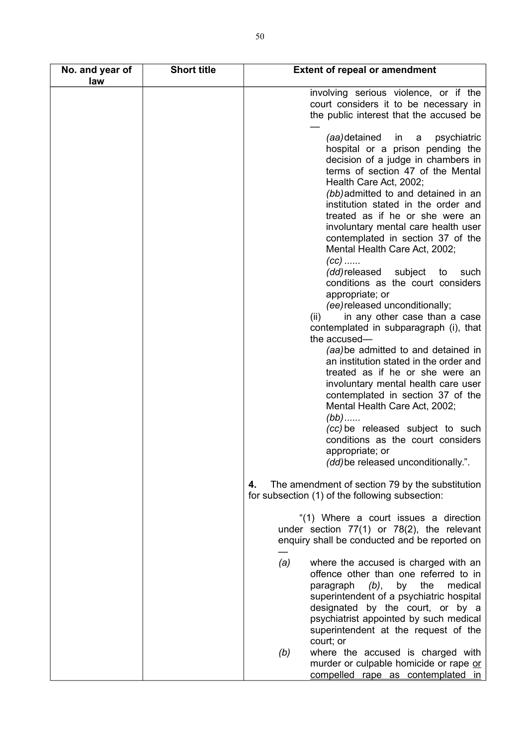| No. and year of<br>law | <b>Short title</b> | <b>Extent of repeal or amendment</b>                                                                                                                                                                                                                                                                       |
|------------------------|--------------------|------------------------------------------------------------------------------------------------------------------------------------------------------------------------------------------------------------------------------------------------------------------------------------------------------------|
|                        |                    | involving serious violence, or if the<br>court considers it to be necessary in<br>the public interest that the accused be                                                                                                                                                                                  |
|                        |                    | (aa) detained<br>in<br>psychiatric<br>a<br>hospital or a prison pending the<br>decision of a judge in chambers in<br>terms of section 47 of the Mental<br>Health Care Act, 2002;<br>(bb) admitted to and detained in an<br>institution stated in the order and                                             |
|                        |                    | treated as if he or she were an<br>involuntary mental care health user<br>contemplated in section 37 of the<br>Mental Health Care Act, 2002;<br>$(cc)$                                                                                                                                                     |
|                        |                    | (dd) released<br>subject<br>such<br>to<br>conditions as the court considers<br>appropriate; or<br>(ee) released unconditionally;                                                                                                                                                                           |
|                        |                    | in any other case than a case<br>(ii)<br>contemplated in subparagraph (i), that<br>the accused-<br>(aa) be admitted to and detained in                                                                                                                                                                     |
|                        |                    | an institution stated in the order and<br>treated as if he or she were an<br>involuntary mental health care user<br>contemplated in section 37 of the<br>Mental Health Care Act, 2002;<br>$(bb)$                                                                                                           |
|                        |                    | (cc) be released subject to such<br>conditions as the court considers<br>appropriate; or<br>(dd) be released unconditionally.".                                                                                                                                                                            |
|                        |                    | The amendment of section 79 by the substitution<br>4.<br>for subsection (1) of the following subsection:                                                                                                                                                                                                   |
|                        |                    | "(1) Where a court issues a direction<br>under section $77(1)$ or $78(2)$ , the relevant<br>enquiry shall be conducted and be reported on                                                                                                                                                                  |
|                        |                    | (a)<br>where the accused is charged with an<br>offence other than one referred to in<br>by the<br>medical<br>paragraph (b),<br>superintendent of a psychiatric hospital<br>designated by the court, or by a<br>psychiatrist appointed by such medical<br>superintendent at the request of the<br>court; or |
|                        |                    | where the accused is charged with<br>(b)<br>murder or culpable homicide or rape or<br>compelled rape as contemplated in                                                                                                                                                                                    |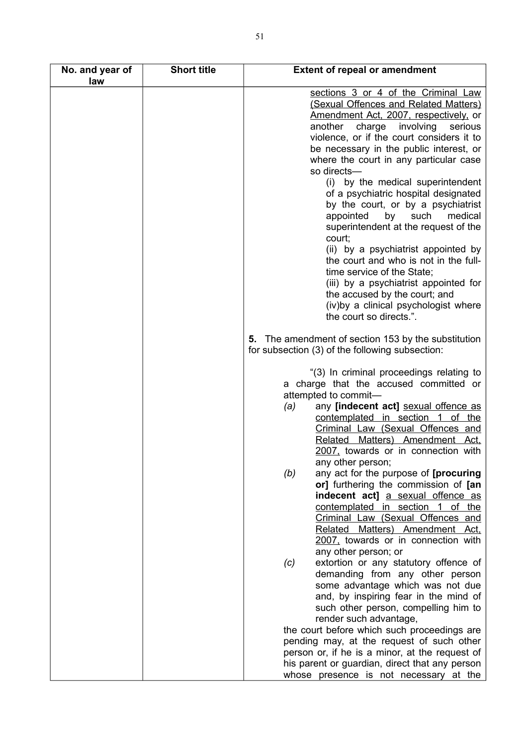| No. and year of | <b>Short title</b> | <b>Extent of repeal or amendment</b>                                   |
|-----------------|--------------------|------------------------------------------------------------------------|
| law             |                    |                                                                        |
|                 |                    | sections 3 or 4 of the Criminal Law                                    |
|                 |                    | (Sexual Offences and Related Matters)                                  |
|                 |                    | Amendment Act, 2007, respectively, or                                  |
|                 |                    | another<br>charge<br>involving<br>serious                              |
|                 |                    | violence, or if the court considers it to                              |
|                 |                    | be necessary in the public interest, or                                |
|                 |                    | where the court in any particular case<br>so directs-                  |
|                 |                    | by the medical superintendent<br>(i)                                   |
|                 |                    | of a psychiatric hospital designated                                   |
|                 |                    | by the court, or by a psychiatrist                                     |
|                 |                    | appointed<br>by<br>such<br>medical                                     |
|                 |                    | superintendent at the request of the                                   |
|                 |                    | court;                                                                 |
|                 |                    | (ii) by a psychiatrist appointed by                                    |
|                 |                    | the court and who is not in the full-                                  |
|                 |                    | time service of the State;                                             |
|                 |                    | (iii) by a psychiatrist appointed for                                  |
|                 |                    | the accused by the court; and                                          |
|                 |                    | (iv)by a clinical psychologist where                                   |
|                 |                    | the court so directs.".                                                |
|                 |                    | 5. The amendment of section 153 by the substitution                    |
|                 |                    | for subsection (3) of the following subsection:                        |
|                 |                    |                                                                        |
|                 |                    | "(3) In criminal proceedings relating to                               |
|                 |                    | a charge that the accused committed or                                 |
|                 |                    | attempted to commit-                                                   |
|                 |                    | any [indecent act] sexual offence as<br>(a)                            |
|                 |                    | contemplated in section 1 of the                                       |
|                 |                    | Criminal Law (Sexual Offences and                                      |
|                 |                    | Related Matters) Amendment Act.<br>2007, towards or in connection with |
|                 |                    |                                                                        |
|                 |                    | any other person;<br>(b)<br>any act for the purpose of [procuring]     |
|                 |                    | or] furthering the commission of [an                                   |
|                 |                    | indecent act] a sexual offence as                                      |
|                 |                    | contemplated in section 1 of the                                       |
|                 |                    | Criminal Law (Sexual Offences and                                      |
|                 |                    | Related Matters) Amendment Act,                                        |
|                 |                    | 2007, towards or in connection with                                    |
|                 |                    | any other person; or                                                   |
|                 |                    | extortion or any statutory offence of<br>(c)                           |
|                 |                    | demanding from any other person                                        |
|                 |                    | some advantage which was not due                                       |
|                 |                    | and, by inspiring fear in the mind of                                  |
|                 |                    | such other person, compelling him to                                   |
|                 |                    | render such advantage,                                                 |
|                 |                    | the court before which such proceedings are                            |
|                 |                    | pending may, at the request of such other                              |
|                 |                    | person or, if he is a minor, at the request of                         |
|                 |                    | his parent or guardian, direct that any person                         |
|                 |                    | whose presence is not necessary at the                                 |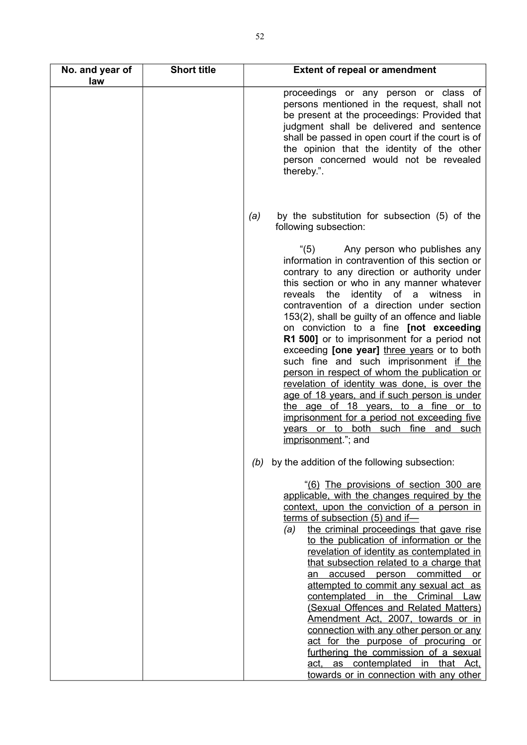| No. and year of<br>law | <b>Short title</b> | <b>Extent of repeal or amendment</b>                                                                                                                                                                                                                                                                                                                                                                                                                                                                                                                                                                                                                                                                                                                                                                                   |
|------------------------|--------------------|------------------------------------------------------------------------------------------------------------------------------------------------------------------------------------------------------------------------------------------------------------------------------------------------------------------------------------------------------------------------------------------------------------------------------------------------------------------------------------------------------------------------------------------------------------------------------------------------------------------------------------------------------------------------------------------------------------------------------------------------------------------------------------------------------------------------|
|                        |                    | proceedings or any person or class of<br>persons mentioned in the request, shall not<br>be present at the proceedings: Provided that<br>judgment shall be delivered and sentence<br>shall be passed in open court if the court is of<br>the opinion that the identity of the other<br>person concerned would not be revealed<br>thereby.".                                                                                                                                                                                                                                                                                                                                                                                                                                                                             |
|                        |                    | by the substitution for subsection (5) of the<br>(a)<br>following subsection:                                                                                                                                                                                                                                                                                                                                                                                                                                                                                                                                                                                                                                                                                                                                          |
|                        |                    | (5)<br>Any person who publishes any<br>information in contravention of this section or<br>contrary to any direction or authority under<br>this section or who in any manner whatever<br>reveals the identity of a witness in<br>contravention of a direction under section<br>153(2), shall be guilty of an offence and liable<br>on conviction to a fine [not exceeding<br>R1 500] or to imprisonment for a period not<br>exceeding [one year] three years or to both<br>such fine and such imprisonment if the<br>person in respect of whom the publication or<br>revelation of identity was done, is over the<br>age of 18 years, and if such person is under<br>the age of 18 years, to a fine or to<br>imprisonment for a period not exceeding five<br>years or to both such fine and such<br>imprisonment."; and |
|                        |                    | by the addition of the following subsection:<br>(b)                                                                                                                                                                                                                                                                                                                                                                                                                                                                                                                                                                                                                                                                                                                                                                    |
|                        |                    | "(6) The provisions of section 300 are<br>applicable, with the changes required by the<br>context, upon the conviction of a person in<br>terms of subsection (5) and if-<br>the criminal proceedings that gave rise<br>(a)<br>to the publication of information or the<br>revelation of identity as contemplated in<br>that subsection related to a charge that<br>an accused person committed or<br>attempted to commit any sexual act as<br>contemplated in the Criminal Law<br>(Sexual Offences and Related Matters)<br>Amendment Act, 2007, towards or in<br>connection with any other person or any<br>act for the purpose of procuring or<br>furthering the commission of a sexual<br>as contemplated in that Act.<br>act.<br>towards or in connection with any other                                            |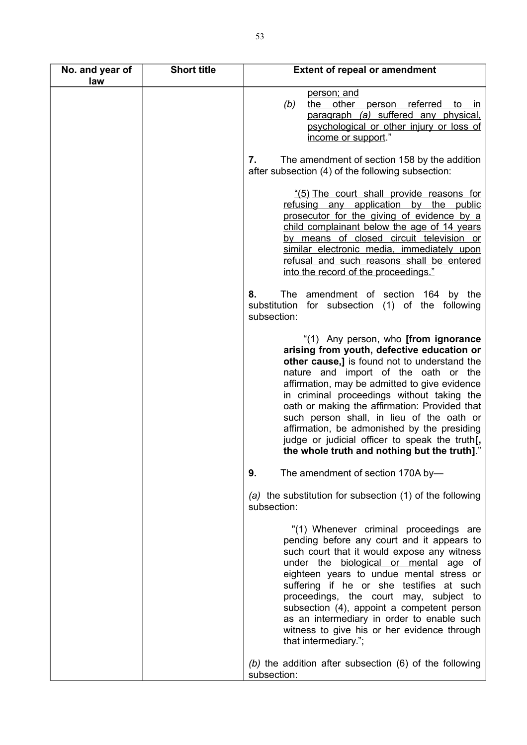| No. and year of<br>law | <b>Short title</b> | <b>Extent of repeal or amendment</b>                                                                                                                                                                                                                                                                                                                                                                                                                                                                                            |
|------------------------|--------------------|---------------------------------------------------------------------------------------------------------------------------------------------------------------------------------------------------------------------------------------------------------------------------------------------------------------------------------------------------------------------------------------------------------------------------------------------------------------------------------------------------------------------------------|
|                        |                    | person; and<br>(b)<br>the other person referred to in<br>paragraph (a) suffered any physical.<br>psychological or other injury or loss of<br>income or support."                                                                                                                                                                                                                                                                                                                                                                |
|                        |                    | The amendment of section 158 by the addition<br>7.<br>after subsection (4) of the following subsection:                                                                                                                                                                                                                                                                                                                                                                                                                         |
|                        |                    | "(5) The court shall provide reasons for<br>refusing any application by the public<br>prosecutor for the giving of evidence by a<br>child complainant below the age of 14 years<br>by means of closed circuit television or<br>similar electronic media, immediately upon<br>refusal and such reasons shall be entered<br>into the record of the proceedings."                                                                                                                                                                  |
|                        |                    | 8.<br>The amendment of section 164 by the<br>substitution for subsection (1) of the following<br>subsection:                                                                                                                                                                                                                                                                                                                                                                                                                    |
|                        |                    | "(1) Any person, who <b>[from ignorance</b><br>arising from youth, defective education or<br>other cause,] is found not to understand the<br>nature and import of the oath or the<br>affirmation, may be admitted to give evidence<br>in criminal proceedings without taking the<br>oath or making the affirmation: Provided that<br>such person shall, in lieu of the oath or<br>affirmation, be admonished by the presiding<br>judge or judicial officer to speak the truth[,<br>the whole truth and nothing but the truth]." |
|                        |                    | 9.<br>The amendment of section 170A by-                                                                                                                                                                                                                                                                                                                                                                                                                                                                                         |
|                        |                    | (a) the substitution for subsection (1) of the following<br>subsection:                                                                                                                                                                                                                                                                                                                                                                                                                                                         |
|                        |                    | "(1) Whenever criminal proceedings are<br>pending before any court and it appears to<br>such court that it would expose any witness<br>under the biological or mental age of<br>eighteen years to undue mental stress or<br>suffering if he or she testifies at such<br>proceedings, the court may, subject to<br>subsection (4), appoint a competent person<br>as an intermediary in order to enable such<br>witness to give his or her evidence through<br>that intermediary.";                                               |
|                        |                    | (b) the addition after subsection $(6)$ of the following<br>subsection:                                                                                                                                                                                                                                                                                                                                                                                                                                                         |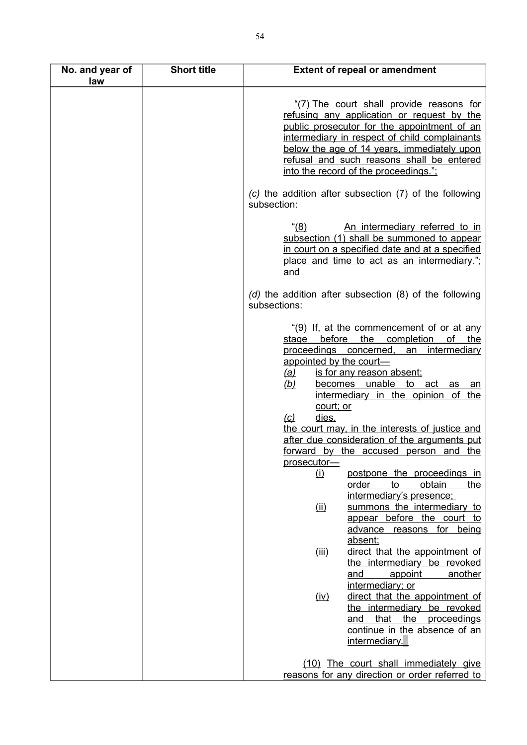| No. and year of<br>law | <b>Short title</b> | <b>Extent of repeal or amendment</b>                                                                                                                                                                                                                                                                                                                                                                                                                                                                                                                                                                                                                                                           |
|------------------------|--------------------|------------------------------------------------------------------------------------------------------------------------------------------------------------------------------------------------------------------------------------------------------------------------------------------------------------------------------------------------------------------------------------------------------------------------------------------------------------------------------------------------------------------------------------------------------------------------------------------------------------------------------------------------------------------------------------------------|
|                        |                    | "(7) The court shall provide reasons for<br>refusing any application or request by the<br>public prosecutor for the appointment of an<br>intermediary in respect of child complainants<br>below the age of 14 years, immediately upon<br>refusal and such reasons shall be entered<br>into the record of the proceedings.";                                                                                                                                                                                                                                                                                                                                                                    |
|                        |                    | (c) the addition after subsection (7) of the following<br>subsection:                                                                                                                                                                                                                                                                                                                                                                                                                                                                                                                                                                                                                          |
|                        |                    | $(8)^{4}$<br>An intermediary referred to in<br>subsection (1) shall be summoned to appear<br>in court on a specified date and at a specified<br>place and time to act as an intermediary.";<br>and                                                                                                                                                                                                                                                                                                                                                                                                                                                                                             |
|                        |                    | $(d)$ the addition after subsection $(8)$ of the following<br>subsections:                                                                                                                                                                                                                                                                                                                                                                                                                                                                                                                                                                                                                     |
|                        |                    | $(9)$ If, at the commencement of or at any<br>stage before<br>the<br>completion<br>οf<br>the<br>proceedings concerned, an intermediary<br>appointed by the court-<br>is for any reason absent;<br><u>(a)</u><br><u>(b)</u><br>becomes unable to act as an<br>intermediary in the opinion of the<br>court; or<br>dies,<br>$\omega$<br>the court may, in the interests of justice and<br>after due consideration of the arguments put<br>forward by the accused person and the<br>prosecutor-<br>postpone the proceedings in<br>(i)<br>obtain<br>order<br>to<br>the<br>intermediary's presence;<br>summons the intermediary to<br>(i)<br>appear before the court to<br>advance reasons for being |
|                        |                    | absent;<br>direct that the appointment of<br>(iii)<br>the intermediary be revoked                                                                                                                                                                                                                                                                                                                                                                                                                                                                                                                                                                                                              |
|                        |                    | and<br>appoint<br>another<br>intermediary; or<br>direct that the appointment of<br>(iv)<br>the intermediary be revoked<br>that the proceedings<br>and<br>continue in the absence of an<br>intermediary.                                                                                                                                                                                                                                                                                                                                                                                                                                                                                        |
|                        |                    | (10) The court shall immediately give<br>reasons for any direction or order referred to                                                                                                                                                                                                                                                                                                                                                                                                                                                                                                                                                                                                        |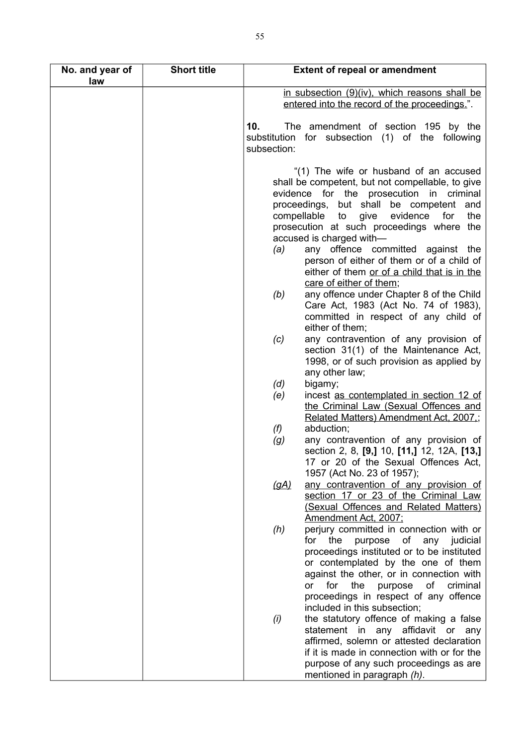| No. and year of<br>law | <b>Short title</b> | <b>Extent of repeal or amendment</b>                                                                                                                                                                                                                                                                                                                                                                                                                                                                                                                                      |
|------------------------|--------------------|---------------------------------------------------------------------------------------------------------------------------------------------------------------------------------------------------------------------------------------------------------------------------------------------------------------------------------------------------------------------------------------------------------------------------------------------------------------------------------------------------------------------------------------------------------------------------|
|                        |                    | in subsection (9)(iv), which reasons shall be                                                                                                                                                                                                                                                                                                                                                                                                                                                                                                                             |
|                        |                    | entered into the record of the proceedings.".                                                                                                                                                                                                                                                                                                                                                                                                                                                                                                                             |
|                        |                    | 10.<br>The amendment of section 195 by the<br>substitution for subsection (1) of the following<br>subsection:                                                                                                                                                                                                                                                                                                                                                                                                                                                             |
|                        |                    | "(1) The wife or husband of an accused<br>shall be competent, but not compellable, to give<br>evidence for the prosecution in criminal<br>proceedings, but shall be competent and<br>give evidence<br>compellable to<br>for<br>the<br>prosecution at such proceedings where the<br>accused is charged with-<br>any offence committed against the<br>(a)<br>person of either of them or of a child of<br>either of them or of a child that is in the<br>care of either of them;<br>any offence under Chapter 8 of the Child<br>(b)<br>Care Act, 1983 (Act No. 74 of 1983), |
|                        |                    | committed in respect of any child of<br>either of them;                                                                                                                                                                                                                                                                                                                                                                                                                                                                                                                   |
|                        |                    | any contravention of any provision of<br>(c)<br>section 31(1) of the Maintenance Act,<br>1998, or of such provision as applied by<br>any other law;                                                                                                                                                                                                                                                                                                                                                                                                                       |
|                        |                    | (d)<br>bigamy;<br>(e)<br>incest as contemplated in section 12 of<br>the Criminal Law (Sexual Offences and<br>Related Matters) Amendment Act, 2007.;                                                                                                                                                                                                                                                                                                                                                                                                                       |
|                        |                    | abduction;<br>(f)<br>any contravention of any provision of<br>(g)<br>section 2, 8, [9,] 10, [11,] 12, 12A, [13,]<br>17 or 20 of the Sexual Offences Act,<br>1957 (Act No. 23 of 1957);                                                                                                                                                                                                                                                                                                                                                                                    |
|                        |                    | any contravention of any provision of<br><u>(gA)</u><br>section 17 or 23 of the Criminal Law<br>(Sexual Offences and Related Matters)<br>Amendment Act, 2007;                                                                                                                                                                                                                                                                                                                                                                                                             |
|                        |                    | perjury committed in connection with or<br>(h)<br>any<br>for<br>the<br>purpose<br>of<br>judicial<br>proceedings instituted or to be instituted<br>or contemplated by the one of them<br>against the other, or in connection with<br>the<br>for<br>purpose of<br>criminal<br>or<br>proceedings in respect of any offence<br>included in this subsection;                                                                                                                                                                                                                   |
|                        |                    | the statutory offence of making a false<br>(i)<br>statement in any affidavit or<br>any<br>affirmed, solemn or attested declaration<br>if it is made in connection with or for the<br>purpose of any such proceedings as are<br>mentioned in paragraph (h).                                                                                                                                                                                                                                                                                                                |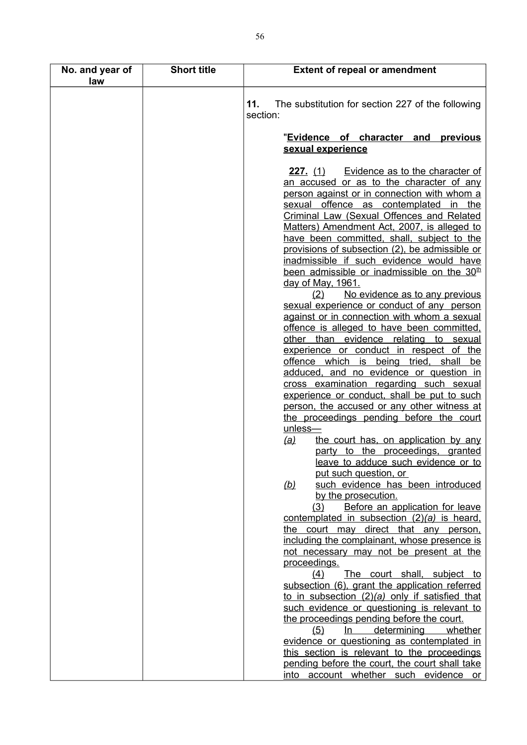| No. and year of<br>law | <b>Short title</b> | <b>Extent of repeal or amendment</b>                                                                                                                                                                                                                                                                                                                                                                                                                                                                                                                                                                                                                                                                                                                                                                                                                                                                                                                                                                                                                                                                                                                                                                                                                            |
|------------------------|--------------------|-----------------------------------------------------------------------------------------------------------------------------------------------------------------------------------------------------------------------------------------------------------------------------------------------------------------------------------------------------------------------------------------------------------------------------------------------------------------------------------------------------------------------------------------------------------------------------------------------------------------------------------------------------------------------------------------------------------------------------------------------------------------------------------------------------------------------------------------------------------------------------------------------------------------------------------------------------------------------------------------------------------------------------------------------------------------------------------------------------------------------------------------------------------------------------------------------------------------------------------------------------------------|
|                        |                    | 11.<br>The substitution for section 227 of the following<br>section:                                                                                                                                                                                                                                                                                                                                                                                                                                                                                                                                                                                                                                                                                                                                                                                                                                                                                                                                                                                                                                                                                                                                                                                            |
|                        |                    | "Evidence of character and<br>previous                                                                                                                                                                                                                                                                                                                                                                                                                                                                                                                                                                                                                                                                                                                                                                                                                                                                                                                                                                                                                                                                                                                                                                                                                          |
|                        |                    |                                                                                                                                                                                                                                                                                                                                                                                                                                                                                                                                                                                                                                                                                                                                                                                                                                                                                                                                                                                                                                                                                                                                                                                                                                                                 |
|                        |                    | sexual experience<br>227. (1) Evidence as to the character of<br>an accused or as to the character of any<br>person against or in connection with whom a<br>sexual offence as contemplated in the<br><b>Criminal Law (Sexual Offences and Related</b><br>Matters) Amendment Act, 2007, is alleged to<br>have been committed, shall, subject to the<br>provisions of subsection (2), be admissible or<br>inadmissible if such evidence would have<br>been admissible or inadmissible on the 30 <sup>th</sup><br>day of May, 1961.<br>No evidence as to any previous<br>(2)<br>sexual experience or conduct of any person<br>against or in connection with whom a sexual<br>offence is alleged to have been committed.<br>other than evidence relating<br>to sexual<br>experience or conduct in respect<br>of the<br>offence which is being tried, shall be<br>adduced, and no evidence or question in<br>cross examination regarding such sexual<br>experience or conduct, shall be put to such<br>person, the accused or any other witness at<br>the proceedings pending before the court<br>unless-<br>the court has, on application by any<br><u>(a)</u><br>party to the proceedings, granted<br>leave to adduce such evidence or to<br>put such question, or |
|                        |                    | such evidence has been introduced<br>(b)<br>by the prosecution.                                                                                                                                                                                                                                                                                                                                                                                                                                                                                                                                                                                                                                                                                                                                                                                                                                                                                                                                                                                                                                                                                                                                                                                                 |
|                        |                    | (3)<br>Before an application for leave<br>contemplated in subsection $(2)(a)$ is heard,                                                                                                                                                                                                                                                                                                                                                                                                                                                                                                                                                                                                                                                                                                                                                                                                                                                                                                                                                                                                                                                                                                                                                                         |
|                        |                    | the court may direct that any person.<br>including the complainant, whose presence is<br>not necessary may not be present at the<br>proceedings.                                                                                                                                                                                                                                                                                                                                                                                                                                                                                                                                                                                                                                                                                                                                                                                                                                                                                                                                                                                                                                                                                                                |
|                        |                    | (4)<br>The court shall, subject to<br>subsection (6), grant the application referred                                                                                                                                                                                                                                                                                                                                                                                                                                                                                                                                                                                                                                                                                                                                                                                                                                                                                                                                                                                                                                                                                                                                                                            |
|                        |                    | to in subsection $(2)(a)$ only if satisfied that                                                                                                                                                                                                                                                                                                                                                                                                                                                                                                                                                                                                                                                                                                                                                                                                                                                                                                                                                                                                                                                                                                                                                                                                                |
|                        |                    | such evidence or questioning is relevant to<br>the proceedings pending before the court.<br>whether<br>determining<br>In.<br>(5)                                                                                                                                                                                                                                                                                                                                                                                                                                                                                                                                                                                                                                                                                                                                                                                                                                                                                                                                                                                                                                                                                                                                |
|                        |                    | evidence or questioning as contemplated in<br>this section is relevant to the proceedings                                                                                                                                                                                                                                                                                                                                                                                                                                                                                                                                                                                                                                                                                                                                                                                                                                                                                                                                                                                                                                                                                                                                                                       |
|                        |                    | pending before the court, the court shall take<br>into account whether such evidence or                                                                                                                                                                                                                                                                                                                                                                                                                                                                                                                                                                                                                                                                                                                                                                                                                                                                                                                                                                                                                                                                                                                                                                         |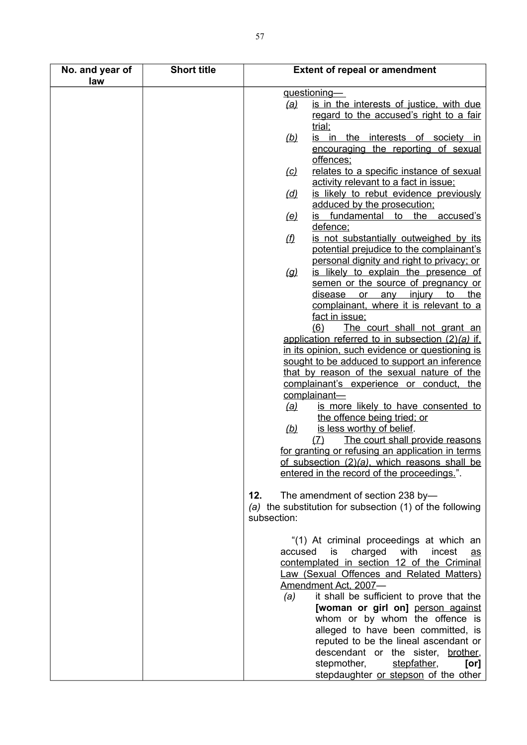| No. and year of<br>law | <b>Short title</b> |                     | <b>Extent of repeal or amendment</b>                                                       |
|------------------------|--------------------|---------------------|--------------------------------------------------------------------------------------------|
|                        |                    |                     | guestioning-                                                                               |
|                        |                    | <u>(a)</u>          | is in the interests of justice, with due                                                   |
|                        |                    |                     | regard to the accused's right to a fair                                                    |
|                        |                    |                     | trial;                                                                                     |
|                        |                    | (b)                 | is in the interests of society in                                                          |
|                        |                    |                     | encouraging the reporting of sexual                                                        |
|                        |                    |                     | offences;                                                                                  |
|                        |                    | (c)                 | relates to a specific instance of sexual                                                   |
|                        |                    |                     | activity relevant to a fact in issue;                                                      |
|                        |                    | ( <u>d)</u>         | is likely to rebut evidence previously                                                     |
|                        |                    |                     | adduced by the prosecution;                                                                |
|                        |                    | (e)                 | is fundamental to the accused's                                                            |
|                        |                    |                     | defence:                                                                                   |
|                        |                    | $\langle f \rangle$ | is not substantially outweighed by its                                                     |
|                        |                    |                     | potential prejudice to the complainant's                                                   |
|                        |                    |                     | personal dignity and right to privacy; or                                                  |
|                        |                    | $\left( q\right)$   | is likely to explain the presence of                                                       |
|                        |                    |                     | semen or the source of pregnancy or                                                        |
|                        |                    |                     | disease or any injury to the                                                               |
|                        |                    |                     | complainant, where it is relevant to a                                                     |
|                        |                    |                     | fact in issue;                                                                             |
|                        |                    |                     | (6)<br>The court shall not grant an                                                        |
|                        |                    |                     | application referred to in subsection $(2)(a)$ if,                                         |
|                        |                    |                     | in its opinion, such evidence or questioning is                                            |
|                        |                    |                     | sought to be adduced to support an inference<br>that by reason of the sexual nature of the |
|                        |                    |                     | complainant's experience or conduct, the                                                   |
|                        |                    |                     | complainant-                                                                               |
|                        |                    | <u>(a)</u>          | is more likely to have consented to                                                        |
|                        |                    |                     | the offence being tried; or                                                                |
|                        |                    | (b)                 | is less worthy of belief.                                                                  |
|                        |                    |                     | The court shall provide reasons<br>(7)                                                     |
|                        |                    |                     | for granting or refusing an application in terms                                           |
|                        |                    |                     | of subsection (2)(a), which reasons shall be                                               |
|                        |                    |                     | entered in the record of the proceedings.".                                                |
|                        |                    |                     |                                                                                            |
|                        |                    | 12.                 | The amendment of section 238 by-                                                           |
|                        |                    |                     | (a) the substitution for subsection (1) of the following                                   |
|                        |                    | subsection:         |                                                                                            |
|                        |                    |                     | "(1) At criminal proceedings at which an                                                   |
|                        |                    | accused             | with<br>is<br>charged<br>incest<br>$\mathbf{a}\mathbf{s}$                                  |
|                        |                    |                     | contemplated in section 12 of the Criminal                                                 |
|                        |                    |                     | Law (Sexual Offences and Related Matters)                                                  |
|                        |                    |                     | Amendment Act, 2007-                                                                       |
|                        |                    | (a)                 | it shall be sufficient to prove that the                                                   |
|                        |                    |                     | [woman or girl on] person against                                                          |
|                        |                    |                     | whom or by whom the offence is                                                             |
|                        |                    |                     | alleged to have been committed, is                                                         |
|                        |                    |                     | reputed to be the lineal ascendant or                                                      |
|                        |                    |                     | descendant or the sister, brother,                                                         |
|                        |                    |                     | stepfather,<br>stepmother,<br>[or]                                                         |
|                        |                    |                     | stepdaughter or stepson of the other                                                       |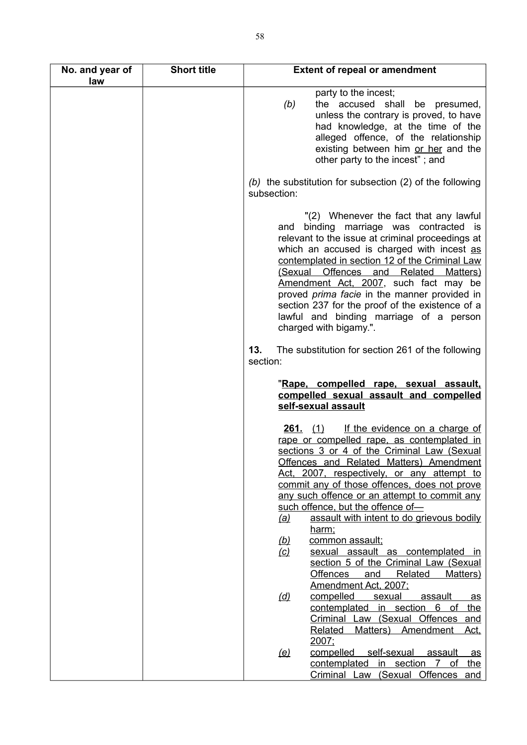| No. and year of<br>law | <b>Short title</b> | <b>Extent of repeal or amendment</b>                                                                                                                                                                                                                                                                                                                                                                                                                                                                 |
|------------------------|--------------------|------------------------------------------------------------------------------------------------------------------------------------------------------------------------------------------------------------------------------------------------------------------------------------------------------------------------------------------------------------------------------------------------------------------------------------------------------------------------------------------------------|
|                        |                    | party to the incest;<br>the accused shall be presumed,<br>(b)<br>unless the contrary is proved, to have<br>had knowledge, at the time of the<br>alleged offence, of the relationship<br>existing between him or her and the<br>other party to the incest"; and                                                                                                                                                                                                                                       |
|                        |                    | (b) the substitution for subsection $(2)$ of the following<br>subsection:                                                                                                                                                                                                                                                                                                                                                                                                                            |
|                        |                    | "(2) Whenever the fact that any lawful<br>binding marriage was contracted is<br>and<br>relevant to the issue at criminal proceedings at<br>which an accused is charged with incest as<br>contemplated in section 12 of the Criminal Law<br>(Sexual Offences and Related<br>Matters)<br>Amendment Act, 2007, such fact may be<br>proved prima facie in the manner provided in<br>section 237 for the proof of the existence of a<br>lawful and binding marriage of a person<br>charged with bigamy.". |
|                        |                    | 13.<br>The substitution for section 261 of the following<br>section:                                                                                                                                                                                                                                                                                                                                                                                                                                 |
|                        |                    | "Rape, compelled rape, sexual assault,<br>compelled sexual assault and compelled<br>self-sexual assault                                                                                                                                                                                                                                                                                                                                                                                              |
|                        |                    | If the evidence on a charge of<br><b>261.</b> $(1)$<br>rape or compelled rape, as contemplated in<br>sections 3 or 4 of the Criminal Law (Sexual<br>Offences and Related Matters) Amendment<br>Act, 2007, respectively, or any attempt to<br>commit any of those offences, does not prove<br>any such offence or an attempt to commit any<br>such offence, but the offence of-<br>assault with intent to do grievous bodily<br><u>(a)</u><br>harm;<br>(b)<br>common assault;                         |
|                        |                    | sexual assault as contemplated in<br>$\omega$<br>section 5 of the Criminal Law (Sexual<br>Offences<br>and<br><b>Related</b><br>Matters)                                                                                                                                                                                                                                                                                                                                                              |
|                        |                    | Amendment Act, 2007;<br>compelled<br><u>(d)</u><br>sexual<br><u>assault</u><br>$\overline{as}$<br>contemplated in section 6 of the<br>Criminal Law (Sexual Offences and<br>Matters) Amendment Act.<br>Related                                                                                                                                                                                                                                                                                        |
|                        |                    | 2007;<br>(e)<br>compelled self-sexual<br><u>assault</u><br>$\mathbf{a}\mathbf{s}$<br>contemplated in section 7 of the<br>Criminal Law (Sexual Offences and                                                                                                                                                                                                                                                                                                                                           |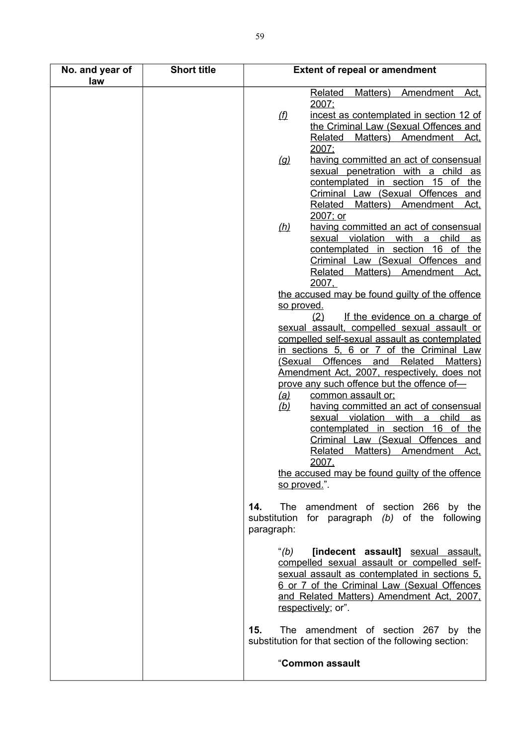| No. and year of<br>law | <b>Short title</b> | <b>Extent of repeal or amendment</b>                                                                                                                                                                                                                                                                                                                                                                                                                                                                                                                                                                                                             |
|------------------------|--------------------|--------------------------------------------------------------------------------------------------------------------------------------------------------------------------------------------------------------------------------------------------------------------------------------------------------------------------------------------------------------------------------------------------------------------------------------------------------------------------------------------------------------------------------------------------------------------------------------------------------------------------------------------------|
|                        |                    | Matters) Amendment Act,<br><b>Related</b><br>2007:<br>(f)<br>incest as contemplated in section 12 of<br>the Criminal Law (Sexual Offences and<br>Matters) Amendment Act.<br>Related                                                                                                                                                                                                                                                                                                                                                                                                                                                              |
|                        |                    | 2007:<br>having committed an act of consensual<br>$\left( q\right)$<br>sexual penetration with a child<br><u>as</u><br>contemplated in section 15 of the<br>Criminal Law (Sexual Offences and<br><b>Related</b><br>Matters) Amendment Act.<br>2007; or                                                                                                                                                                                                                                                                                                                                                                                           |
|                        |                    | having committed an act of consensual<br>(h)<br>sexual violation with a<br>child<br><u>as</u><br>contemplated in section 16 of the<br>Criminal Law (Sexual Offences and<br>Matters) Amendment Act.<br>Related<br>2007.                                                                                                                                                                                                                                                                                                                                                                                                                           |
|                        |                    | the accused may be found guilty of the offence<br>so proved.<br>If the evidence on a charge of<br>(2)                                                                                                                                                                                                                                                                                                                                                                                                                                                                                                                                            |
|                        |                    | sexual assault, compelled sexual assault or<br>compelled self-sexual assault as contemplated<br>in sections 5, 6 or 7 of the Criminal Law<br>Offences and<br>Related<br>(Sexual<br>Matters)<br><u>Amendment Act, 2007, respectively, does not</u><br>prove any such offence but the offence of-<br>common assault or:<br><u>(a)</u><br>having committed an act of consensual<br><u>(b)</u><br>sexual violation with a child<br><u>as</u><br>contemplated in section 16 of the<br>Criminal Law (Sexual Offences and<br>Related<br>Matters)<br>Amendment<br><u>Act,</u><br>2007,<br>the accused may be found guilty of the offence<br>so proved.". |
|                        |                    | The amendment of section 266 by the<br>14.<br>substitution for paragraph (b) of the following<br>paragraph:                                                                                                                                                                                                                                                                                                                                                                                                                                                                                                                                      |
|                        |                    | "(b)<br>[indecent assault] sexual assault,<br>compelled sexual assault or compelled self-<br>sexual assault as contemplated in sections 5.<br>6 or 7 of the Criminal Law (Sexual Offences<br>and Related Matters) Amendment Act, 2007,<br>respectively; or".                                                                                                                                                                                                                                                                                                                                                                                     |
|                        |                    | 15.<br>The amendment of section 267 by the<br>substitution for that section of the following section:                                                                                                                                                                                                                                                                                                                                                                                                                                                                                                                                            |
|                        |                    | "Common assault                                                                                                                                                                                                                                                                                                                                                                                                                                                                                                                                                                                                                                  |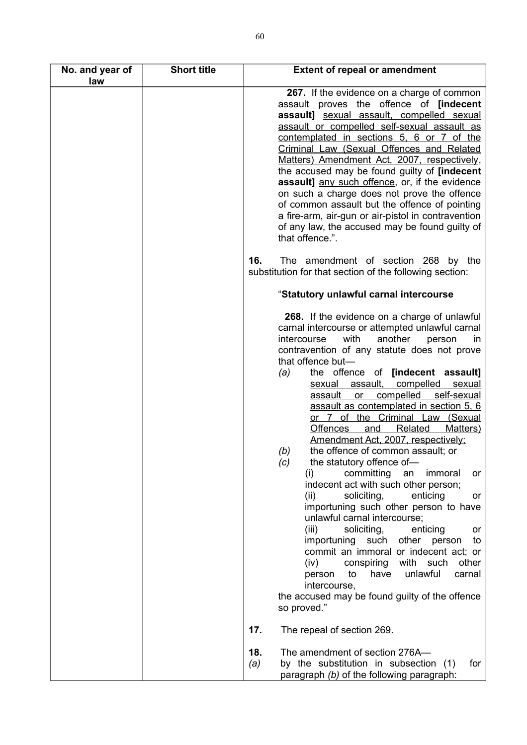| No. and year of<br>law | <b>Short title</b> | <b>Extent of repeal or amendment</b>                                                                                                                                                                                                                                                                                                                                                                                                                                                                                                                                                                                                                                                                                                                                                                                                                                                                                                                                                                                                                                                                                                 |
|------------------------|--------------------|--------------------------------------------------------------------------------------------------------------------------------------------------------------------------------------------------------------------------------------------------------------------------------------------------------------------------------------------------------------------------------------------------------------------------------------------------------------------------------------------------------------------------------------------------------------------------------------------------------------------------------------------------------------------------------------------------------------------------------------------------------------------------------------------------------------------------------------------------------------------------------------------------------------------------------------------------------------------------------------------------------------------------------------------------------------------------------------------------------------------------------------|
|                        |                    | 267. If the evidence on a charge of common<br>assault proves the offence of [indecent<br>assault] sexual assault, compelled sexual<br>assault or compelled self-sexual assault as<br>contemplated in sections 5, 6 or 7 of the<br>Criminal Law (Sexual Offences and Related<br>Matters) Amendment Act, 2007, respectively,<br>the accused may be found guilty of [indecent]<br>assault] any such offence, or, if the evidence<br>on such a charge does not prove the offence<br>of common assault but the offence of pointing<br>a fire-arm, air-gun or air-pistol in contravention<br>of any law, the accused may be found guilty of<br>that offence.".                                                                                                                                                                                                                                                                                                                                                                                                                                                                             |
|                        |                    | 16.<br>The amendment of section 268 by the<br>substitution for that section of the following section:                                                                                                                                                                                                                                                                                                                                                                                                                                                                                                                                                                                                                                                                                                                                                                                                                                                                                                                                                                                                                                |
|                        |                    | "Statutory unlawful carnal intercourse                                                                                                                                                                                                                                                                                                                                                                                                                                                                                                                                                                                                                                                                                                                                                                                                                                                                                                                                                                                                                                                                                               |
|                        |                    | 268. If the evidence on a charge of unlawful<br>carnal intercourse or attempted unlawful carnal<br>intercourse<br>with<br>another<br>person<br>in.<br>contravention of any statute does not prove<br>that offence but-<br>the offence of<br>[indecent assault]<br>(a)<br>sexual assault, compelled<br>sexual<br>or compelled<br>self-sexual<br>assault<br>assault as contemplated in section 5, 6<br><u>or 7 of the Criminal Law (Sexual</u><br><b>Offences</b><br>Related<br>Matters)<br>and<br>Amendment Act, 2007, respectively;<br>the offence of common assault; or<br>(b)<br>(c)<br>the statutory offence of-<br>committing<br>(i)<br>an<br>immoral<br>or<br>indecent act with such other person;<br>(ii)<br>soliciting,<br>enticing<br>or<br>importuning such other person to have<br>unlawful carnal intercourse;<br>(iii)<br>soliciting,<br>enticing<br>or<br>importuning<br>such<br>other person<br>to<br>commit an immoral or indecent act; or<br>conspiring<br>with such<br>(iv)<br>other<br>unlawful<br>to<br>have<br>carnal<br>person<br>intercourse,<br>the accused may be found guilty of the offence<br>so proved." |
|                        |                    | 17.<br>The repeal of section 269.                                                                                                                                                                                                                                                                                                                                                                                                                                                                                                                                                                                                                                                                                                                                                                                                                                                                                                                                                                                                                                                                                                    |
|                        |                    | 18.<br>The amendment of section 276A-<br>by the substitution in subsection (1)<br>(a)<br>for<br>paragraph (b) of the following paragraph:                                                                                                                                                                                                                                                                                                                                                                                                                                                                                                                                                                                                                                                                                                                                                                                                                                                                                                                                                                                            |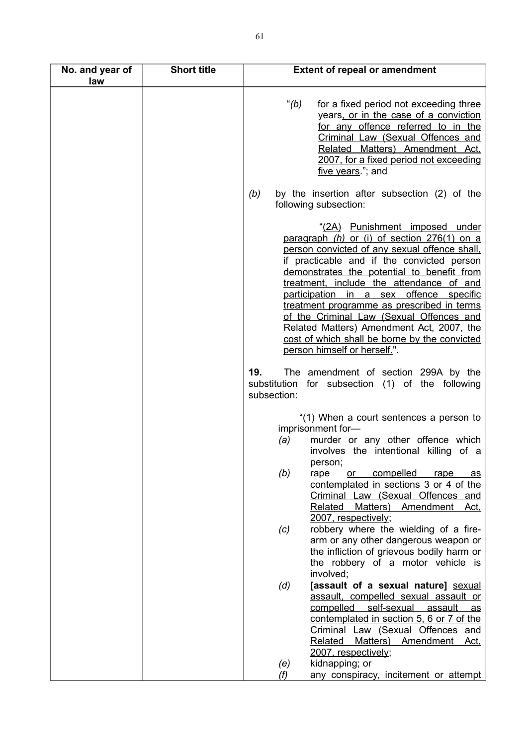| No. and year of<br>law | <b>Short title</b> | <b>Extent of repeal or amendment</b>                                                                                                                                                                                                                                                                                                                                                                                                                                                                                                      |
|------------------------|--------------------|-------------------------------------------------------------------------------------------------------------------------------------------------------------------------------------------------------------------------------------------------------------------------------------------------------------------------------------------------------------------------------------------------------------------------------------------------------------------------------------------------------------------------------------------|
|                        |                    | " $(b)$<br>for a fixed period not exceeding three<br>years, or in the case of a conviction<br>for any offence referred to in the<br>Criminal Law (Sexual Offences and<br>Related Matters) Amendment Act,<br>2007, for a fixed period not exceeding<br>five years."; and                                                                                                                                                                                                                                                                   |
|                        |                    | by the insertion after subsection (2) of the<br>(b)<br>following subsection:                                                                                                                                                                                                                                                                                                                                                                                                                                                              |
|                        |                    | "(2A) Punishment imposed under<br>paragraph (h) or (i) of section 276(1) on a<br>person convicted of any sexual offence shall,<br>if practicable and if the convicted person<br>demonstrates the potential to benefit from<br>treatment, include the attendance of and<br>participation in a sex offence specific<br>treatment programme as prescribed in terms<br>of the Criminal Law (Sexual Offences and<br>Related Matters) Amendment Act, 2007, the<br>cost of which shall be borne by the convicted<br>person himself or herself.". |
|                        |                    | 19.<br>The amendment of section 299A by the<br>substitution for subsection (1) of the following<br>subsection:                                                                                                                                                                                                                                                                                                                                                                                                                            |
|                        |                    | "(1) When a court sentences a person to<br>imprisonment for-<br>murder or any other offence which<br>(a)<br>involves the intentional killing of a                                                                                                                                                                                                                                                                                                                                                                                         |
|                        |                    | person;<br>(b)<br>compelled<br>rape<br>or<br>rape<br><u>as</u><br>contemplated in sections 3 or 4 of the<br>Criminal Law (Sexual Offences and<br>Matters) Amendment Act,<br><b>Related</b><br>2007, respectively;                                                                                                                                                                                                                                                                                                                         |
|                        |                    | robbery where the wielding of a fire-<br>(c)<br>arm or any other dangerous weapon or<br>the infliction of grievous bodily harm or<br>the robbery of a motor vehicle is                                                                                                                                                                                                                                                                                                                                                                    |
|                        |                    | involved;<br>[assault of a sexual nature] sexual<br>(d)<br>assault, compelled sexual assault or<br>self-sexual<br>compelled<br>assault<br>$\overline{\mathbf{a}}\mathbf{s}$<br>contemplated in section 5, 6 or 7 of the<br>Criminal Law (Sexual Offences and<br>Matters)<br><b>Related</b><br>Amendment<br>Act,<br>2007, respectively;                                                                                                                                                                                                    |
|                        |                    | kidnapping; or<br>(e)<br>any conspiracy, incitement or attempt<br>(f)                                                                                                                                                                                                                                                                                                                                                                                                                                                                     |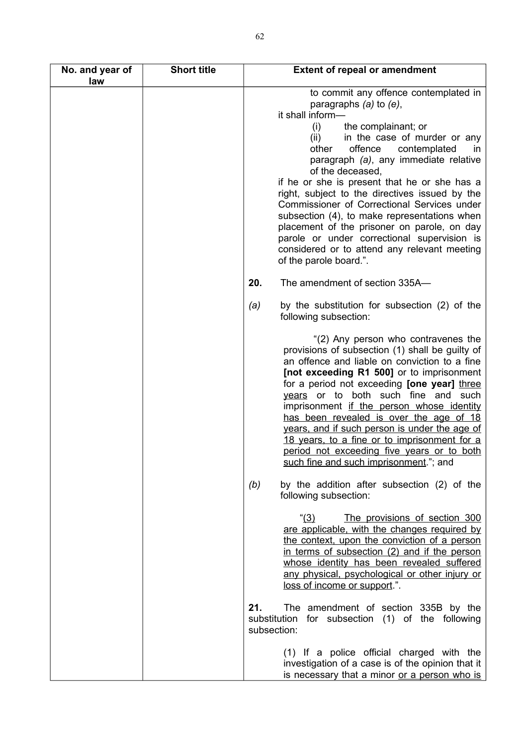| No. and year of<br>law | <b>Short title</b> | <b>Extent of repeal or amendment</b>                                                                                                                                                                                                                                                                                                                                                                                                                                                                                                                                                                                                                     |
|------------------------|--------------------|----------------------------------------------------------------------------------------------------------------------------------------------------------------------------------------------------------------------------------------------------------------------------------------------------------------------------------------------------------------------------------------------------------------------------------------------------------------------------------------------------------------------------------------------------------------------------------------------------------------------------------------------------------|
|                        |                    | to commit any offence contemplated in<br>paragraphs $(a)$ to $(e)$ ,<br>it shall inform-<br>(i)<br>the complainant; or<br>in the case of murder or any<br>(ii)<br>other<br>offence<br>contemplated<br>$\mathsf{I}$<br>paragraph (a), any immediate relative<br>of the deceased,<br>if he or she is present that he or she has a<br>right, subject to the directives issued by the<br>Commissioner of Correctional Services under<br>subsection (4), to make representations when<br>placement of the prisoner on parole, on day<br>parole or under correctional supervision is<br>considered or to attend any relevant meeting<br>of the parole board.". |
|                        |                    | The amendment of section 335A-<br>20.                                                                                                                                                                                                                                                                                                                                                                                                                                                                                                                                                                                                                    |
|                        |                    | by the substitution for subsection (2) of the<br>(a)<br>following subsection:                                                                                                                                                                                                                                                                                                                                                                                                                                                                                                                                                                            |
|                        |                    | "(2) Any person who contravenes the<br>provisions of subsection (1) shall be guilty of<br>an offence and liable on conviction to a fine<br>[not exceeding R1 500] or to imprisonment<br>for a period not exceeding [one year] three<br>years or to both such fine and such<br>imprisonment if the person whose identity<br>has been revealed is over the age of 18<br>years, and if such person is under the age of<br>18 years, to a fine or to imprisonment for a<br>period not exceeding five years or to both<br>such fine and such imprisonment."; and                                                                                              |
|                        |                    | by the addition after subsection (2) of the<br>(b)<br>following subsection:                                                                                                                                                                                                                                                                                                                                                                                                                                                                                                                                                                              |
|                        |                    | (3)<br>The provisions of section 300<br>are applicable, with the changes required by<br>the context, upon the conviction of a person<br>in terms of subsection (2) and if the person<br>whose identity has been revealed suffered<br>any physical, psychological or other injury or<br>loss of income or support.".                                                                                                                                                                                                                                                                                                                                      |
|                        |                    | The amendment of section 335B by the<br>21.<br>substitution for subsection (1) of the following<br>subsection:                                                                                                                                                                                                                                                                                                                                                                                                                                                                                                                                           |
|                        |                    | (1) If a police official charged with the<br>investigation of a case is of the opinion that it<br>is necessary that a minor or a person who is                                                                                                                                                                                                                                                                                                                                                                                                                                                                                                           |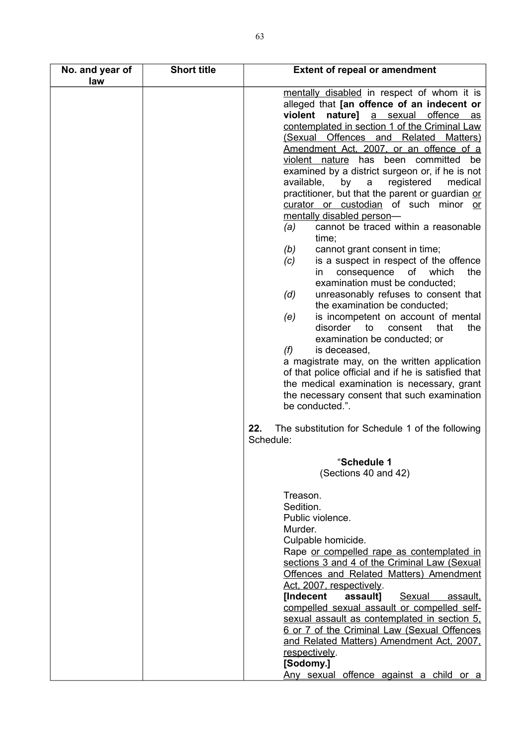| No. and year of | <b>Short title</b> | <b>Extent of repeal or amendment</b>                                                                                                                                                                                                                                                                                                                                                                                                                                                                                                                                                                                         |
|-----------------|--------------------|------------------------------------------------------------------------------------------------------------------------------------------------------------------------------------------------------------------------------------------------------------------------------------------------------------------------------------------------------------------------------------------------------------------------------------------------------------------------------------------------------------------------------------------------------------------------------------------------------------------------------|
| law             |                    | mentally disabled in respect of whom it is<br>alleged that [an offence of an indecent or<br>nature] a sexual offence as<br>violent<br>contemplated in section 1 of the Criminal Law<br>(Sexual Offences and Related<br><b>Matters</b> )<br>Amendment Act, 2007, or an offence of a<br>been committed be<br>violent nature has<br>examined by a district surgeon or, if he is not<br>available,<br>registered<br>medical<br>by<br>a<br>practitioner, but that the parent or guardian or<br>curator or custodian of such minor or<br>mentally disabled person-<br>cannot be traced within a reasonable<br>(a)<br>time;         |
|                 |                    | (b)<br>cannot grant consent in time;<br>is a suspect in respect of the offence<br>(c)<br>which<br>consequence<br>of<br>the<br>in.<br>examination must be conducted;<br>unreasonably refuses to consent that<br>(d)<br>the examination be conducted;<br>is incompetent on account of mental<br>(e)<br>disorder<br>to<br>consent<br>that<br>the<br>examination be conducted; or<br>(f)<br>is deceased,<br>a magistrate may, on the written application<br>of that police official and if he is satisfied that<br>the medical examination is necessary, grant<br>the necessary consent that such examination<br>be conducted.". |
|                 |                    | 22.<br>The substitution for Schedule 1 of the following<br>Schedule:                                                                                                                                                                                                                                                                                                                                                                                                                                                                                                                                                         |
|                 |                    | "Schedule 1<br>(Sections 40 and 42)                                                                                                                                                                                                                                                                                                                                                                                                                                                                                                                                                                                          |
|                 |                    | Treason.<br>Sedition.<br>Public violence.<br>Murder.<br>Culpable homicide.<br>Rape or compelled rape as contemplated in<br>sections 3 and 4 of the Criminal Law (Sexual<br><b>Offences and Related Matters) Amendment</b><br>Act, 2007, respectively.<br><b>[Indecent</b><br>assault]<br>Sexual<br>assault,<br>compelled sexual assault or compelled self-<br>sexual assault as contemplated in section 5,<br>6 or 7 of the Criminal Law (Sexual Offences<br>and Related Matters) Amendment Act, 2007,<br>respectively.<br>[Sodomy.]<br>Any sexual offence against a child or a                                              |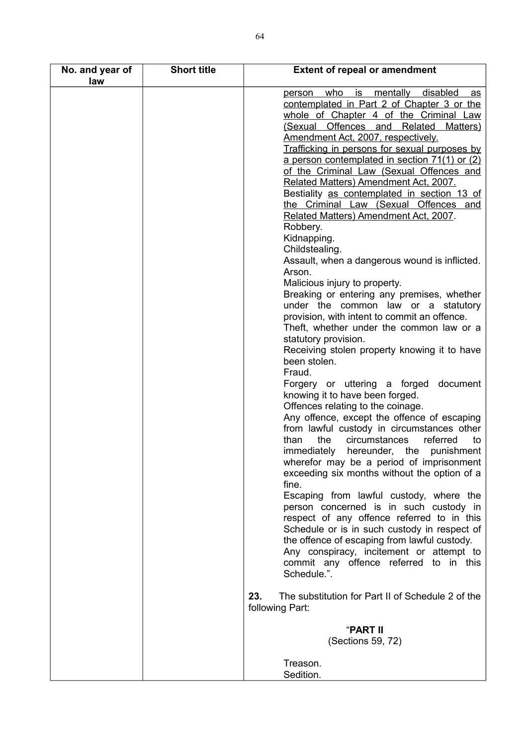| No. and year of | <b>Short title</b> | <b>Extent of repeal or amendment</b>                     |
|-----------------|--------------------|----------------------------------------------------------|
| law             |                    |                                                          |
|                 |                    | who is mentally disabled<br><u>person</u><br>as          |
|                 |                    | contemplated in Part 2 of Chapter 3 or the               |
|                 |                    | whole of Chapter 4 of the Criminal Law                   |
|                 |                    | (Sexual Offences and Related<br>Matters)                 |
|                 |                    | Amendment Act, 2007, respectively.                       |
|                 |                    | Trafficking in persons for sexual purposes by            |
|                 |                    | a person contemplated in section 71(1) or (2)            |
|                 |                    | of the Criminal Law (Sexual Offences and                 |
|                 |                    |                                                          |
|                 |                    | Related Matters) Amendment Act, 2007.                    |
|                 |                    | Bestiality as contemplated in section 13 of              |
|                 |                    | the Criminal Law (Sexual Offences and                    |
|                 |                    | Related Matters) Amendment Act, 2007.                    |
|                 |                    | Robbery.                                                 |
|                 |                    | Kidnapping.                                              |
|                 |                    | Childstealing.                                           |
|                 |                    | Assault, when a dangerous wound is inflicted.            |
|                 |                    | Arson.                                                   |
|                 |                    | Malicious injury to property.                            |
|                 |                    | Breaking or entering any premises, whether               |
|                 |                    | under the common law or a statutory                      |
|                 |                    | provision, with intent to commit an offence.             |
|                 |                    | Theft, whether under the common law or a                 |
|                 |                    | statutory provision.                                     |
|                 |                    | Receiving stolen property knowing it to have             |
|                 |                    | been stolen.                                             |
|                 |                    | Fraud.                                                   |
|                 |                    |                                                          |
|                 |                    | Forgery or uttering a forged document                    |
|                 |                    | knowing it to have been forged.                          |
|                 |                    | Offences relating to the coinage.                        |
|                 |                    | Any offence, except the offence of escaping              |
|                 |                    | from lawful custody in circumstances other               |
|                 |                    | the<br>circumstances<br>than<br>referred<br>to           |
|                 |                    | immediately hereunder, the punishment                    |
|                 |                    | wherefor may be a period of imprisonment                 |
|                 |                    | exceeding six months without the option of a             |
|                 |                    | fine.                                                    |
|                 |                    | Escaping from lawful custody, where the                  |
|                 |                    | person concerned is in such custody in                   |
|                 |                    | respect of any offence referred to in this               |
|                 |                    | Schedule or is in such custody in respect of             |
|                 |                    | the offence of escaping from lawful custody.             |
|                 |                    | Any conspiracy, incitement or attempt to                 |
|                 |                    | commit any offence referred to in this                   |
|                 |                    | Schedule.".                                              |
|                 |                    |                                                          |
|                 |                    | 23.<br>The substitution for Part II of Schedule 2 of the |
|                 |                    | following Part:                                          |
|                 |                    |                                                          |
|                 |                    | "PART II                                                 |
|                 |                    | (Sections 59, 72)                                        |
|                 |                    |                                                          |
|                 |                    | Treason.                                                 |
|                 |                    | Sedition.                                                |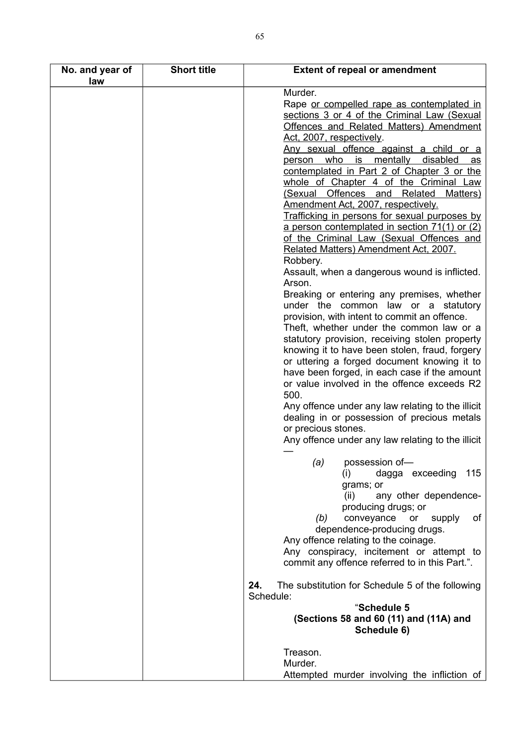| No. and year of | <b>Short title</b> | <b>Extent of repeal or amendment</b>                                           |
|-----------------|--------------------|--------------------------------------------------------------------------------|
| law             |                    |                                                                                |
|                 |                    | Murder.                                                                        |
|                 |                    | Rape or compelled rape as contemplated in                                      |
|                 |                    | sections 3 or 4 of the Criminal Law (Sexual                                    |
|                 |                    | Offences and Related Matters) Amendment                                        |
|                 |                    | Act, 2007, respectively.                                                       |
|                 |                    | Any sexual offence against a child or a                                        |
|                 |                    | person who is mentally disabled<br><u>as</u>                                   |
|                 |                    | contemplated in Part 2 of Chapter 3 or the                                     |
|                 |                    | whole of Chapter 4 of the Criminal Law                                         |
|                 |                    | (Sexual Offences and Related<br>Matters)<br>Amendment Act, 2007, respectively. |
|                 |                    | Trafficking in persons for sexual purposes by                                  |
|                 |                    | a person contemplated in section 71(1) or (2)                                  |
|                 |                    | of the Criminal Law (Sexual Offences and                                       |
|                 |                    | Related Matters) Amendment Act, 2007.                                          |
|                 |                    | Robbery.                                                                       |
|                 |                    | Assault, when a dangerous wound is inflicted.                                  |
|                 |                    | Arson.                                                                         |
|                 |                    | Breaking or entering any premises, whether                                     |
|                 |                    | under the common law or a statutory                                            |
|                 |                    | provision, with intent to commit an offence.                                   |
|                 |                    | Theft, whether under the common law or a                                       |
|                 |                    | statutory provision, receiving stolen property                                 |
|                 |                    | knowing it to have been stolen, fraud, forgery                                 |
|                 |                    | or uttering a forged document knowing it to                                    |
|                 |                    | have been forged, in each case if the amount                                   |
|                 |                    | or value involved in the offence exceeds R2                                    |
|                 |                    | 500.                                                                           |
|                 |                    | Any offence under any law relating to the illicit                              |
|                 |                    | dealing in or possession of precious metals                                    |
|                 |                    | or precious stones.                                                            |
|                 |                    | Any offence under any law relating to the illicit                              |
|                 |                    |                                                                                |
|                 |                    | $(a)$ possession of-                                                           |
|                 |                    | 115<br>(i)<br>dagga exceeding                                                  |
|                 |                    | grams; or                                                                      |
|                 |                    | any other dependence-<br>(ii)<br>producing drugs; or                           |
|                 |                    | conveyance<br>(b)<br>or<br>supply<br>of                                        |
|                 |                    | dependence-producing drugs.                                                    |
|                 |                    | Any offence relating to the coinage.                                           |
|                 |                    | Any conspiracy, incitement or attempt to                                       |
|                 |                    | commit any offence referred to in this Part.".                                 |
|                 |                    |                                                                                |
|                 |                    | 24.<br>The substitution for Schedule 5 of the following                        |
|                 |                    | Schedule:                                                                      |
|                 |                    | "Schedule 5                                                                    |
|                 |                    | (Sections 58 and 60 (11) and (11A) and                                         |
|                 |                    | Schedule 6)                                                                    |
|                 |                    | Treason.                                                                       |
|                 |                    | Murder.                                                                        |
|                 |                    | Attempted murder involving the infliction of                                   |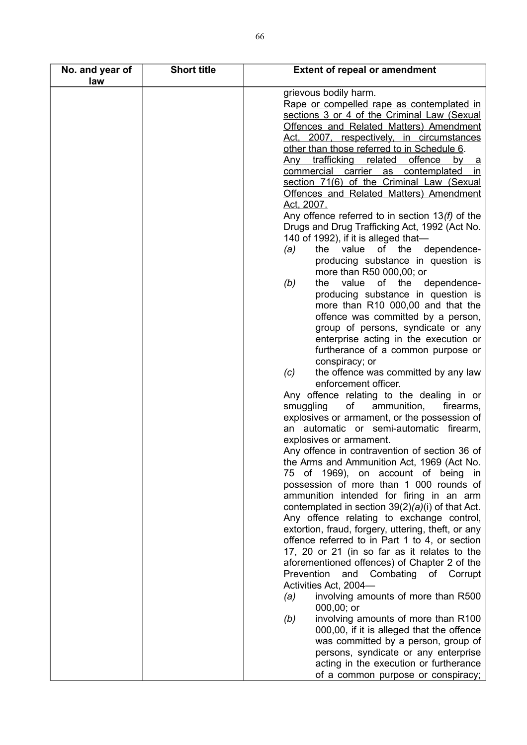| No. and year of<br>law | <b>Short title</b> | <b>Extent of repeal or amendment</b>                               |
|------------------------|--------------------|--------------------------------------------------------------------|
|                        |                    | grievous bodily harm.                                              |
|                        |                    | Rape or compelled rape as contemplated in                          |
|                        |                    | sections 3 or 4 of the Criminal Law (Sexual                        |
|                        |                    | <b>Offences and Related Matters) Amendment</b>                     |
|                        |                    | Act, 2007, respectively, in circumstances                          |
|                        |                    | other than those referred to in Schedule 6.                        |
|                        |                    | trafficking<br>related<br>offence<br><u>Any</u><br>by<br><u>a</u>  |
|                        |                    | commercial carrier as<br>contemplated<br>in.                       |
|                        |                    | section 71(6) of the Criminal Law (Sexual                          |
|                        |                    | Offences and Related Matters) Amendment                            |
|                        |                    | Act, 2007.                                                         |
|                        |                    | Any offence referred to in section $13(f)$ of the                  |
|                        |                    | Drugs and Drug Trafficking Act, 1992 (Act No.                      |
|                        |                    | 140 of 1992), if it is alleged that-                               |
|                        |                    | value of the dependence-<br>(a)<br>the                             |
|                        |                    | producing substance in question is                                 |
|                        |                    | more than R50 000,00; or                                           |
|                        |                    | of the dependence-<br>(b)<br>the<br>value                          |
|                        |                    | producing substance in question is                                 |
|                        |                    | more than R10 000,00 and that the                                  |
|                        |                    | offence was committed by a person,                                 |
|                        |                    | group of persons, syndicate or any                                 |
|                        |                    | enterprise acting in the execution or                              |
|                        |                    | furtherance of a common purpose or                                 |
|                        |                    | conspiracy; or                                                     |
|                        |                    | the offence was committed by any law<br>(c)                        |
|                        |                    | enforcement officer.                                               |
|                        |                    | Any offence relating to the dealing in or                          |
|                        |                    | smuggling<br>ammunition,<br>of<br>firearms,                        |
|                        |                    | explosives or armament, or the possession of                       |
|                        |                    | an automatic or semi-automatic firearm,<br>explosives or armament. |
|                        |                    | Any offence in contravention of section 36 of                      |
|                        |                    | the Arms and Ammunition Act, 1969 (Act No.                         |
|                        |                    | of 1969), on account of being in<br>75                             |
|                        |                    | possession of more than 1 000 rounds of                            |
|                        |                    | ammunition intended for firing in an arm                           |
|                        |                    | contemplated in section $39(2)(a)(i)$ of that Act.                 |
|                        |                    | Any offence relating to exchange control,                          |
|                        |                    | extortion, fraud, forgery, uttering, theft, or any                 |
|                        |                    | offence referred to in Part 1 to 4, or section                     |
|                        |                    | 17, 20 or 21 (in so far as it relates to the                       |
|                        |                    | aforementioned offences) of Chapter 2 of the                       |
|                        |                    | and Combating<br>Prevention<br>of Corrupt                          |
|                        |                    | Activities Act, 2004-                                              |
|                        |                    | involving amounts of more than R500<br>(a)<br>000,00; or           |
|                        |                    | involving amounts of more than R100<br>(b)                         |
|                        |                    | 000,00, if it is alleged that the offence                          |
|                        |                    | was committed by a person, group of                                |
|                        |                    | persons, syndicate or any enterprise                               |
|                        |                    | acting in the execution or furtherance                             |
|                        |                    | of a common purpose or conspiracy;                                 |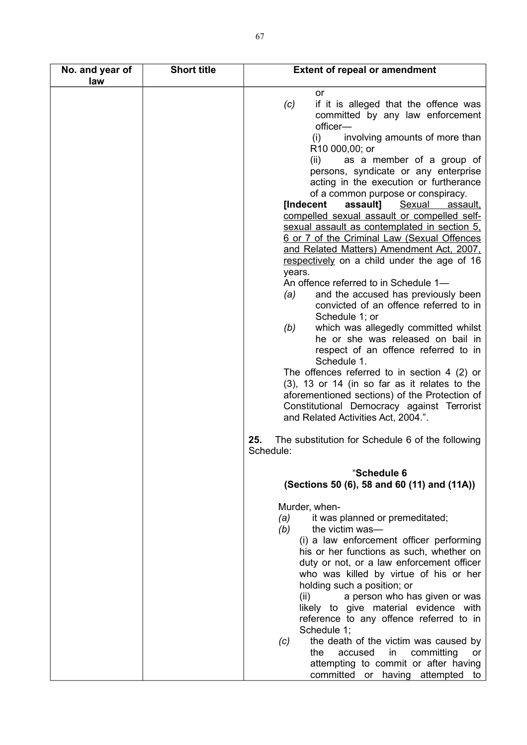| No. and year of<br>law | <b>Short title</b> | <b>Extent of repeal or amendment</b>                                                                                                                                                                                                                                                                                                                                                                                                                                                                                                                                                                                                                                                                                                                                         |
|------------------------|--------------------|------------------------------------------------------------------------------------------------------------------------------------------------------------------------------------------------------------------------------------------------------------------------------------------------------------------------------------------------------------------------------------------------------------------------------------------------------------------------------------------------------------------------------------------------------------------------------------------------------------------------------------------------------------------------------------------------------------------------------------------------------------------------------|
|                        |                    | or<br>(c)<br>if it is alleged that the offence was<br>committed by any law enforcement<br>officer-<br>involving amounts of more than<br>(i)<br>R10 000,00; or<br>as a member of a group of<br>(ii)<br>persons, syndicate or any enterprise<br>acting in the execution or furtherance<br>of a common purpose or conspiracy.<br>[Indecent<br>assault]<br>Sexual<br><u>assault.</u><br>compelled sexual assault or compelled self-<br>sexual assault as contemplated in section 5,<br>6 or 7 of the Criminal Law (Sexual Offences<br><u>and Related Matters) Amendment Act, 2007,</u><br>respectively on a child under the age of 16<br>years.<br>An offence referred to in Schedule 1-<br>and the accused has previously been<br>(a)<br>convicted of an offence referred to in |
|                        |                    | Schedule 1; or<br>which was allegedly committed whilst<br>(b)<br>he or she was released on bail in<br>respect of an offence referred to in<br>Schedule 1.<br>The offences referred to in section 4 $(2)$ or<br>$(3)$ , 13 or 14 (in so far as it relates to the<br>aforementioned sections) of the Protection of<br>Constitutional Democracy against Terrorist<br>and Related Activities Act, 2004.".                                                                                                                                                                                                                                                                                                                                                                        |
|                        |                    | 25.<br>The substitution for Schedule 6 of the following<br>Schedule:                                                                                                                                                                                                                                                                                                                                                                                                                                                                                                                                                                                                                                                                                                         |
|                        |                    | "Schedule 6<br>(Sections 50 (6), 58 and 60 (11) and (11A))                                                                                                                                                                                                                                                                                                                                                                                                                                                                                                                                                                                                                                                                                                                   |
|                        |                    | Murder, when-<br>(a)<br>it was planned or premeditated;<br>the victim was-<br>(b)<br>(i) a law enforcement officer performing<br>his or her functions as such, whether on<br>duty or not, or a law enforcement officer<br>who was killed by virtue of his or her<br>holding such a position; or<br>(ii)<br>a person who has given or was<br>likely to give material evidence with<br>reference to any offence referred to in<br>Schedule 1;<br>the death of the victim was caused by<br>(c)<br>accused<br>committing<br>the<br>in<br>or<br>attempting to commit or after having<br>committed or having attempted<br>to                                                                                                                                                       |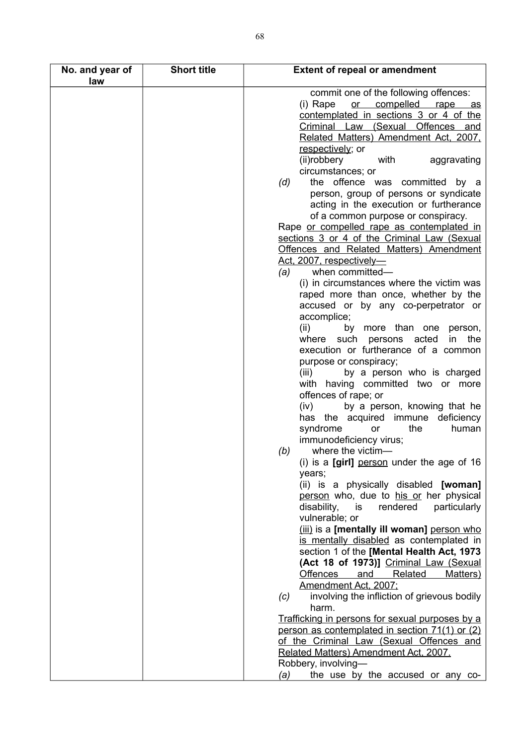| No. and year of<br>law | <b>Short title</b> | <b>Extent of repeal or amendment</b>                                                                                                                                                                                                                                                                                                                                   |
|------------------------|--------------------|------------------------------------------------------------------------------------------------------------------------------------------------------------------------------------------------------------------------------------------------------------------------------------------------------------------------------------------------------------------------|
|                        |                    | commit one of the following offences:<br>or compelled rape as<br>(i) Rape<br>contemplated in sections 3 or 4 of the<br>Criminal Law (Sexual Offences and<br>Related Matters) Amendment Act, 2007,<br>respectively; or<br>(ii)robbery<br>aggravating<br>with<br>circumstances; or                                                                                       |
|                        |                    | the offence was committed by a<br>(d)<br>person, group of persons or syndicate<br>acting in the execution or furtherance<br>of a common purpose or conspiracy.<br>Rape or compelled rape as contemplated in<br>sections 3 or 4 of the Criminal Law (Sexual                                                                                                             |
|                        |                    | Offences and Related Matters) Amendment<br>Act, 2007, respectively-<br>when committed-<br>(a)<br>(i) in circumstances where the victim was<br>raped more than once, whether by the<br>accused or by any co-perpetrator or<br>accomplice;<br>(ii)<br>by more than one<br>person,                                                                                        |
|                        |                    | persons acted<br>the<br>where such<br>in.<br>execution or furtherance of a common<br>purpose or conspiracy;<br>by a person who is charged<br>(iii)<br>with having committed two or more<br>offences of rape; or<br>(iv)<br>by a person, knowing that he                                                                                                                |
|                        |                    | has the acquired<br>immune<br>deficiency<br>the<br>syndrome<br>human<br>or<br>immunodeficiency virus;<br>where the victim-<br>(b)<br>(i) is a [girl] person under the age of 16<br>years;                                                                                                                                                                              |
|                        |                    | (ii) is a physically disabled [woman]<br>person who, due to his or her physical<br>disability,<br>is<br>rendered<br>particularly<br>vulnerable; or<br>(iii) is a [mentally ill woman] person who<br>is mentally disabled as contemplated in<br>section 1 of the [Mental Health Act, 1973<br>(Act 18 of 1973)] Criminal Law (Sexual<br>Offences and Related<br>Matters) |
|                        |                    | Amendment Act, 2007;<br>involving the infliction of grievous bodily<br>(c)<br>harm.<br>Trafficking in persons for sexual purposes by a                                                                                                                                                                                                                                 |
|                        |                    | person as contemplated in section 71(1) or (2)<br>of the Criminal Law (Sexual Offences and<br>Related Matters) Amendment Act, 2007.<br>Robbery, involving-<br>the use by the accused or any co-<br>(a)                                                                                                                                                                 |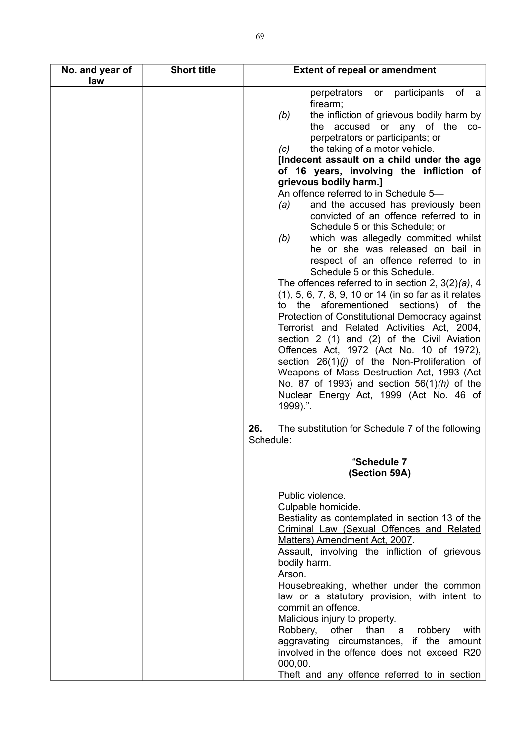| No. and year of<br>law | <b>Short title</b> | <b>Extent of repeal or amendment</b>                                                                                                                                                                                                                                                                                                                                                                                                                                                                                                                                                                                                                                                                                                                                                                                                                                                                                                                                                                                                                                                                                                                                                                                                                          |
|------------------------|--------------------|---------------------------------------------------------------------------------------------------------------------------------------------------------------------------------------------------------------------------------------------------------------------------------------------------------------------------------------------------------------------------------------------------------------------------------------------------------------------------------------------------------------------------------------------------------------------------------------------------------------------------------------------------------------------------------------------------------------------------------------------------------------------------------------------------------------------------------------------------------------------------------------------------------------------------------------------------------------------------------------------------------------------------------------------------------------------------------------------------------------------------------------------------------------------------------------------------------------------------------------------------------------|
|                        |                    | of<br>participants<br>perpetrators<br>or<br>a a<br>firearm;<br>the infliction of grievous bodily harm by<br>(b)<br>accused or any of the<br>the<br>CO-<br>perpetrators or participants; or<br>the taking of a motor vehicle.<br>(c)<br>[Indecent assault on a child under the age<br>of 16 years, involving the infliction of<br>grievous bodily harm.]<br>An offence referred to in Schedule 5-<br>and the accused has previously been<br>(a)<br>convicted of an offence referred to in<br>Schedule 5 or this Schedule; or<br>which was allegedly committed whilst<br>(b)<br>he or she was released on bail in<br>respect of an offence referred to in<br>Schedule 5 or this Schedule.<br>The offences referred to in section 2, $3(2)(a)$ , 4<br>(1), 5, 6, 7, 8, 9, 10 or 14 (in so far as it relates<br>aforementioned sections) of the<br>the<br>to<br>Protection of Constitutional Democracy against<br>Terrorist and Related Activities Act, 2004,<br>section 2 (1) and (2) of the Civil Aviation<br>Offences Act, 1972 (Act No. 10 of 1972),<br>section $26(1)(j)$ of the Non-Proliferation of<br>Weapons of Mass Destruction Act, 1993 (Act<br>No. 87 of 1993) and section $56(1)$ (h) of the<br>Nuclear Energy Act, 1999 (Act No. 46 of<br>1999).". |
|                        |                    | 26.<br>The substitution for Schedule 7 of the following<br>Schedule:                                                                                                                                                                                                                                                                                                                                                                                                                                                                                                                                                                                                                                                                                                                                                                                                                                                                                                                                                                                                                                                                                                                                                                                          |
|                        |                    | "Schedule 7<br>(Section 59A)                                                                                                                                                                                                                                                                                                                                                                                                                                                                                                                                                                                                                                                                                                                                                                                                                                                                                                                                                                                                                                                                                                                                                                                                                                  |
|                        |                    | Public violence.<br>Culpable homicide.<br>Bestiality as contemplated in section 13 of the<br>Criminal Law (Sexual Offences and Related<br>Matters) Amendment Act, 2007.<br>Assault, involving the infliction of grievous<br>bodily harm.<br>Arson.<br>Housebreaking, whether under the common<br>law or a statutory provision, with intent to<br>commit an offence.<br>Malicious injury to property.<br>other<br>Robbery,<br>than a<br>robbery<br>with<br>aggravating circumstances, if the amount<br>involved in the offence does not exceed R20<br>000,00.<br>Theft and any offence referred to in section                                                                                                                                                                                                                                                                                                                                                                                                                                                                                                                                                                                                                                                  |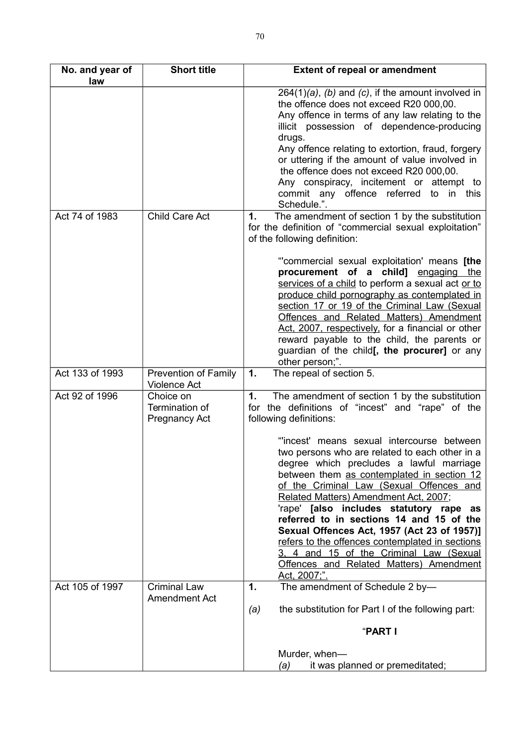| No. and year of | <b>Short title</b>                                  | <b>Extent of repeal or amendment</b>                                                                                                                                                                                                                                                                                                                                                                                                                                                                                                                                      |
|-----------------|-----------------------------------------------------|---------------------------------------------------------------------------------------------------------------------------------------------------------------------------------------------------------------------------------------------------------------------------------------------------------------------------------------------------------------------------------------------------------------------------------------------------------------------------------------------------------------------------------------------------------------------------|
| law             |                                                     |                                                                                                                                                                                                                                                                                                                                                                                                                                                                                                                                                                           |
|                 |                                                     | $264(1)(a)$ , (b) and (c), if the amount involved in<br>the offence does not exceed R20 000,00.<br>Any offence in terms of any law relating to the<br>illicit possession of dependence-producing<br>drugs.                                                                                                                                                                                                                                                                                                                                                                |
|                 |                                                     | Any offence relating to extortion, fraud, forgery<br>or uttering if the amount of value involved in<br>the offence does not exceed R20 000,00.<br>Any conspiracy, incitement or attempt to<br>commit any offence referred<br>in this<br>to<br>Schedule.".                                                                                                                                                                                                                                                                                                                 |
| Act 74 of 1983  | Child Care Act                                      | The amendment of section 1 by the substitution<br>1.<br>for the definition of "commercial sexual exploitation"<br>of the following definition:                                                                                                                                                                                                                                                                                                                                                                                                                            |
|                 |                                                     | "commercial sexual exploitation' means [the<br>procurement of a child] engaging the<br>services of a child to perform a sexual act or to<br>produce child pornography as contemplated in<br>section 17 or 19 of the Criminal Law (Sexual<br>Offences and Related Matters) Amendment<br>Act, 2007, respectively, for a financial or other<br>reward payable to the child, the parents or<br>guardian of the child[, the procurer] or any<br>other person;".                                                                                                                |
| Act 133 of 1993 | Prevention of Family<br><b>Violence Act</b>         | The repeal of section 5.<br>1.                                                                                                                                                                                                                                                                                                                                                                                                                                                                                                                                            |
| Act 92 of 1996  | Choice on<br>Termination of<br><b>Pregnancy Act</b> | The amendment of section 1 by the substitution<br>1.<br>for the definitions of "incest" and "rape" of the<br>following definitions:                                                                                                                                                                                                                                                                                                                                                                                                                                       |
|                 |                                                     | "incest' means sexual intercourse between<br>two persons who are related to each other in a<br>degree which precludes a lawful marriage<br>between them as contemplated in section 12<br>of the Criminal Law (Sexual Offences and<br>Related Matters) Amendment Act, 2007;<br>'rape' [also includes statutory rape as<br>referred to in sections 14 and 15 of the<br>Sexual Offences Act, 1957 (Act 23 of 1957)]<br>refers to the offences contemplated in sections<br>3, 4 and 15 of the Criminal Law (Sexual<br>Offences and Related Matters) Amendment<br>Act, 2007;". |
| Act 105 of 1997 | <b>Criminal Law</b><br>Amendment Act                | The amendment of Schedule 2 by-<br>1.                                                                                                                                                                                                                                                                                                                                                                                                                                                                                                                                     |
|                 |                                                     | the substitution for Part I of the following part:<br>(a)<br>"PART I                                                                                                                                                                                                                                                                                                                                                                                                                                                                                                      |
|                 |                                                     | Murder, when-<br>it was planned or premeditated;<br>(a)                                                                                                                                                                                                                                                                                                                                                                                                                                                                                                                   |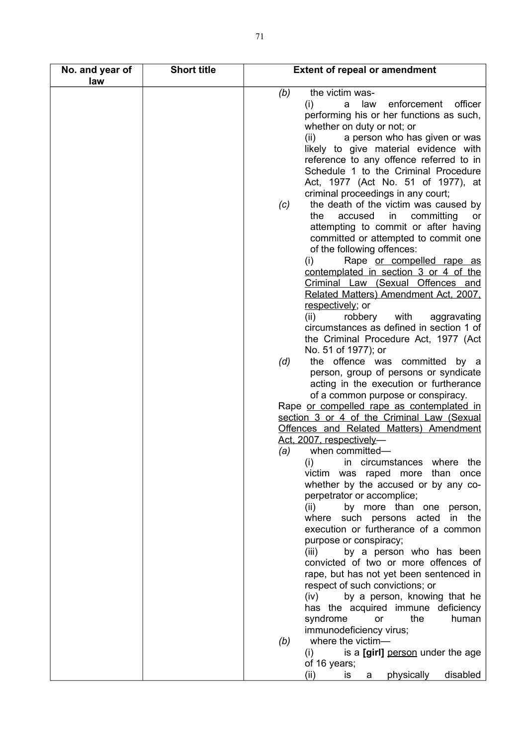| No. and year of<br>law | <b>Short title</b> | <b>Extent of repeal or amendment</b>                                                                                                                                     |
|------------------------|--------------------|--------------------------------------------------------------------------------------------------------------------------------------------------------------------------|
|                        |                    | the victim was-<br>(b)<br>law<br>enforcement<br>officer<br>(i)<br>a<br>performing his or her functions as such,                                                          |
|                        |                    | whether on duty or not; or<br>a person who has given or was<br>(ii)<br>likely to give material evidence with                                                             |
|                        |                    | reference to any offence referred to in<br>Schedule 1 to the Criminal Procedure<br>Act, 1977 (Act No. 51 of 1977), at                                                    |
|                        |                    | criminal proceedings in any court;<br>the death of the victim was caused by<br>(c)<br>the<br>committing<br>accused<br>in<br>or                                           |
|                        |                    | attempting to commit or after having<br>committed or attempted to commit one<br>of the following offences:                                                               |
|                        |                    | Rape or compelled rape as<br>(i)<br>contemplated in section 3 or 4 of the<br>Criminal Law (Sexual Offences and<br>Related Matters) Amendment Act, 2007,                  |
|                        |                    | respectively; or<br>(ii)<br>with<br>aggravating<br>robbery<br>circumstances as defined in section 1 of<br>the Criminal Procedure Act, 1977 (Act                          |
|                        |                    | No. 51 of 1977); or<br>the offence was committed<br>(d)<br>by a<br>person, group of persons or syndicate<br>acting in the execution or furtherance                       |
|                        |                    | of a common purpose or conspiracy.<br>Rape or compelled rape as contemplated in<br>section 3 or 4 of the Criminal Law (Sexual<br>Offences and Related Matters) Amendment |
|                        |                    | Act, 2007, respectively-<br>when committed-<br>(a)<br>(i)<br>in circumstances where the                                                                                  |
|                        |                    | victim was raped more than once<br>whether by the accused or by any co-                                                                                                  |
|                        |                    | perpetrator or accomplice;<br>by more than one person,<br>(ii)<br>where such persons acted<br>in the                                                                     |
|                        |                    | execution or furtherance of a common<br>purpose or conspiracy;<br>by a person who has been<br>(iii)                                                                      |
|                        |                    | convicted of two or more offences of<br>rape, but has not yet been sentenced in<br>respect of such convictions; or                                                       |
|                        |                    | (iv) by a person, knowing that he<br>has the acquired immune deficiency<br>syndrome<br>the<br>human<br>or<br>immunodeficiency virus;                                     |
|                        |                    | where the victim-<br>(b)<br>is a [girl] person under the age<br>(i)                                                                                                      |
|                        |                    | of 16 years;<br>physically<br>disabled<br>(ii)<br><b>is</b><br>a                                                                                                         |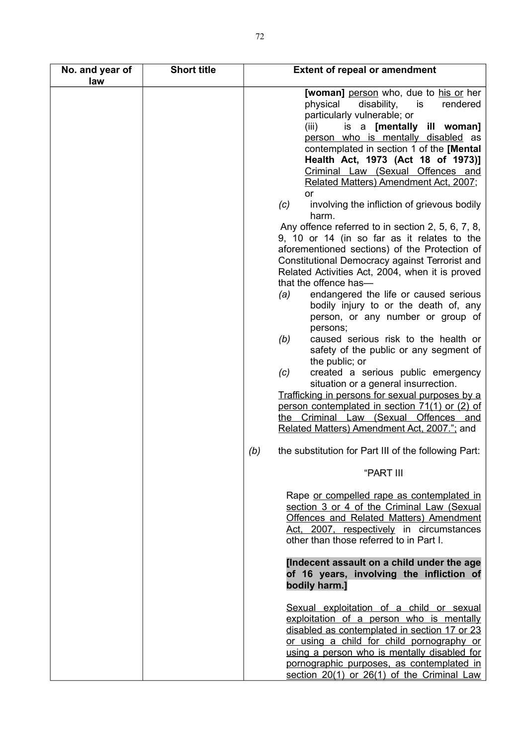| No. and year of<br>law | <b>Short title</b> | <b>Extent of repeal or amendment</b>                                                                                                                                                                                                                                                                                                                                                                                                                                                                                                                                                                                                                                                                                                                                                                                                                                                                                                                                                                                                                                                                                                                                                                                         |
|------------------------|--------------------|------------------------------------------------------------------------------------------------------------------------------------------------------------------------------------------------------------------------------------------------------------------------------------------------------------------------------------------------------------------------------------------------------------------------------------------------------------------------------------------------------------------------------------------------------------------------------------------------------------------------------------------------------------------------------------------------------------------------------------------------------------------------------------------------------------------------------------------------------------------------------------------------------------------------------------------------------------------------------------------------------------------------------------------------------------------------------------------------------------------------------------------------------------------------------------------------------------------------------|
|                        |                    | <b>[woman]</b> person who, due to his or her<br>physical<br>disability,<br>is<br>rendered<br>particularly vulnerable; or<br>is a [mentally ill woman]<br>(iii)<br>person who is mentally disabled as<br>contemplated in section 1 of the [Mental]<br>Health Act, 1973 (Act 18 of 1973)]<br>Criminal Law (Sexual Offences and<br>Related Matters) Amendment Act, 2007;<br><b>or</b><br>involving the infliction of grievous bodily<br>(c)<br>harm.<br>Any offence referred to in section 2, 5, 6, 7, 8,<br>9, 10 or 14 (in so far as it relates to the<br>aforementioned sections) of the Protection of<br>Constitutional Democracy against Terrorist and<br>Related Activities Act, 2004, when it is proved<br>that the offence has-<br>endangered the life or caused serious<br>(a)<br>bodily injury to or the death of, any<br>person, or any number or group of<br>persons;<br>(b)<br>caused serious risk to the health or<br>safety of the public or any segment of<br>the public; or<br>created a serious public emergency<br>(c)<br>situation or a general insurrection.<br>Trafficking in persons for sexual purposes by a<br>person contemplated in section 71(1) or (2) of<br>the Criminal Law (Sexual Offences and |
|                        |                    | Related Matters) Amendment Act, 2007."; and                                                                                                                                                                                                                                                                                                                                                                                                                                                                                                                                                                                                                                                                                                                                                                                                                                                                                                                                                                                                                                                                                                                                                                                  |
|                        |                    | the substitution for Part III of the following Part:<br>(b)<br>"PART III                                                                                                                                                                                                                                                                                                                                                                                                                                                                                                                                                                                                                                                                                                                                                                                                                                                                                                                                                                                                                                                                                                                                                     |
|                        |                    | Rape or compelled rape as contemplated in<br>section 3 or 4 of the Criminal Law (Sexual<br>Offences and Related Matters) Amendment<br>Act, 2007, respectively in circumstances<br>other than those referred to in Part I.                                                                                                                                                                                                                                                                                                                                                                                                                                                                                                                                                                                                                                                                                                                                                                                                                                                                                                                                                                                                    |
|                        |                    | [Indecent assault on a child under the age<br>of 16 years, involving the infliction of<br>bodily harm.]                                                                                                                                                                                                                                                                                                                                                                                                                                                                                                                                                                                                                                                                                                                                                                                                                                                                                                                                                                                                                                                                                                                      |
|                        |                    | Sexual exploitation of a child or sexual<br>exploitation of a person who is mentally<br>disabled as contemplated in section 17 or 23<br>or using a child for child pornography or<br>using a person who is mentally disabled for<br>pornographic purposes, as contemplated in<br>section 20(1) or 26(1) of the Criminal Law                                                                                                                                                                                                                                                                                                                                                                                                                                                                                                                                                                                                                                                                                                                                                                                                                                                                                                  |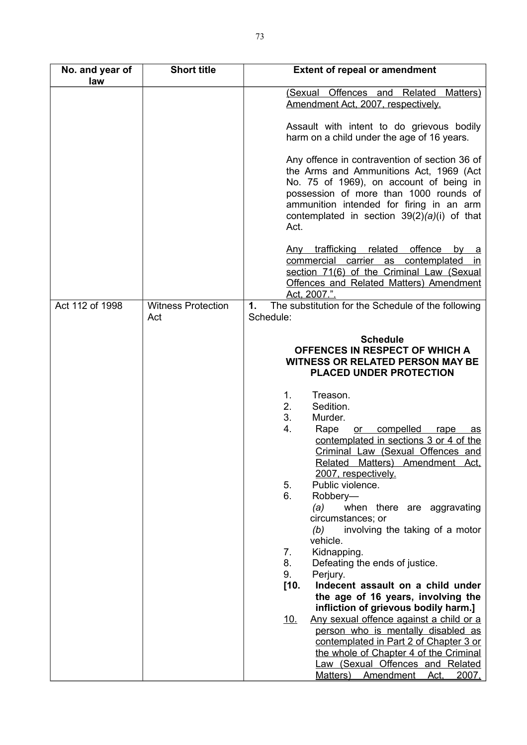| No. and year of<br>law | <b>Short title</b>               | <b>Extent of repeal or amendment</b>                                                                                                                                                                                                                                                                                                                                                                                                                                                                                                                                                                                                                                                                                                                                                                                                                                                  |
|------------------------|----------------------------------|---------------------------------------------------------------------------------------------------------------------------------------------------------------------------------------------------------------------------------------------------------------------------------------------------------------------------------------------------------------------------------------------------------------------------------------------------------------------------------------------------------------------------------------------------------------------------------------------------------------------------------------------------------------------------------------------------------------------------------------------------------------------------------------------------------------------------------------------------------------------------------------|
|                        |                                  | (Sexual Offences and Related<br>Matters)<br>Amendment Act, 2007, respectively.                                                                                                                                                                                                                                                                                                                                                                                                                                                                                                                                                                                                                                                                                                                                                                                                        |
|                        |                                  | Assault with intent to do grievous bodily<br>harm on a child under the age of 16 years.                                                                                                                                                                                                                                                                                                                                                                                                                                                                                                                                                                                                                                                                                                                                                                                               |
|                        |                                  | Any offence in contravention of section 36 of<br>the Arms and Ammunitions Act, 1969 (Act<br>No. 75 of 1969), on account of being in<br>possession of more than 1000 rounds of<br>ammunition intended for firing in an arm<br>contemplated in section $39(2)(a)(i)$ of that<br>Act.                                                                                                                                                                                                                                                                                                                                                                                                                                                                                                                                                                                                    |
|                        |                                  | Any trafficking related offence<br><u>by</u><br><u>_ a</u><br>commercial carrier as contemplated<br><u>in</u><br>section 71(6) of the Criminal Law (Sexual<br>Offences and Related Matters) Amendment<br>Act, 2007.".                                                                                                                                                                                                                                                                                                                                                                                                                                                                                                                                                                                                                                                                 |
| Act 112 of 1998        | <b>Witness Protection</b><br>Act | The substitution for the Schedule of the following<br>1.<br>Schedule:                                                                                                                                                                                                                                                                                                                                                                                                                                                                                                                                                                                                                                                                                                                                                                                                                 |
|                        |                                  | <b>Schedule</b><br>OFFENCES IN RESPECT OF WHICH A<br><b>WITNESS OR RELATED PERSON MAY BE</b><br>PLACED UNDER PROTECTION                                                                                                                                                                                                                                                                                                                                                                                                                                                                                                                                                                                                                                                                                                                                                               |
|                        |                                  | Treason.<br>1.<br>2.<br>Sedition.<br>3.<br>Murder.<br>4.<br>Rape<br>compelled<br>rape<br>or<br>as<br>contemplated in sections 3 or 4 of the<br>Criminal Law (Sexual Offences and<br>Related Matters) Amendment Act.<br>2007, respectively.<br>5.<br>Public violence.<br>6.<br>Robbery-<br>(a)<br>when there are aggravating<br>circumstances; or<br>involving the taking of a motor<br>(b)<br>vehicle.<br>7.<br>Kidnapping.<br>8.<br>Defeating the ends of justice.<br>9.<br>Perjury.<br>[10.<br>Indecent assault on a child under<br>the age of 16 years, involving the<br>infliction of grievous bodily harm.]<br><u>10.</u><br>Any sexual offence against a child or a<br>person who is mentally disabled as<br>contemplated in Part 2 of Chapter 3 or<br>the whole of Chapter 4 of the Criminal<br>Law (Sexual Offences and Related<br>Matters) Amendment<br><u>2007.</u><br>Act, |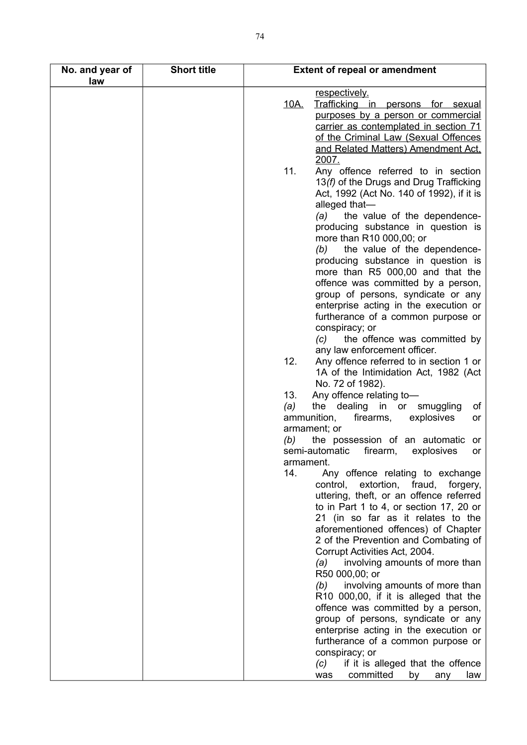| No. and year of<br>law | <b>Short title</b> | <b>Extent of repeal or amendment</b>                                                                                                                                                      |          |
|------------------------|--------------------|-------------------------------------------------------------------------------------------------------------------------------------------------------------------------------------------|----------|
|                        |                    | respectively.                                                                                                                                                                             |          |
|                        |                    | <u>10A.</u><br>Trafficking in persons for sexual                                                                                                                                          |          |
|                        |                    | purposes by a person or commercial<br>carrier as contemplated in section 71                                                                                                               |          |
|                        |                    | of the Criminal Law (Sexual Offences                                                                                                                                                      |          |
|                        |                    | and Related Matters) Amendment Act.                                                                                                                                                       |          |
|                        |                    | 2007.                                                                                                                                                                                     |          |
|                        |                    | 11.<br>Any offence referred to in section<br>13(f) of the Drugs and Drug Trafficking<br>Act, 1992 (Act No. 140 of 1992), if it is<br>alleged that-<br>the value of the dependence-<br>(a) |          |
|                        |                    | producing substance in question is<br>more than R10 000,00; or                                                                                                                            |          |
|                        |                    | the value of the dependence-<br>(b)                                                                                                                                                       |          |
|                        |                    | producing substance in question is                                                                                                                                                        |          |
|                        |                    | more than R5 000,00 and that the                                                                                                                                                          |          |
|                        |                    | offence was committed by a person,                                                                                                                                                        |          |
|                        |                    | group of persons, syndicate or any                                                                                                                                                        |          |
|                        |                    | enterprise acting in the execution or                                                                                                                                                     |          |
|                        |                    | furtherance of a common purpose or                                                                                                                                                        |          |
|                        |                    | conspiracy; or                                                                                                                                                                            |          |
|                        |                    | the offence was committed by<br>(c)                                                                                                                                                       |          |
|                        |                    | any law enforcement officer.<br>12.<br>Any offence referred to in section 1 or                                                                                                            |          |
|                        |                    | 1A of the Intimidation Act, 1982 (Act                                                                                                                                                     |          |
|                        |                    | No. 72 of 1982).                                                                                                                                                                          |          |
|                        |                    | Any offence relating to-<br>13.                                                                                                                                                           |          |
|                        |                    | the dealing in or<br>(a)<br>smuggling                                                                                                                                                     | of       |
|                        |                    | ammunition,<br>firearms,<br>explosives                                                                                                                                                    | or       |
|                        |                    | armament; or                                                                                                                                                                              |          |
|                        |                    | (b)<br>the possession of an automatic<br>semi-automatic<br>firearm,<br>explosives                                                                                                         | or<br>or |
|                        |                    | armament.                                                                                                                                                                                 |          |
|                        |                    | 14.<br>Any offence relating to exchange                                                                                                                                                   |          |
|                        |                    | extortion, fraud,<br>control,<br>forgery,                                                                                                                                                 |          |
|                        |                    | uttering, theft, or an offence referred                                                                                                                                                   |          |
|                        |                    | to in Part 1 to 4, or section 17, 20 or                                                                                                                                                   |          |
|                        |                    | 21 (in so far as it relates to the                                                                                                                                                        |          |
|                        |                    | aforementioned offences) of Chapter<br>2 of the Prevention and Combating of                                                                                                               |          |
|                        |                    | Corrupt Activities Act, 2004.                                                                                                                                                             |          |
|                        |                    | involving amounts of more than<br>(a)                                                                                                                                                     |          |
|                        |                    | R50 000,00; or                                                                                                                                                                            |          |
|                        |                    | involving amounts of more than<br>(b)                                                                                                                                                     |          |
|                        |                    | R10 000,00, if it is alleged that the                                                                                                                                                     |          |
|                        |                    | offence was committed by a person,                                                                                                                                                        |          |
|                        |                    | group of persons, syndicate or any                                                                                                                                                        |          |
|                        |                    | enterprise acting in the execution or                                                                                                                                                     |          |
|                        |                    | furtherance of a common purpose or                                                                                                                                                        |          |
|                        |                    | conspiracy; or<br>if it is alleged that the offence<br>(c)                                                                                                                                |          |
|                        |                    | committed<br>was<br>by<br>any                                                                                                                                                             | law      |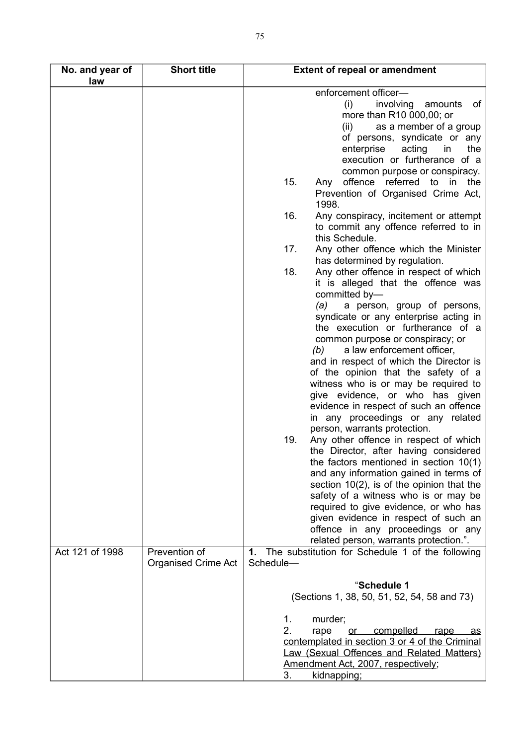| No. and year of<br>law | <b>Short title</b>                          | <b>Extent of repeal or amendment</b>                                                                                                                                                                                                                                                                                                                                                                                                                                                                                                                                                                                                                                                                                                                                                                                                                                                                                                                                                                                |
|------------------------|---------------------------------------------|---------------------------------------------------------------------------------------------------------------------------------------------------------------------------------------------------------------------------------------------------------------------------------------------------------------------------------------------------------------------------------------------------------------------------------------------------------------------------------------------------------------------------------------------------------------------------------------------------------------------------------------------------------------------------------------------------------------------------------------------------------------------------------------------------------------------------------------------------------------------------------------------------------------------------------------------------------------------------------------------------------------------|
|                        |                                             | enforcement officer-<br>(i)<br>involving amounts<br>of<br>more than R10 000,00; or<br>as a member of a group<br>(ii)<br>of persons, syndicate or any<br>enterprise<br>the<br>acting<br>in<br>execution or furtherance of a<br>common purpose or conspiracy.                                                                                                                                                                                                                                                                                                                                                                                                                                                                                                                                                                                                                                                                                                                                                         |
|                        |                                             | 15.<br>offence referred to<br>the<br>Any<br>in<br>Prevention of Organised Crime Act,<br>1998.                                                                                                                                                                                                                                                                                                                                                                                                                                                                                                                                                                                                                                                                                                                                                                                                                                                                                                                       |
|                        |                                             | 16.<br>Any conspiracy, incitement or attempt<br>to commit any offence referred to in<br>this Schedule.                                                                                                                                                                                                                                                                                                                                                                                                                                                                                                                                                                                                                                                                                                                                                                                                                                                                                                              |
|                        |                                             | 17.<br>Any other offence which the Minister<br>has determined by regulation.                                                                                                                                                                                                                                                                                                                                                                                                                                                                                                                                                                                                                                                                                                                                                                                                                                                                                                                                        |
|                        |                                             | 18.<br>Any other offence in respect of which<br>it is alleged that the offence was<br>committed by-<br>(a)<br>a person, group of persons,<br>syndicate or any enterprise acting in<br>the execution or furtherance of a<br>common purpose or conspiracy; or<br>a law enforcement officer,<br>(b)<br>and in respect of which the Director is<br>of the opinion that the safety of a<br>witness who is or may be required to<br>give evidence, or who has given<br>evidence in respect of such an offence<br>in any proceedings or any related<br>person, warrants protection.<br>Any other offence in respect of which<br>19.<br>the Director, after having considered<br>the factors mentioned in section $10(1)$<br>and any information gained in terms of<br>section $10(2)$ , is of the opinion that the<br>safety of a witness who is or may be<br>required to give evidence, or who has<br>given evidence in respect of such an<br>offence in any proceedings or any<br>related person, warrants protection.". |
| Act 121 of 1998        | Prevention of<br><b>Organised Crime Act</b> | 1. The substitution for Schedule 1 of the following<br>Schedule-                                                                                                                                                                                                                                                                                                                                                                                                                                                                                                                                                                                                                                                                                                                                                                                                                                                                                                                                                    |
|                        |                                             | "Schedule 1<br>(Sections 1, 38, 50, 51, 52, 54, 58 and 73)<br>$\mathbf{1}$ .<br>murder;<br>2.<br>compelled<br>rape<br><u>or</u><br><u>rape</u><br><u>as</u><br>contemplated in section 3 or 4 of the Criminal<br><b>Law (Sexual Offences and Related Matters)</b><br>Amendment Act, 2007, respectively;<br>3.<br>kidnapping;                                                                                                                                                                                                                                                                                                                                                                                                                                                                                                                                                                                                                                                                                        |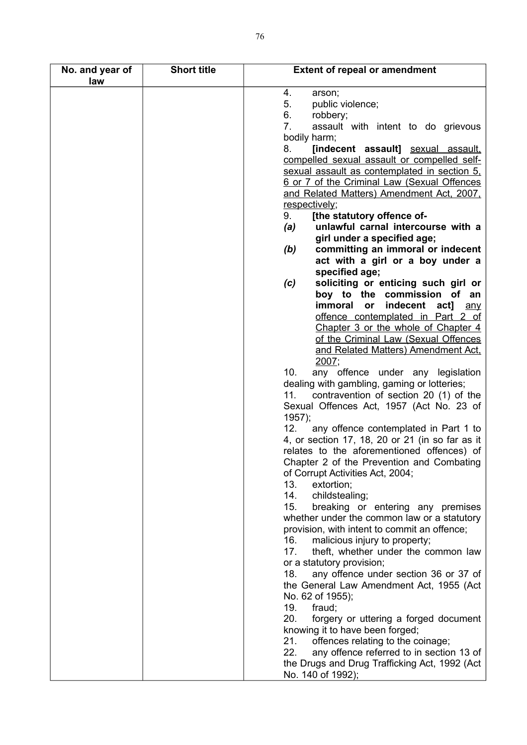| No. and year of<br>law | <b>Short title</b> | <b>Extent of repeal or amendment</b>                                                                                                     |
|------------------------|--------------------|------------------------------------------------------------------------------------------------------------------------------------------|
|                        |                    | 4.<br>arson;<br>5.<br>public violence;<br>6.<br>robbery;                                                                                 |
|                        |                    | 7.<br>assault with intent to do grievous<br>bodily harm;                                                                                 |
|                        |                    | 8.<br>[indecent assault] sexual assault,<br>compelled sexual assault or compelled self-                                                  |
|                        |                    | sexual assault as contemplated in section 5.<br>6 or 7 of the Criminal Law (Sexual Offences<br>and Related Matters) Amendment Act, 2007, |
|                        |                    | respectively;                                                                                                                            |
|                        |                    | 9.<br>[the statutory offence of-<br>unlawful carnal intercourse with a<br>(a)                                                            |
|                        |                    | girl under a specified age;                                                                                                              |
|                        |                    | committing an immoral or indecent<br>(b)                                                                                                 |
|                        |                    | act with a girl or a boy under a<br>specified age;                                                                                       |
|                        |                    | soliciting or enticing such girl or<br>(c)                                                                                               |
|                        |                    | boy to the commission<br>of an                                                                                                           |
|                        |                    | immoral<br>indecent act]<br>or<br>any<br>offence contemplated in Part 2 of                                                               |
|                        |                    | Chapter 3 or the whole of Chapter 4                                                                                                      |
|                        |                    | of the Criminal Law (Sexual Offences                                                                                                     |
|                        |                    | and Related Matters) Amendment Act.<br>2007;                                                                                             |
|                        |                    | 10.<br>any offence under any legislation                                                                                                 |
|                        |                    | dealing with gambling, gaming or lotteries;                                                                                              |
|                        |                    | contravention of section 20 (1) of the<br>11.<br>Sexual Offences Act, 1957 (Act No. 23 of                                                |
|                        |                    | 1957);                                                                                                                                   |
|                        |                    | 12.<br>any offence contemplated in Part 1 to                                                                                             |
|                        |                    | 4, or section 17, 18, 20 or 21 (in so far as it<br>relates to the aforementioned offences) of                                            |
|                        |                    | Chapter 2 of the Prevention and Combating                                                                                                |
|                        |                    | of Corrupt Activities Act, 2004;                                                                                                         |
|                        |                    | 13.<br>extortion;<br>14.<br>childstealing;                                                                                               |
|                        |                    | 15.<br>breaking or entering any premises                                                                                                 |
|                        |                    | whether under the common law or a statutory                                                                                              |
|                        |                    | provision, with intent to commit an offence;<br>16.<br>malicious injury to property;                                                     |
|                        |                    | 17.<br>theft, whether under the common law                                                                                               |
|                        |                    | or a statutory provision;                                                                                                                |
|                        |                    | any offence under section 36 or 37 of<br>18.<br>the General Law Amendment Act, 1955 (Act                                                 |
|                        |                    | No. 62 of 1955);                                                                                                                         |
|                        |                    | 19.<br>fraud;                                                                                                                            |
|                        |                    | 20.<br>forgery or uttering a forged document<br>knowing it to have been forged;                                                          |
|                        |                    | 21.<br>offences relating to the coinage;                                                                                                 |
|                        |                    | 22.<br>any offence referred to in section 13 of                                                                                          |
|                        |                    | the Drugs and Drug Trafficking Act, 1992 (Act<br>No. 140 of 1992);                                                                       |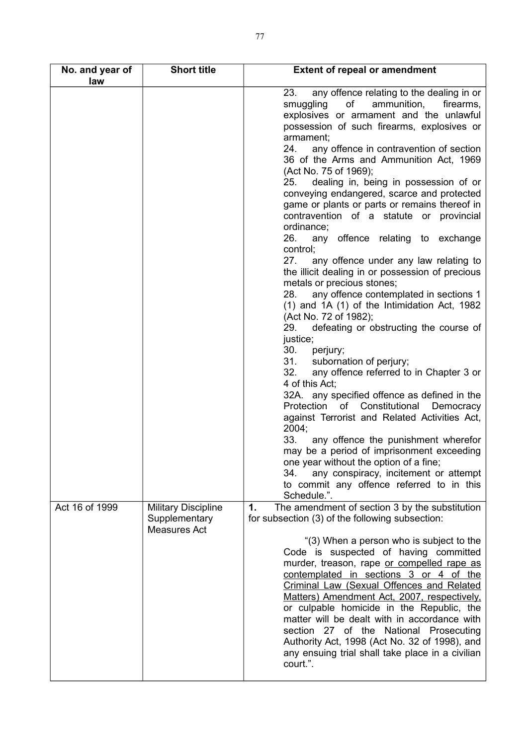| No. and year of | <b>Short title</b>                                                 | <b>Extent of repeal or amendment</b>                                                                                                                                                                                                                                                                                                                                                                                                                                                                                                                                                                                                                                                                                                                                                                                                                                                                                                                                                                                                                                                                                                                                                                                                                  |
|-----------------|--------------------------------------------------------------------|-------------------------------------------------------------------------------------------------------------------------------------------------------------------------------------------------------------------------------------------------------------------------------------------------------------------------------------------------------------------------------------------------------------------------------------------------------------------------------------------------------------------------------------------------------------------------------------------------------------------------------------------------------------------------------------------------------------------------------------------------------------------------------------------------------------------------------------------------------------------------------------------------------------------------------------------------------------------------------------------------------------------------------------------------------------------------------------------------------------------------------------------------------------------------------------------------------------------------------------------------------|
| law             |                                                                    | 23.<br>any offence relating to the dealing in or<br>of<br>smuggling<br>ammunition,<br>firearms,<br>explosives or armament and the unlawful<br>possession of such firearms, explosives or<br>armament;<br>24.<br>any offence in contravention of section<br>36 of the Arms and Ammunition Act, 1969<br>(Act No. 75 of 1969);<br>dealing in, being in possession of or<br>25.<br>conveying endangered, scarce and protected<br>game or plants or parts or remains thereof in<br>contravention of a statute or provincial<br>ordinance;<br>26.<br>any offence relating to exchange<br>control;<br>27.<br>any offence under any law relating to<br>the illicit dealing in or possession of precious<br>metals or precious stones;<br>any offence contemplated in sections 1<br>28.<br>(1) and 1A (1) of the Intimidation Act, 1982<br>(Act No. 72 of 1982);<br>defeating or obstructing the course of<br>29.<br>justice;<br>30.<br>perjury;<br>31.<br>subornation of perjury;<br>32.<br>any offence referred to in Chapter 3 or<br>4 of this Act;<br>32A. any specified offence as defined in the<br>of Constitutional<br>Protection<br>Democracy<br>against Terrorist and Related Activities Act,<br>2004;<br>33.<br>any offence the punishment wherefor |
|                 |                                                                    | may be a period of imprisonment exceeding<br>one year without the option of a fine;<br>any conspiracy, incitement or attempt<br>34.<br>to commit any offence referred to in this<br>Schedule.".                                                                                                                                                                                                                                                                                                                                                                                                                                                                                                                                                                                                                                                                                                                                                                                                                                                                                                                                                                                                                                                       |
| Act 16 of 1999  | <b>Military Discipline</b><br>Supplementary<br><b>Measures Act</b> | The amendment of section 3 by the substitution<br>1.<br>for subsection (3) of the following subsection:                                                                                                                                                                                                                                                                                                                                                                                                                                                                                                                                                                                                                                                                                                                                                                                                                                                                                                                                                                                                                                                                                                                                               |
|                 |                                                                    | "(3) When a person who is subject to the<br>Code is suspected of having committed<br>murder, treason, rape or compelled rape as<br>contemplated in sections 3 or 4 of the<br>Criminal Law (Sexual Offences and Related<br>Matters) Amendment Act, 2007, respectively,<br>or culpable homicide in the Republic, the<br>matter will be dealt with in accordance with<br>section 27 of the National Prosecuting<br>Authority Act, 1998 (Act No. 32 of 1998), and<br>any ensuing trial shall take place in a civilian<br>court.".                                                                                                                                                                                                                                                                                                                                                                                                                                                                                                                                                                                                                                                                                                                         |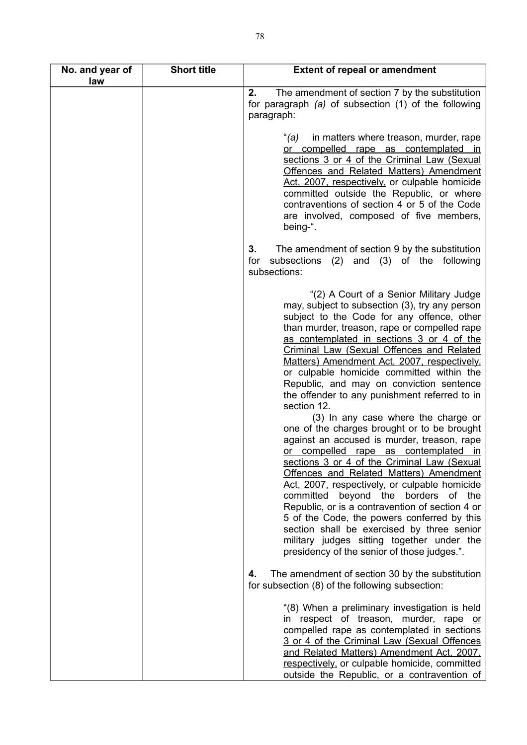| No. and year of<br>law | <b>Short title</b> | <b>Extent of repeal or amendment</b>                                                                                                                                                                                                                                                                                                                                                                                                                                                                                                                                                                                                                                                                                                                                                                                                                                                                                                                                                                                                                                                                  |
|------------------------|--------------------|-------------------------------------------------------------------------------------------------------------------------------------------------------------------------------------------------------------------------------------------------------------------------------------------------------------------------------------------------------------------------------------------------------------------------------------------------------------------------------------------------------------------------------------------------------------------------------------------------------------------------------------------------------------------------------------------------------------------------------------------------------------------------------------------------------------------------------------------------------------------------------------------------------------------------------------------------------------------------------------------------------------------------------------------------------------------------------------------------------|
|                        |                    | 2.<br>The amendment of section 7 by the substitution<br>for paragraph (a) of subsection (1) of the following<br>paragraph:                                                                                                                                                                                                                                                                                                                                                                                                                                                                                                                                                                                                                                                                                                                                                                                                                                                                                                                                                                            |
|                        |                    | in matters where treason, murder, rape<br>"(a)<br>or compelled rape as contemplated in<br>sections 3 or 4 of the Criminal Law (Sexual<br><b>Offences and Related Matters) Amendment</b><br>Act, 2007, respectively, or culpable homicide<br>committed outside the Republic, or where<br>contraventions of section 4 or 5 of the Code<br>are involved, composed of five members,<br>being-".                                                                                                                                                                                                                                                                                                                                                                                                                                                                                                                                                                                                                                                                                                           |
|                        |                    | The amendment of section 9 by the substitution<br>3.<br>subsections (2) and (3) of the following<br>for<br>subsections:                                                                                                                                                                                                                                                                                                                                                                                                                                                                                                                                                                                                                                                                                                                                                                                                                                                                                                                                                                               |
|                        |                    | "(2) A Court of a Senior Military Judge<br>may, subject to subsection (3), try any person<br>subject to the Code for any offence, other<br>than murder, treason, rape or compelled rape<br>as contemplated in sections 3 or 4 of the<br>Criminal Law (Sexual Offences and Related<br>Matters) Amendment Act, 2007, respectively,<br>or culpable homicide committed within the<br>Republic, and may on conviction sentence<br>the offender to any punishment referred to in<br>section 12.<br>(3) In any case where the charge or<br>one of the charges brought or to be brought<br>against an accused is murder, treason, rape<br>or compelled rape as contemplated in<br>sections 3 or 4 of the Criminal Law (Sexual<br>Offences and Related Matters) Amendment<br>Act, 2007, respectively, or culpable homicide<br>committed beyond the borders of the<br>Republic, or is a contravention of section 4 or<br>5 of the Code, the powers conferred by this<br>section shall be exercised by three senior<br>military judges sitting together under the<br>presidency of the senior of those judges.". |
|                        |                    | The amendment of section 30 by the substitution<br>4.<br>for subsection (8) of the following subsection:                                                                                                                                                                                                                                                                                                                                                                                                                                                                                                                                                                                                                                                                                                                                                                                                                                                                                                                                                                                              |
|                        |                    | "(8) When a preliminary investigation is held<br>in respect of treason, murder, rape or<br>compelled rape as contemplated in sections<br>3 or 4 of the Criminal Law (Sexual Offences<br>and Related Matters) Amendment Act, 2007,<br>respectively, or culpable homicide, committed<br>outside the Republic, or a contravention of                                                                                                                                                                                                                                                                                                                                                                                                                                                                                                                                                                                                                                                                                                                                                                     |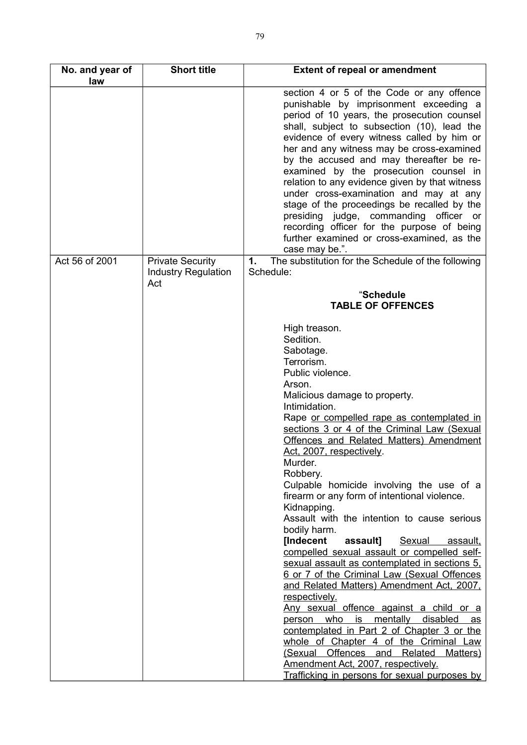| No. and year of<br>law | <b>Short title</b>                                           | <b>Extent of repeal or amendment</b>                                                                                                                                                                                                                                                                                                                                                                                                                                                                                                                                                                                                                                                                                                                                                                                                                                                                                                                                                                                                                                           |
|------------------------|--------------------------------------------------------------|--------------------------------------------------------------------------------------------------------------------------------------------------------------------------------------------------------------------------------------------------------------------------------------------------------------------------------------------------------------------------------------------------------------------------------------------------------------------------------------------------------------------------------------------------------------------------------------------------------------------------------------------------------------------------------------------------------------------------------------------------------------------------------------------------------------------------------------------------------------------------------------------------------------------------------------------------------------------------------------------------------------------------------------------------------------------------------|
|                        |                                                              | section 4 or 5 of the Code or any offence<br>punishable by imprisonment exceeding a<br>period of 10 years, the prosecution counsel<br>shall, subject to subsection (10), lead the<br>evidence of every witness called by him or<br>her and any witness may be cross-examined<br>by the accused and may thereafter be re-<br>examined by the prosecution counsel in<br>relation to any evidence given by that witness<br>under cross-examination and may at any<br>stage of the proceedings be recalled by the<br>presiding judge, commanding officer or<br>recording officer for the purpose of being<br>further examined or cross-examined, as the<br>case may be.".                                                                                                                                                                                                                                                                                                                                                                                                          |
| Act 56 of 2001         | <b>Private Security</b><br><b>Industry Regulation</b><br>Act | The substitution for the Schedule of the following<br>1.<br>Schedule:                                                                                                                                                                                                                                                                                                                                                                                                                                                                                                                                                                                                                                                                                                                                                                                                                                                                                                                                                                                                          |
|                        |                                                              | "Schedule<br><b>TABLE OF OFFENCES</b>                                                                                                                                                                                                                                                                                                                                                                                                                                                                                                                                                                                                                                                                                                                                                                                                                                                                                                                                                                                                                                          |
|                        |                                                              | High treason.<br>Sedition.<br>Sabotage.<br>Terrorism.<br>Public violence.<br>Arson.<br>Malicious damage to property.<br>Intimidation.<br>Rape or compelled rape as contemplated in<br>sections 3 or 4 of the Criminal Law (Sexual<br>Offences and Related Matters) Amendment<br>Act, 2007, respectively.<br>Murder.<br>Robbery.<br>Culpable homicide involving the use of a<br>firearm or any form of intentional violence.<br>Kidnapping.<br>Assault with the intention to cause serious<br>bodily harm.<br>[Indecent<br>Sexual assault,<br>assault]<br>compelled sexual assault or compelled self-<br>sexual assault as contemplated in sections 5.<br>6 or 7 of the Criminal Law (Sexual Offences<br>and Related Matters) Amendment Act, 2007,<br>respectively.<br>Any sexual offence against a child or a<br>person who is mentally disabled as<br>contemplated in Part 2 of Chapter 3 or the<br>whole of Chapter 4 of the Criminal Law<br>(Sexual Offences and Related<br>Matters)<br>Amendment Act, 2007, respectively.<br>Trafficking in persons for sexual purposes by |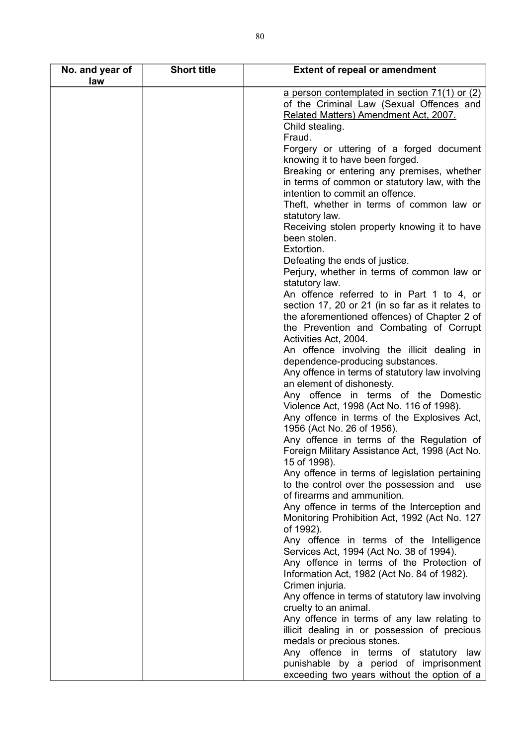| No. and year of<br>law | <b>Short title</b> | <b>Extent of repeal or amendment</b>                                                                                                                                       |
|------------------------|--------------------|----------------------------------------------------------------------------------------------------------------------------------------------------------------------------|
|                        |                    | a person contemplated in section 71(1) or (2)<br>of the Criminal Law (Sexual Offences and<br>Related Matters) Amendment Act, 2007.<br>Child stealing.                      |
|                        |                    | Fraud.<br>Forgery or uttering of a forged document<br>knowing it to have been forged.                                                                                      |
|                        |                    | Breaking or entering any premises, whether<br>in terms of common or statutory law, with the<br>intention to commit an offence.<br>Theft, whether in terms of common law or |
|                        |                    | statutory law.<br>Receiving stolen property knowing it to have<br>been stolen.<br>Extortion.                                                                               |
|                        |                    | Defeating the ends of justice.                                                                                                                                             |
|                        |                    | Perjury, whether in terms of common law or                                                                                                                                 |
|                        |                    | statutory law.                                                                                                                                                             |
|                        |                    | An offence referred to in Part 1 to 4, or                                                                                                                                  |
|                        |                    | section 17, 20 or 21 (in so far as it relates to                                                                                                                           |
|                        |                    | the aforementioned offences) of Chapter 2 of<br>the Prevention and Combating of Corrupt                                                                                    |
|                        |                    | Activities Act, 2004.                                                                                                                                                      |
|                        |                    | An offence involving the illicit dealing in                                                                                                                                |
|                        |                    | dependence-producing substances.<br>Any offence in terms of statutory law involving                                                                                        |
|                        |                    | an element of dishonesty.<br>Any offence in terms of the Domestic                                                                                                          |
|                        |                    | Violence Act, 1998 (Act No. 116 of 1998).                                                                                                                                  |
|                        |                    | Any offence in terms of the Explosives Act,<br>1956 (Act No. 26 of 1956).                                                                                                  |
|                        |                    | Any offence in terms of the Regulation of<br>Foreign Military Assistance Act, 1998 (Act No.<br>15 of 1998).                                                                |
|                        |                    | Any offence in terms of legislation pertaining                                                                                                                             |
|                        |                    | to the control over the possession and<br>use                                                                                                                              |
|                        |                    | of firearms and ammunition.                                                                                                                                                |
|                        |                    | Any offence in terms of the Interception and<br>Monitoring Prohibition Act, 1992 (Act No. 127<br>of 1992).                                                                 |
|                        |                    | Any offence in terms of the Intelligence                                                                                                                                   |
|                        |                    | Services Act, 1994 (Act No. 38 of 1994).                                                                                                                                   |
|                        |                    | Any offence in terms of the Protection of                                                                                                                                  |
|                        |                    | Information Act, 1982 (Act No. 84 of 1982).                                                                                                                                |
|                        |                    | Crimen injuria.                                                                                                                                                            |
|                        |                    | Any offence in terms of statutory law involving                                                                                                                            |
|                        |                    | cruelty to an animal.                                                                                                                                                      |
|                        |                    | Any offence in terms of any law relating to                                                                                                                                |
|                        |                    | illicit dealing in or possession of precious<br>medals or precious stones.                                                                                                 |
|                        |                    | Any offence in terms of statutory law                                                                                                                                      |
|                        |                    | punishable by a period of imprisonment                                                                                                                                     |
|                        |                    | exceeding two years without the option of a                                                                                                                                |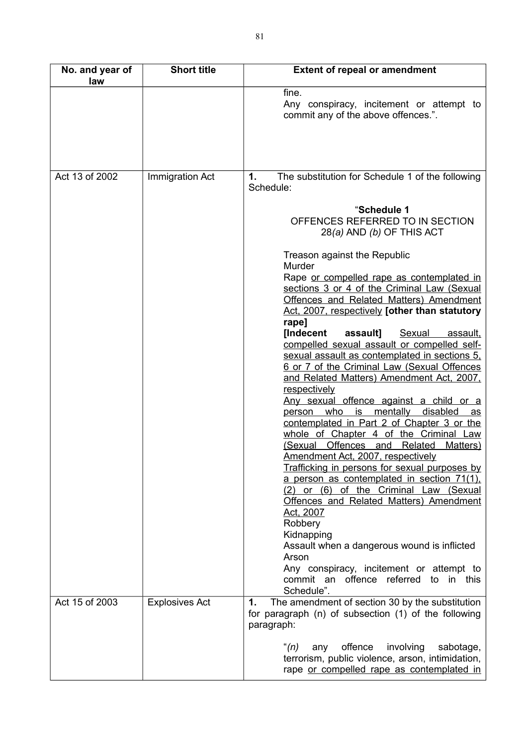| No. and year of<br>law | <b>Short title</b>    | <b>Extent of repeal or amendment</b>                                                                                                                                                                                                          |
|------------------------|-----------------------|-----------------------------------------------------------------------------------------------------------------------------------------------------------------------------------------------------------------------------------------------|
|                        |                       | fine.<br>Any conspiracy, incitement or attempt to<br>commit any of the above offences.".                                                                                                                                                      |
|                        |                       |                                                                                                                                                                                                                                               |
| Act 13 of 2002         | Immigration Act       | The substitution for Schedule 1 of the following<br>1.<br>Schedule:                                                                                                                                                                           |
|                        |                       | "Schedule 1<br>OFFENCES REFERRED TO IN SECTION<br>$28(a)$ AND (b) OF THIS ACT                                                                                                                                                                 |
|                        |                       | Treason against the Republic<br>Murder                                                                                                                                                                                                        |
|                        |                       | Rape or compelled rape as contemplated in<br>sections 3 or 4 of the Criminal Law (Sexual<br><b>Offences and Related Matters) Amendment</b><br>Act, 2007, respectively [other than statutory<br>rape]                                          |
|                        |                       | <b>[Indecent</b><br>assault]<br><b>Sexual</b><br>assault,<br>compelled sexual assault or compelled self-<br>sexual assault as contemplated in sections 5.<br>6 or 7 of the Criminal Law (Sexual Offences                                      |
|                        |                       | and Related Matters) Amendment Act, 2007,<br>respectively<br>Any sexual offence against a child or a<br>mentally<br>disabled<br>who<br>is<br>person<br>as                                                                                     |
|                        |                       | contemplated in Part 2 of Chapter 3 or the<br>whole of Chapter 4 of the Criminal Law<br>(Sexual Offences and Related<br>Matters)                                                                                                              |
|                        |                       | Amendment Act, 2007, respectively<br>Trafficking in persons for sexual purposes by<br>a person as contemplated in section 71(1),<br>(2) or (6) of the Criminal Law (Sexual<br>Offences and Related Matters) Amendment<br>Act, 2007<br>Robbery |
|                        |                       | Kidnapping<br>Assault when a dangerous wound is inflicted<br>Arson<br>Any conspiracy, incitement or attempt to                                                                                                                                |
|                        |                       | commit an offence referred to in this<br>Schedule".                                                                                                                                                                                           |
| Act 15 of 2003         | <b>Explosives Act</b> | The amendment of section 30 by the substitution<br>1.<br>for paragraph (n) of subsection (1) of the following<br>paragraph:                                                                                                                   |
|                        |                       | "(n)<br>offence<br>involving<br>sabotage,<br>any<br>terrorism, public violence, arson, intimidation,<br>rape or compelled rape as contemplated in                                                                                             |